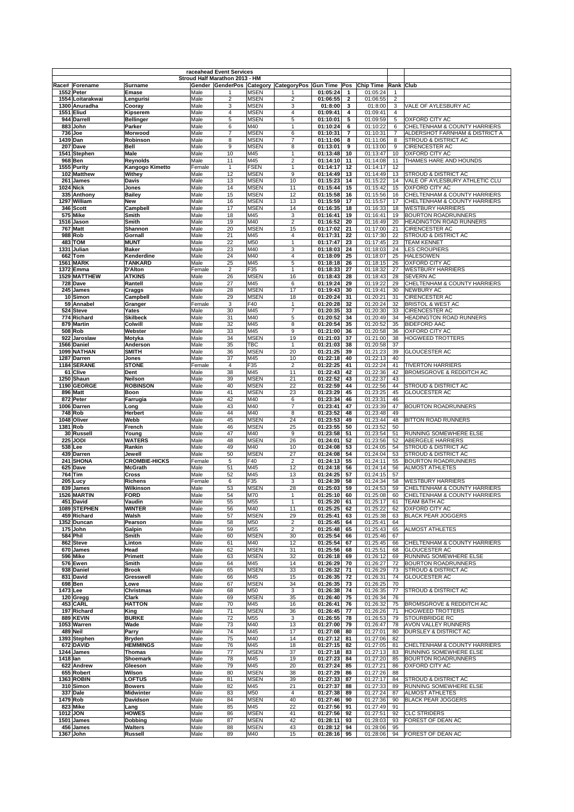|                                      |                                   |                | raceahead Event Services<br>Stroud Half Marathon 2013 - HM |                            |                                                                        |                      |                              |                      |                     |                                                                |
|--------------------------------------|-----------------------------------|----------------|------------------------------------------------------------|----------------------------|------------------------------------------------------------------------|----------------------|------------------------------|----------------------|---------------------|----------------------------------------------------------------|
| Race# Forename                       | <b>Surname</b>                    |                |                                                            |                            | Gender GenderPos Category CategoryPos Gun Time Pos Chip Time Rank Club |                      |                              |                      |                     |                                                                |
| 1552 Peter                           | Emase                             | Male           |                                                            | <b>MSEN</b>                | 1                                                                      | 01:05:24             | 1                            | 01:05:24             |                     |                                                                |
| 1554 Loitarakwai<br>1300 Anuradha    | Lengurisi<br>Cooray               | Male<br>Male   | $\overline{2}$<br>3                                        | <b>MSEN</b><br><b>MSEN</b> | $\overline{2}$<br>3                                                    | 01:06:55<br>01:8:00  | $\overline{\mathbf{2}}$<br>3 | 01:06:55<br>01:8:00  | $\overline{2}$<br>3 | VALE OF AYLESBURY AC                                           |
| <b>1551 Eliud</b>                    | Kipserem                          | Male           | 4                                                          | <b>MSEN</b>                | $\overline{4}$                                                         | 01:09:41             | 4                            | 01:09:41             | $\overline{4}$      |                                                                |
| 944 Darrell                          | Bellinger                         | Male           | 5                                                          | <b>MSEN</b>                | 5                                                                      | 01:10:01             | 5                            | 01:09:59             | 5                   | OXFORD CITY AC                                                 |
| 883 John<br>736 Joe                  | Parker<br>Morwood                 | Male<br>Male   | 6<br>$\overline{7}$                                        | M40<br><b>MSEN</b>         | $\mathbf{1}$<br>6                                                      | 01:10:24<br>01:10:31 | 6<br>$\overline{7}$          | 01:10:22<br>01:10:31 | 6<br>$\overline{7}$ | CHELTENHAM & COUNTY HARRIERS<br>ALDERSHOT FARNHAM & DISTRICT A |
| 1439 Dan                             | Robinson                          | Male           | 8                                                          | <b>MSEN</b>                | $\overline{7}$                                                         | 01:11:06             | 8                            | 01:11:06             | 8                   | STROUD & DISTRICT AC                                           |
| 207 Dave                             | <b>Bell</b>                       | Male           | 9                                                          | <b>MSEN</b>                | 8                                                                      | 01:13:01             | 9                            | 01:13:00             | 9                   | CIRENCESTER AC                                                 |
| 1541 Stephen<br>968 Ben              | Male<br>Reynolds                  | Male<br>Male   | 10<br>11                                                   | M45<br>M45                 | $\mathbf{1}$<br>$\overline{2}$                                         | 01:13:48<br>01:14:10 | 10<br>11                     | 01:13:47<br>01:14:08 | 10<br>11            | OXFORD CITY AC<br>THAMES HARE AND HOUNDS                       |
| 1555 Purity                          | Kangogo Kimetto                   | Female         | 1                                                          | <b>FSEN</b>                | $\mathbf{1}$                                                           | 01:14:17             | 12                           | 01:14:17             | 12                  |                                                                |
| 102 Matthew                          | Withey                            | Male           | 12                                                         | <b>MSEN</b>                | 9                                                                      | 01:14:49             | 13                           | 01:14:49             | 13                  | <b>STROUD &amp; DISTRICT AC</b>                                |
| 261 James<br><b>1024 Nick</b>        | <b>Davis</b><br>Jones             | Male<br>Male   | 13<br>14                                                   | <b>MSEN</b><br><b>MSEN</b> | 10<br>11                                                               | 01:15:23<br>01:15:44 | 14<br>15                     | 01:15:22<br>01:15:42 | 14<br>15            | VALE OF AYLESBURY ATHLETIC CLU<br>OXFORD CITY AC               |
| 335 Anthony                          | <b>Bailey</b>                     | Male           | 15                                                         | <b>MSEN</b>                | 12                                                                     | 01:15:58             | 16                           | 01:15:56             | 16                  | CHELTENHAM & COUNTY HARRIERS                                   |
| 1297 William                         | <b>New</b>                        | Male           | 16                                                         | <b>MSEN</b>                | 13                                                                     | 01:15:59             | 17                           | 01:15:57             | 17                  | CHELTENHAM & COUNTY HARRIERS                                   |
| 346 Scott<br>575 Mike                | Campbell<br>Smith                 | Male<br>Male   | 17<br>18                                                   | <b>MSEN</b><br>M45         | 14<br>3                                                                | 01:16:35<br>01:16:41 | 18<br>19                     | 01:16:33<br>01:16:41 | 18<br>19            | <b>WESTBURY HARRIERS</b><br><b>BOURTON ROADRUNNERS</b>         |
| 1516 Jason                           | Smith                             | Male           | 19                                                         | M40                        | $\overline{2}$                                                         | 01:16:52             | 20                           | 01:16:49             | 20                  | HEADINGTON ROAD RUNNERS                                        |
| 767 Matt                             | Shannon                           | Male           | 20                                                         | <b>MSEN</b>                | 15                                                                     | 01:17:02             | 21                           | 01:17:00             | 21                  | CIRENCESTER AC                                                 |
| 988 Rob<br>483 TOM                   | Gornall<br><b>MUNT</b>            | Male<br>Male   | 21<br>22                                                   | M45<br>M50                 | 4<br>$\mathbf{1}$                                                      | 01:17:31<br>01:17:47 | 22<br>23                     | 01:17:30<br>01:17:45 | 22<br>23            | STROUD & DISTRICT AC<br><b>TEAM KENNET</b>                     |
| 1331 Julian                          | <b>Baker</b>                      | Male           | 23                                                         | M40                        | 3                                                                      | 01:18:03             | 24                           | 01:18:03             | 24                  | <b>LES CROUPIERS</b>                                           |
| 662 Tom                              | Kenderdine                        | Male           | 24                                                         | M40                        | $\overline{4}$                                                         | 01:18:09             | 25                           | 01:18:07             | 25                  | <b>HALESOWEN</b>                                               |
| <b>1561 MARK</b><br><b>1372 Emma</b> | <b>TANKARD</b><br><b>D'Alton</b>  | Male<br>Female | 25                                                         | M45                        | 5<br>1                                                                 | 01:18:18             | 26                           | 01:18:15             | 26<br>27            | OXFORD CITY AC                                                 |
| 1529 MATTHEW                         | <b>ATKINS</b>                     | Male           | $\overline{2}$<br>26                                       | F35<br><b>MSEN</b>         | 16                                                                     | 01:18:33<br>01:18:43 | 27<br>28                     | 01:18:32<br>01:18:43 | 28                  | <b>WESTBURY HARRIERS</b><br><b>SEVERN AC</b>                   |
| 728 Dave                             | Rantell                           | Male           | 27                                                         | M45                        | 6                                                                      | 01:19:24             | 29                           | 01:19:22             | 29                  | CHELTENHAM & COUNTY HARRIERS                                   |
| 245 James                            | Craggs                            | Male           | 28                                                         | <b>MSEN</b>                | 17                                                                     | 01:19:43             | 30                           | 01:19:41             | 30                  | NEWBURY AC                                                     |
| 10 Simon<br>59 Annabel               | Campbell<br>Granger               | Male<br>Female | 29<br>3                                                    | <b>MSEN</b><br>F40         | 18<br>$\mathbf{1}$                                                     | 01:20:24<br>01:20:28 | 31<br>32                     | 01:20:21<br>01:20:24 | 31<br>32            | CIRENCESTER AC<br><b>BRISTOL &amp; WEST AC</b>                 |
| 524 Steve                            | Yates                             | Male           | 30                                                         | M45                        | $\overline{7}$                                                         | 01:20:35             | 33                           | 01:20:30             | 33                  | <b>CIRENCESTER AC</b>                                          |
| 774 Richard                          | <b>Skilbeck</b>                   | Male           | 31                                                         | M40                        | 5                                                                      | 01:20:52             | 34                           | 01:20:49             | 34                  | HEADINGTON ROAD RUNNERS                                        |
| 879 Martin<br>508 Rob                | Colwill<br>Webster                | Male<br>Male   | 32<br>33                                                   | M45<br>M45                 | 8<br>9                                                                 | 01:20:54<br>01:21:00 | 35<br>36                     | 01:20:52<br>01:20:58 | 35<br>36            | <b>BIDEFORD AAC</b><br>OXFORD CITY AC                          |
| 922 Jaroslaw                         | Motyka                            | Male           | 34                                                         | <b>MSEN</b>                | 19                                                                     | 01:21:03             | 37                           | 01:21:00             | 38                  | <b>HOGWEED TROTTERS</b>                                        |
| 1566 Daniel                          | Anderson                          | Male           | 35                                                         | <b>TBC</b>                 | $\mathbf{1}$                                                           | 01:21:03             | 38                           | 01:20:58             | 37                  |                                                                |
| 1099 NATHAN<br>1287 Darren           | <b>SMITH</b><br>Jones             | Male<br>Male   | 36<br>37                                                   | <b>MSEN</b><br>M45         | 20<br>10                                                               | 01:21:25<br>01:22:18 | 39<br>40                     | 01:21:23<br>01:22:13 | 39<br>40            | <b>GLOUCESTER AC</b>                                           |
| 1184 SERANE                          | <b>STONE</b>                      | Female         | 4                                                          | F35                        | $\mathbf 2$                                                            | 01:22:25             | 41                           | 01:22:24             | 41                  | <b>TIVERTON HARRIERS</b>                                       |
| 61 Clive                             | Dent                              | Male           | 38                                                         | M45                        | 11                                                                     | 01:22:43             | 42                           | 01:22:36             | 42                  | <b>BROMSGROVE &amp; REDDITCH AC</b>                            |
| 1250 Shaun<br>1190 GEORGE            | <b>Neilson</b><br><b>ROBINSON</b> | Male           | 39<br>40                                                   | <b>MSEN</b><br><b>MSEN</b> | 21<br>22                                                               | 01:22:52             | 43<br>44                     | 01:22:37             | 43<br>44            | <b>STROUD &amp; DISTRICT AC</b>                                |
| 896 Matt                             | Boon                              | Male<br>Male   | 41                                                         | <b>MSEN</b>                | 23                                                                     | 01:22:59<br>01:23:29 | 45                           | 01:22:56<br>01:23:25 | 45                  | <b>GLOUCESTER AC</b>                                           |
| 872 Peter                            | Farrugia                          | Male           | 42                                                         | M40                        | 6                                                                      | 01:23:34             | 46                           | 01:23:31             | 46                  |                                                                |
| 1006 Darren                          | Long                              | Male           | 43                                                         | M40                        | $\overline{7}$                                                         | 01:23:41             | 47                           | 01:23:39             | 47                  | <b>BOURTON ROADRUNNERS</b>                                     |
| 748 Rob<br>1048 Oliver               | <b>Herbert</b><br>Webb            | Male<br>Male   | 44<br>45                                                   | M40<br><b>MSEN</b>         | 8<br>24                                                                | 01:23:52<br>01:23:53 | 48<br>49                     | 01:23:48<br>01:23:44 | 49<br>48            | <b>BITTON ROAD RUNNERS</b>                                     |
| 1381 Rob                             | French                            | Male           | 46                                                         | <b>MSEN</b>                | 25                                                                     | 01:23:55             | 50                           | 01:23:52             | 50                  |                                                                |
| 30 Russell                           | Young                             | Male           | 47                                                         | M40                        | 9                                                                      | 01:23:58             | 51                           | 01:23:54             | 51                  | RUNNING SOMEWHERE ELSE                                         |
| 225 JODI<br>538 Lee                  | <b>WATERS</b><br>Rankin           | Male<br>Male   | 48<br>49                                                   | <b>MSEN</b><br>M40         | 26<br>10                                                               | 01:24:01<br>01:24:08 | 52<br>53                     | 01:23:56<br>01:24:05 | 52<br>54            | ABERGELE HARRIERS<br><b>STROUD &amp; DISTRICT AC</b>           |
| 439 Darren                           | Jewell                            | Male           | 50                                                         | <b>MSEN</b>                | 27                                                                     | 01:24:08             | 54                           | 01:24:04             | 53                  | STROUD & DISTRICT AC                                           |
| 241 SHONA                            | <b>CROMBIE-HICKS</b>              | Female         | 5                                                          | F40                        | $\overline{2}$                                                         | 01:24:13             | 55                           | 01:24:11             | 55                  | <b>BOURTON ROADRUNNERS</b>                                     |
| 625 Dave<br>764 Tim                  | <b>McGrath</b><br><b>Cross</b>    | Male<br>Male   | 51<br>52                                                   | M45<br>M45                 | 12<br>13                                                               | 01:24:18<br>01:24:25 | 56<br>57                     | 01:24:14<br>01:24:15 | 56<br>57            | <b>ALMOST ATHLETES</b>                                         |
| 205 Lucy                             | Richens                           | Female         | 6                                                          | F35                        | 3                                                                      | 01:24:39             | 58                           | 01:24:34             | 58                  | <b>WESTBURY HARRIERS</b>                                       |
| 839 James                            | Wilkinson                         | Male           | 53                                                         | <b>MSEN</b>                | 28                                                                     | 01:25:03             | 59                           | 01:24:53             | 59                  | CHELTENHAM & COUNTY HARRIERS                                   |
| 1526 MARTIN<br>451 David             | <b>FORD</b><br>Vaudin             | Male<br>Male   | 54<br>55                                                   | M70<br>M55                 | $\mathbf{1}$<br>1                                                      | 01:25:10<br>01:25:20 | 60<br>61                     | 01:25:08<br>01:25:17 | 60<br>61            | CHELTENHAM & COUNTY HARRIERS<br>TEAM BATH AC                   |
| 1089 STEPHEN                         | <b>WINTER</b>                     | Male           | 56                                                         | M40                        | 11                                                                     | 01:25:25             | 62                           | 01:25:22             | 62                  | OXFORD CITY AC                                                 |
| 459 Richard                          | Walsh                             | Male           | 57                                                         | <b>MSEN</b>                | 29                                                                     | 01:25:41             | 63                           | 01:25:38             | 63                  | <b>BLACK PEAR JOGGERS</b>                                      |
| 1352 Duncan<br>175 John              | Pearson<br>Galpin                 | Male<br>Male   | 58<br>59                                                   | M50<br>M55                 | 2<br>$\overline{2}$                                                    | 01:25:45<br>01:25:48 | 64<br>65                     | 01:25:41<br>01:25:43 | 64<br>65            | <b>ALMOST ATHLETES</b>                                         |
| 584 Phil                             | Smith                             | Male           | 60                                                         | <b>MSEN</b>                | 30                                                                     | 01:25:54             | 66                           | 01:25:46             | 67                  |                                                                |
| 862 Steve                            | Linton                            | Male           | 61                                                         | M40                        | 12                                                                     | 01:25:54             | 67                           | 01:25:45             | 66                  | CHELTENHAM & COUNTY HARRIERS                                   |
| 670 James<br>596 Mike                | Head<br>Primett                   | Male<br>Male   | 62<br>63                                                   | <b>MSEN</b><br><b>MSEN</b> | 31<br>32                                                               | 01:25:56<br>01:26:18 | 68<br>69                     | 01:25:51<br>01:26:12 | 68<br>69            | <b>GLOUCESTER AC</b><br>RUNNING SOMEWHERE ELSE                 |
| 576 Ewen                             | Smith                             | Male           | 64                                                         | M45                        | 14                                                                     | 01:26:29             | 70                           | 01:26:27             | 72                  | <b>BOURTON ROADRUNNERS</b>                                     |
| 938 Daniel                           | <b>Brook</b>                      | Male           | 65                                                         | <b>MSEN</b>                | 33                                                                     | 01:26:32             | 71                           | 01:26:29             | 73                  | <b>STROUD &amp; DISTRICT AC</b>                                |
| 831 David<br>698 Ben                 | Gresswell<br>Lowe                 | Male<br>Male   | 66<br>67                                                   | M45<br><b>MSEN</b>         | 15<br>34                                                               | 01:26:35<br>01:26:35 | 72<br>73                     | 01:26:31<br>01:26:25 | 74<br>70            | <b>GLOUCESTER AC</b>                                           |
| 1473 Lee                             | <b>Christmas</b>                  | Male           | 68                                                         | M50                        | 3                                                                      | 01:26:38             | 74                           | 01:26:35             | 77                  | STROUD & DISTRICT AC                                           |
| 120 Gregg                            | <b>Clark</b>                      | Male           | 69                                                         | <b>MSEN</b>                | 35                                                                     | 01:26:40             | 75                           | 01:26:34             | 76                  |                                                                |
| 453 CARL                             | <b>HATTON</b>                     | Male           | 70                                                         | M45<br><b>MSEN</b>         | 16                                                                     | 01:26:41             | 76                           | 01:26:32             | 75<br>71            | BROMSGROVE & REDDITCH AC                                       |
| 197 Richard<br>889 KEVIN             | King<br><b>BURKE</b>              | Male<br>Male   | 71<br>72                                                   | M55                        | 36<br>3                                                                | 01:26:45<br>01:26:55 | 77<br>78                     | 01:26:26<br>01:26:53 | 79                  | <b>HOGWEED TROTTERS</b><br>STOURBRIDGE RC                      |
| 1053 Warren                          | Wade                              | Male           | 73                                                         | M40                        | 13                                                                     | 01:27:00             | 79                           | 01:26:47             | 78                  | AVON VALLEY RUNNERS                                            |
| 489 Neil                             | Parry                             | Male           | 74                                                         | M45                        | 17                                                                     | 01:27:08             | 80                           | 01:27:01             | 80                  | DURSLEY & DISTRICT AC                                          |
| 1393 Stephen<br>672 DAVID            | <b>Bryden</b><br><b>HEMMINGS</b>  | Male<br>Male   | 75<br>76                                                   | M40<br>M45                 | 14<br>18                                                               | 01:27:12<br>01:27:15 | 81<br>82                     | 01:27:06<br>01:27:05 | 82<br>81            | CHELTENHAM & COUNTY HARRIERS                                   |
| 1244 James                           | <b>Thomas</b>                     | Male           | 77                                                         | <b>MSEN</b>                | 37                                                                     | 01:27:18             | 83                           | 01:27:13             | 83                  | RUNNING SOMEWHERE ELSE                                         |
| 1418 Ian                             | Shoemark                          | Male           | 78                                                         | M45                        | 19                                                                     | 01:27:23             | 84                           | 01:27:20             | 85                  | <b>BOURTON ROADRUNNERS</b>                                     |
| 622 Andrew<br>655 Robert             | Gleeson<br>Wilson                 | Male<br>Male   | 79<br>80                                                   | M45<br><b>MSEN</b>         | 20<br>38                                                               | 01:27:24<br>01:27:29 | 85<br>86                     | 01:27:21<br>01:27:26 | 86<br>88            | OXFORD CITY AC                                                 |
| 1363 ROBIN                           | <b>LOFTUS</b>                     | Male           | 81                                                         | <b>MSEN</b>                | 39                                                                     | 01:27:33             | 87                           | 01:27:17             | 84                  | STROUD & DISTRICT AC                                           |
| 310 Simon                            | <b>Bowers</b>                     | Male           | 82                                                         | M45                        | 21                                                                     | 01:27:37             | 88                           | 01:27:33             | 89                  | RUNNING SOMEWHERE ELSE                                         |
| 337 Dale<br>1479 Rob                 | Midwinter<br>Davidson             | Male<br>Male   | 83<br>84                                                   | M50<br><b>MSEN</b>         | 4<br>40                                                                | 01:27:38<br>01:27:46 | 89<br>90                     | 01:27:24<br>01:27:36 | 87<br>90            | <b>ALMOST ATHLETES</b><br><b>BLACK PEAR JOGGERS</b>            |
| 823 Mike                             | Lang                              | Male           | 85                                                         | M45                        | 22                                                                     | 01:27:56             | 91                           | 01:27:49             | 91                  |                                                                |
| 1012 JON                             | <b>HOWES</b>                      | Male           | 86                                                         | <b>MSEN</b>                | 41                                                                     | 01:27:56             | 92                           | 01:27:51             | 92                  | <b>CLC STRIDERS</b>                                            |
| 1501 James<br>456 James              | Dobbing<br><b>Walters</b>         | Male<br>Male   | 87<br>88                                                   | <b>MSEN</b><br><b>MSEN</b> | 42<br>43                                                               | 01:28:11<br>01:28:12 | 93<br>94                     | 01:28:03<br>01:28:06 | 93<br>95            | FOREST OF DEAN AC                                              |
| 1367 John                            | <b>Russell</b>                    | Male           | 89                                                         | M40                        | 15                                                                     | 01:28:16             | 95                           | 01:28:06             | 94                  | FOREST OF DEAN AC                                              |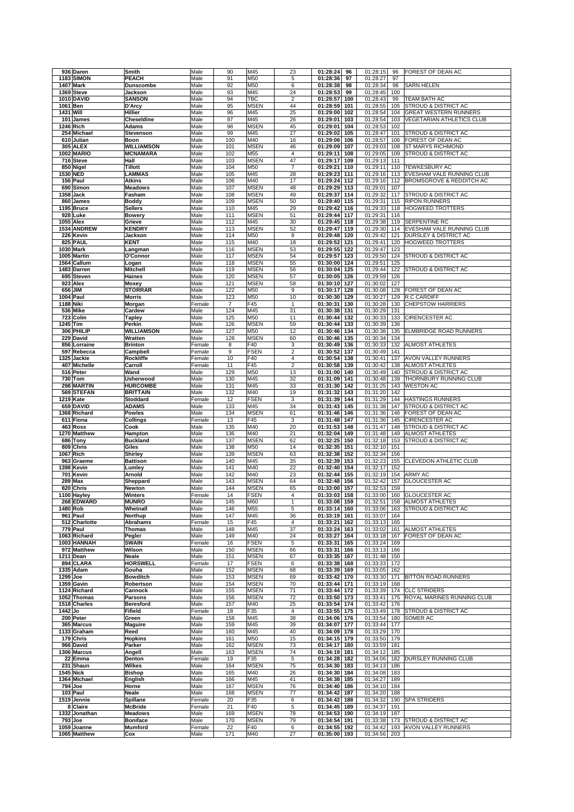| 936 Daren                      | Smith                             | Male             | 90                              | M45                        | 23                                        | 01:28:24<br>96                     | 01:28:15             | 96         | FOREST OF DEAN AC                                 |
|--------------------------------|-----------------------------------|------------------|---------------------------------|----------------------------|-------------------------------------------|------------------------------------|----------------------|------------|---------------------------------------------------|
| <b>1183 SIMON</b>              | <b>PEACH</b>                      | Male             | 91                              | M50                        | 5                                         | 01:28:36<br>97                     | 01:28:27             | 97         |                                                   |
| <b>1407 Mark</b>               | <b>Dunscombe</b>                  | Male             | 92                              | M50                        | 6                                         | 01:28:38<br>98                     | 01:28:34             | 98         | <b>SARN HELEN</b>                                 |
| 1369 Steve                     | Jackson                           | Male             | 93                              | M45                        | 24                                        | 01:28:53<br>99                     | 01:28:45             | 100        | TEAM BATH AC                                      |
| <b>1010 DAVID</b><br>1061 Ben  | <b>SANSON</b><br>D'Arcy           | Male<br>Male     | 94<br>95                        | TBC<br><b>MSEN</b>         | $\overline{\mathbf{c}}$<br>44             | 01:28:57<br>100<br>01:28:59<br>101 | 01:28:43<br>01:28:55 | 99<br>105  | STROUD & DISTRICT AC                              |
| 1431 Will                      | Hillier                           | Male             | 96                              | M45                        | 25                                        | 01:29:00<br>102                    | 01:28:54             | 104        | <b>GREAT WESTERN RUNNERS</b>                      |
| 101 James                      | Cheseldine                        | Male             | 97                              | M45                        | 26                                        | 01:29:01<br>103                    | 01:28:54             | 103        | <b>VEGETARIAN ATHLETICS CLUB</b>                  |
| 1246 Rich                      | Adams                             | Male             | 98                              | <b>MSEN</b>                | 45                                        | 01:29:01<br>104                    | 01:28:53             | 102        |                                                   |
| 254 Michael                    | <b>Stevenson</b>                  | Male             | 99                              | M45                        | $\overline{27}$                           | 01:29:02<br>105                    | 01:28:47             | 101        | <b>STROUD &amp; DISTRICT AC</b>                   |
| 610 Julian                     | Boon                              | Male             | 100                             | M40                        | 16                                        | 01:29:06<br>106                    | 01:28:57             | 106        | FOREST OF DEAN AC                                 |
| <b>305 ALEX</b>                | <b>WILLIAMSON</b>                 | Male             | 101                             | <b>MSEN</b>                | 46                                        | 01:29:09<br>107                    | 01:29:03             | 108        | ST MARYS RICHMOND                                 |
| <b>1002 MARIO</b><br>716 Steve | <b>MCNAMARA</b><br>Hall           | Male<br>Male     | 102<br>103                      | M55<br><b>MSEN</b>         | 4<br>47                                   | 01:29:11<br>108<br>01:29:17<br>109 | 01:29:05<br>01:29:13 | 109<br>111 | STROUD & DISTRICT AC                              |
| 850 Nigel                      | <b>Tillott</b>                    | Male             | 104                             | M50                        | $\overline{7}$                            | 01:29:21<br>110                    | 01:29:11             | 110        | <b>TEWKESBURY AC</b>                              |
| 1530 NED                       | <b>LAMMAS</b>                     | Male             | 105                             | M45                        | 28                                        | 01:29:23<br>111                    | 01:29:16             | 113        | EVESHAM VALE RUNNING CLUB                         |
| 156 Paul                       | <b>Atkins</b>                     | Male             | 106                             | M40                        | 17                                        | 01:29:24<br>112                    | 01:29:16             | 112        | <b>BROMSGROVE &amp; REDDITCH AC</b>               |
| 690 Simon                      | <b>Meadows</b>                    | Male             | 107                             | <b>MSEN</b>                | 48                                        | 01:29:29<br>113                    | 01:29:01             | 107        |                                                   |
| 1358 Jack                      | Fasham                            | Male             | 108                             | <b>MSEN</b>                | 49                                        | 01:29:37<br>114                    | 01:29:32             | 117        | <b>STROUD &amp; DISTRICT AC</b>                   |
| 860 James<br>1195 Bruce        | <b>Boddy</b><br><b>Sellers</b>    | Male<br>Male     | 109<br>110                      | <b>MSEN</b><br>M45         | 50<br>29                                  | 01:29:40<br>115<br>01:29:42<br>116 | 01:29:31<br>01:29:33 | 115        | <b>RIPON RUNNERS</b><br>118 HOGWEED TROTTERS      |
| 928 Luke                       | <b>Bowery</b>                     | Male             | 111                             | <b>MSEN</b>                | 51                                        | 01:29:44<br>117                    | 01:29:31             | 116        |                                                   |
| 1055 Alex                      | Grieve                            | Male             | 112                             | M45                        | 30                                        | 01:29:45<br>118                    | 01:29:38             | 119        | SERPENTINE RC                                     |
| 1534 ANDREW                    | <b>KENDRY</b>                     | Male             | 113                             | <b>MSEN</b>                | 52                                        | 01:29:47<br>119                    | 01:29:30             | 114        | EVESHAM VALE RUNNING CLUB                         |
| 226 Kevin                      | Jackson                           | Male             | 114                             | M50                        | 8                                         | 01:29:48<br>120                    | 01:29:42             | 121        | DURSLEY & DISTRICT AC                             |
| 825 PAUL                       | <b>KENT</b>                       | Male             | 115                             | M40                        | 18                                        | 01:29:52<br>121                    | 01:29:41             | 120        | <b>HOGWEED TROTTERS</b>                           |
| 1030 Mark                      | Langman                           | Male             | 116                             | <b>MSEN</b>                | 53                                        | 01:29:55<br>122                    | 01:29:47             | 123        |                                                   |
| 1005 Martin<br>1564 Callum     | O'Connor<br>Logan                 | Male<br>Male     | 117<br>118                      | <b>MSEN</b><br><b>MSEN</b> | 54<br>55                                  | 01:29:57<br>123<br>01:30:00<br>124 | 01:29:50<br>01:29:51 | 124<br>125 | STROUD & DISTRICT AC                              |
| 1483 Darren                    | <b>Mitchell</b>                   | Male             | 119                             | <b>MSEN</b>                | 56                                        | 01:30:04<br>125                    | 01:29:44             | 122        | <b>STROUD &amp; DISTRICT AC</b>                   |
| 695 Steven                     | Haines                            | Male             | 120                             | <b>MSEN</b>                | 57                                        | 01:30:05<br>126                    | 01:29:59             | 126        |                                                   |
| 923 Alex                       | Moxey                             | Male             | 121                             | <b>MSEN</b>                | 58                                        | 01:30:10<br>127                    | 01:30:02             | 127        |                                                   |
| 656 JIM                        | <b>STORRAR</b>                    | Male             | 122                             | M50                        | 9                                         | 01:30:17<br>128                    | 01:30:08             | 128        | FOREST OF DEAN AC                                 |
| 1004 Paul                      | <b>Morris</b>                     | Male             | 123                             | M50                        | 10                                        | 01:30:30<br>129                    | 01:30:27             | 129        | <b>R.C CARDIFF</b>                                |
| <b>1188 Niki</b><br>536 Mike   | Morgan<br>Cardew                  | Female<br>Male   | $\overline{\mathcal{I}}$<br>124 | F45<br>M45                 | $\mathbf{1}$<br>31                        | 01:30:31<br>130<br>01:30:38<br>131 | 01:30:28<br>01:30:29 | 130<br>131 | <b>CHEPSTOW HARRIERS</b>                          |
| 723 Colin                      | <b>Tapley</b>                     | Male             | 125                             | M50                        | 11                                        | 01:30:44<br>132                    | 01:30:33             | 133        | CIRENCESTER AC                                    |
| 1245 Tim                       | Perkin                            | Male             | 126                             | <b>MSEN</b>                | 59                                        | 01:30:44<br>133                    | 01:30:39             | 136        |                                                   |
| 306 PHILIP                     | <b>WILLIAMSON</b>                 | Male             | 127                             | M50                        | 12                                        | 01:30:46<br>134                    | 01:30:38             | 135        | ELMBRIDGE ROAD RUNNERS                            |
| 229 David                      | Wratten                           | Male             | 128                             | <b>MSEN</b>                | 60                                        | 01:30:46<br>135                    | 01:30:34             | 134        |                                                   |
| 856 Lorraine                   | <b>Brinton</b>                    | Female           | 8                               | F40                        | 3                                         | 01:30:49<br>136                    | 01:30:33             | 132        | <b>ALMOST ATHLETES</b>                            |
| 597 Rebecca                    | Campbell                          | Female           | 9<br>10                         | <b>FSEN</b><br>F40         | $\overline{2}$<br>$\overline{\mathbf{4}}$ | 01:30:52<br>137                    | 01:30:49             | 141<br>137 |                                                   |
| 1325 Jackie<br>407 Michelle    | Rockliffe<br>Carroll              | Female<br>Female | 11                              | F45                        | $\mathbf 2$                               | 01:30:54<br>138<br>01:30:58<br>139 | 01:30:41<br>01:30:42 | 138        | AVON VALLEY RUNNERS<br><b>ALMOST ATHLETES</b>     |
| 516 Peter                      | Wand                              | Male             | 129                             | M50                        | 13                                        | 01:31:00<br>140                    | 01:30:49             | 140        | STROUD & DISTRICT AC                              |
| 730 Tom                        | <b>Usherwood</b>                  | Male             | 130                             | M45                        | 32                                        | 01:31:09<br>141                    | 01:30:48             | 139        | THORNBURY RUNNING CLUB                            |
| 298 MARTIN                     | <b>HURCOMBE</b>                   | Male             | 131                             | M45                        | 33                                        | 01:31:30<br>142                    | 01:31:25             | 143        | <b>WESTON AC</b>                                  |
| 569 STEFAN                     | <b>BRITTAIN</b>                   | Male             | 132                             | M40                        | 19                                        | 01:31:32<br>143                    | 01:31:20             | 142        |                                                   |
| 1219 Kate                      | Stoddard                          | Female           | 12<br>133                       | <b>FSEN</b><br>M45         | 3<br>34                                   | 01:31:39<br>144<br>145             | 01:31:29             | 144<br>147 | <b>HASTINGS RUNNERS</b>                           |
| 659 DAVID<br>1368 Richard      | <b>ADAMS</b><br><b>Powles</b>     | Male<br>Male     | 134                             | <b>MSEN</b>                | 61                                        | 01:31:43<br>01:31:46<br>146        | 01:31:38<br>01:31:36 | 146        | STROUD & DISTRICT AC<br>FOREST OF DEAN AC         |
| 611 Fiona                      | <b>Collings</b>                   | Female           | 13                              | F45                        | 3                                         | 01:31:48<br>147                    | 01:31:36             | 145        | CIRENCESTER AC                                    |
| 463 Ross                       | Cook                              | Male             | 135                             | M40                        | 20                                        | 01:31:53<br>148                    | 01:31:47             | 148        | <b>STROUD &amp; DISTRICT AC</b>                   |
| 1270 Matthew                   | Hampton                           | Male             | 136                             | M40                        | 21                                        | 01:32:04<br>149                    | 01:31:48             | 149        | <b>ALMOST ATHLETES</b>                            |
| 686 Tony                       | <b>Buckland</b>                   | Male             | 137                             | <b>MSEN</b>                | 62                                        | 01:32:25<br>150                    | 01:32:18             | 153        | STROUD & DISTRICT AC                              |
| 809 Chris                      | Giles                             | Male             | 138<br>139                      | M50<br><b>MSEN</b>         | 14<br>63                                  | 01:32:35<br>151                    | 01:32:10             | 151<br>156 |                                                   |
| 1067 Rich<br>963 Graeme        | <b>Shirley</b><br><b>Battison</b> | Male<br>Male     | 140                             | M45                        | 35                                        | 01:32:38<br>152<br>01:32:39<br>153 | 01:32:34<br>01:32:23 | 155        | CLEVEDON ATHLETIC CLUB                            |
| 1398 Kevin                     | Lumley                            | Male             | 141                             | M40                        | 22                                        | 01:32:40<br>154                    | 01:32:17             | 152        |                                                   |
| 701 Kevin                      | Arnold                            | Male             | 142                             | M40                        | 23                                        | 01:32:44<br>155                    | 01:32:19             | 154        | ARMY AC                                           |
| 289 Max                        | Sheppard                          | Male             | 143                             | <b>MSEN</b>                | 64                                        | 01:32:48<br>156                    | 01:32:42             | 157        | <b>GLOUCESTER AC</b>                              |
| 820 Chris                      | Newton                            | Male             | 144                             | <b>MSEN</b>                | 65                                        | 01:33:00<br>157                    | 01:32:53             | 159        |                                                   |
| 1100 Hayley                    | <b>Winters</b>                    | Female           | 14                              | <b>FSEN</b>                | $\overline{4}$                            | 01:33:03<br>158                    | 01:33:00             |            | 160 GLOUCESTER AC                                 |
| 268 EDWARD<br>1480 Rob         | <b>MUNRO</b><br>Whetnall          | Male<br>Male     | 145<br>146                      | M60<br>M55                 | 1<br>5                                    | 01:33:08 159<br>01:33:14<br>160    | 01:32:51<br>01:33:06 | 158<br>163 | ALMOST ATHLETES<br>STROUD & DISTRICT AC           |
| 961 Paul                       | Northup                           | Male             | 147                             | M45                        | 36                                        | 01:33:19<br>161                    | 01:33:07             | 164        |                                                   |
| 512 Charlotte                  | Abrahams                          | Female           | 15                              | F45                        | $\overline{4}$                            | 01:33:21<br>162                    | 01:33:13             | 165        |                                                   |
| 779 Paul                       | <b>Thomas</b>                     | Male             | 148                             | M45                        | 37                                        | 01:33:24<br>163                    | 01:33:02             | 161        | <b>ALMOST ATHLETES</b>                            |
| 1063 Richard                   | Pegler                            | Male             | 149                             | M40                        | 24                                        | 01:33:27<br>164                    | 01:33:18             | 167        | FOREST OF DEAN AC                                 |
| 1003 HANNAH<br>972 Matthew     | <b>SWAIN</b>                      | Female           | 16                              | <b>FSEN</b>                | 5                                         | 01:33:31<br>165                    | 01:33:24             | 169        |                                                   |
| 1211 Dean                      | Wilson<br><b>Neale</b>            | Male<br>Male     | 150<br>151                      | <b>MSEN</b><br><b>MSEN</b> | 66<br>67                                  | 01:33:31<br>166<br>01:33:35<br>167 | 01:33:13<br>01:31:48 | 166<br>150 |                                                   |
| 894 CLARA                      | <b>HORSWELL</b>                   | Female           | 17                              | <b>FSEN</b>                | 6                                         | 01:33:38<br>168                    | 01:33:33             | 172        |                                                   |
| 1335 Adam                      | Gouha                             | Male             | 152                             | <b>MSEN</b>                | 68                                        | 01:33:39<br>169                    | 01:33:05             | 162        |                                                   |
| 1299 Joe                       | <b>Bowditch</b>                   | Male             | 153                             | <b>MSEN</b>                | 69                                        | 01:33:42<br>170                    | 01:33:30             | 171        | <b>BITTON ROAD RUNNERS</b>                        |
| 1359 Gavin                     | Robertson                         | Male             | 154                             | <b>MSEN</b>                | 70                                        | 01:33:44<br>171                    | 01:33:19             | 168        |                                                   |
| 1124 Richard<br>1052 Thomas    | Cannock<br>Parsons                | Male<br>Male     | 155<br>156                      | <b>MSEN</b><br><b>MSEN</b> | 71<br>72                                  | 01:33:44<br>172<br>01:33:50<br>173 | 01:33:39<br>01:33:41 | 174<br>175 | <b>CLC STRIDERS</b><br>ROYAL MARINES RUNNING CLUB |
| 1518 Charles                   | <b>Beresford</b>                  | Male             | 157                             | M40                        | 25                                        | 01:33:54<br>174                    | 01:33:42             | 176        |                                                   |
| 1442 Jo                        | <b>Fifield</b>                    | Female           | 18                              | F35                        | $\overline{4}$                            | 01:33:55<br>175                    | 01:33:49             | 178        | STROUD & DISTRICT AC                              |
| 200 Peter                      | Green                             | Male             | 158                             | M45                        | 38                                        | 01:34:06<br>176                    | 01:33:54             | 180        | SOMER AC                                          |
| 365 Marcus                     | <b>Maguire</b>                    | Male             | 159                             | M45                        | 39                                        | 01:34:07<br>177                    | 01:33:44             | 177        |                                                   |
| 1133 Graham                    | Reed                              | Male             | 160                             | M45                        | 40                                        | 01:34:09<br>178                    | 01:33:29             | 170        |                                                   |
| 179 Chris                      | <b>Hopkins</b>                    | Male             | 161                             | M50                        | 15                                        | 01:34:15<br>179                    | 01:33:50             | 179        |                                                   |
| 966 David<br>1306 Marcus       | Parker<br>Angell                  | Male<br>Male     | 162<br>163                      | <b>MSEN</b><br><b>MSEN</b> | 73<br>74                                  | 01:34:17<br>180<br>01:34:19<br>181 | 01:33:59<br>01:34:12 | 181<br>185 |                                                   |
| 22 Emma                        | Denton                            | Female           | 19                              | F35                        | 5                                         | 01:34:28<br>182                    | 01:34:06             | 182        | DURSLEY RUNNING CLUB                              |
| 231 Shaun                      | <b>Wilkes</b>                     | Male             | 164                             | <b>MSEN</b>                | 75                                        | 01:34:30<br>183                    | 01:34:13             | 186        |                                                   |
| <b>1545 Nick</b>               | <b>Bishop</b>                     | Male             | 165                             | M40                        | 26                                        | 01:34:30<br>184                    | 01:34:08             | 183        |                                                   |
| 1364 Michael                   | English                           | Male             | 166                             | M45                        | 41                                        | 01:34:38<br>185                    | 01:34:27             | 189        |                                                   |
| 794 Joe                        | Horne                             | Male             | 167                             | <b>MSEN</b>                | 76                                        | 01:34:40<br>186                    | 01:34:10             | 184        |                                                   |
| 103 Paul<br>1519 Jennie        | Neale<br>Spillane                 | Male<br>Female   | 168<br>20                       | <b>MSEN</b><br>F35         | 77<br>6                                   | 01:34:42<br>187<br>01:34:42<br>188 | 01:34:20<br>01:34:32 | 188<br>190 | <b>SPA STRIDERS</b>                               |
| 8 Claire                       | <b>McBride</b>                    | Female           | 21                              | F40                        | 5                                         | 01:34:45<br>189                    | 01:34:37             | 191        |                                                   |
| 1332 Jonathan                  | <b>Meadows</b>                    | Male             | 169                             | <b>MSEN</b>                | 78                                        | 01:34:53<br>190                    | 01:34:19             | 187        |                                                   |
| 793 Joe                        | <b>Boniface</b>                   | Male             | 170                             | <b>MSEN</b>                | 79                                        | 01:34:54<br>191                    | 01:33:38             | 173        | STROUD & DISTRICT AC                              |
| 1059 Joanne                    | <b>Mumford</b>                    | Female           | 22                              | F40                        | 6                                         | 01:34:55<br>192                    | 01:34:42             | 193        | AVON VALLEY RUNNERS                               |
| 1065 Matthew                   | Cox                               | Male             | 171                             | M40                        | 27                                        | 01:35:00<br>193                    | 01:34:56             | 203        |                                                   |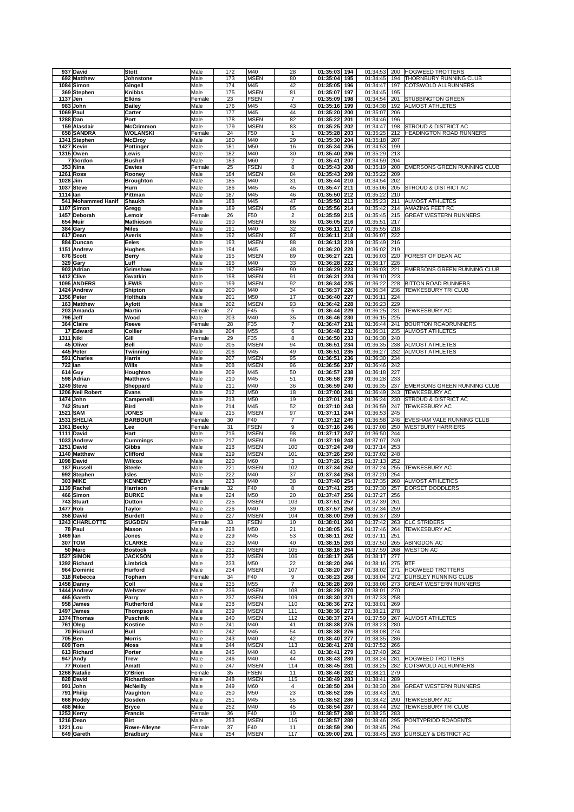|          | 937 David          | <b>Stott</b>     | Male   | 172 | M40         | 28                       | 01:35:03<br>194 | 01:34:53 | 200 | HOGWEED TROTTERS                   |
|----------|--------------------|------------------|--------|-----|-------------|--------------------------|-----------------|----------|-----|------------------------------------|
|          | 692 Matthew        | Johnstone        | Male   | 173 | <b>MSEN</b> | 80                       | 01:35:04<br>195 | 01:34:45 | 194 | THORNBURY RUNNING CLUB             |
|          | 1084 Simon         | Gingell          | Male   | 174 | M45         | 42                       | 01:35:05<br>196 | 01:34:47 | 197 | COTSWOLD ALLRUNNERS                |
|          |                    |                  |        |     |             | 81                       |                 |          |     |                                    |
|          | 369 Stephen        | <b>Knibbs</b>    | Male   | 175 | <b>MSEN</b> |                          | 01:35:07<br>197 | 01:34:45 | 195 |                                    |
|          | 1137 Jen           | <b>Elkins</b>    | Female | 23  | <b>FSEN</b> | $\overline{7}$           | 01:35:09<br>198 | 01:34:54 | 201 | <b>STUBBINGTON GREEN</b>           |
|          | 983 John           | <b>Bailey</b>    | Male   | 176 | M45         | 43                       | 01:35:16<br>199 | 01:34:38 | 192 | <b>ALMOST ATHLETES</b>             |
|          | 1069 Paul          | Carter           | Male   | 177 | M45         | 44                       | 01:35:20<br>200 | 01:35:07 | 206 |                                    |
|          | 1288 Dan           | Port             | Male   | 178 | <b>MSEN</b> | 82                       | 01:35:22<br>201 | 01:34:46 | 196 |                                    |
|          | 159 Alasdair       | <b>McCrimmon</b> | Male   | 179 | <b>MSEN</b> | 83                       | 01:35:25<br>202 | 01:34:47 | 198 | <b>STROUD &amp; DISTRICT AC</b>    |
|          | 658 SANDRA         | <b>WOLANSKI</b>  | Female | 24  | F50         | $\mathbf{1}$             | 01:35:28<br>203 | 01:35:25 | 212 | <b>HEADINGTON ROAD RUNNERS</b>     |
|          |                    |                  |        |     |             |                          |                 |          |     |                                    |
|          | 1341 Stephen       | <b>McElroy</b>   | Male   | 180 | M40         | 29                       | 01:35:30<br>204 | 01:35:18 | 207 |                                    |
|          | 1427 Kevin         | Pottinger        | Male   | 181 | M50         | 16                       | 01:35:34<br>205 | 01:34:53 | 199 |                                    |
|          | 1315 Owen          | Lewis            | Male   | 182 | M40         | 30                       | 01:35:40<br>206 | 01:35:29 | 213 |                                    |
|          | 7 Gordon           | <b>Bushell</b>   | Male   | 183 | M60         | $\overline{\mathbf{c}}$  | 01:35:41<br>207 | 01:34:59 | 204 |                                    |
|          | <b>353 Nina</b>    | <b>Davies</b>    | Female | 25  | <b>FSEN</b> | 8                        | 01:35:43<br>208 | 01:35:19 | 208 | <b>EMERSONS GREEN RUNNING CLUB</b> |
|          | <b>1261 Ross</b>   | Rooney           | Male   | 184 | <b>MSEN</b> | 84                       | 01:35:43<br>209 | 01:35:22 | 209 |                                    |
|          |                    |                  |        |     |             |                          |                 |          |     |                                    |
|          | 1028 Jim           | <b>Broughton</b> | Male   | 185 | M40         | 31                       | 01:35:44<br>210 | 01:34:54 | 202 |                                    |
|          | 1037 Steve         | Hurn             | Male   | 186 | M45         | 45                       | 01:35:47<br>211 | 01:35:06 | 205 | STROUD & DISTRICT AC               |
| 1114 Ian |                    | Pittman          | Male   | 187 | M45         | 46                       | 01:35:50<br>212 | 01:35:22 | 210 |                                    |
|          | 541 Mohammed Hanif | Shaukh           | Male   | 188 | M45         | 47                       | 01:35:50<br>213 | 01:35:23 | 211 | <b>ALMOST ATHLETES</b>             |
|          | 1107 Simon         | Gregg            | Male   | 189 | <b>MSEN</b> | 85                       | 01:35:56<br>214 | 01:35:42 | 214 | AMAZING FEET RC                    |
|          | 1457 Deborah       | Lemoir           | Female | 26  | F50         | $\mathbf 2$              | 01:35:59<br>215 | 01:35:45 | 215 | <b>GREAT WESTERN RUNNERS</b>       |
|          | 654 Muir           | Mathieson        | Male   | 190 | <b>MSEN</b> | 86                       | 01:36:05<br>216 | 01:35:51 | 217 |                                    |
|          |                    |                  |        |     |             |                          |                 |          |     |                                    |
|          | 384 Gary           | <b>Miles</b>     | Male   | 191 | M40         | 32                       | 01:36:11<br>217 | 01:35:55 | 218 |                                    |
|          | 617 Dean           | <b>Averis</b>    | Male   | 192 | <b>MSEN</b> | 87                       | 01:36:11<br>218 | 01:36:07 | 222 |                                    |
|          | 884 Duncan         | Eeles            | Male   | 193 | <b>MSEN</b> | 88                       | 01:36:13<br>219 | 01:35:49 | 216 |                                    |
|          | 1151 Andrew        | <b>Hughes</b>    | Male   | 194 | M45         | 48                       | 01:36:20<br>220 | 01:36:02 | 219 |                                    |
|          | 676 Scott          | Berry            | Male   | 195 | <b>MSEN</b> | 89                       | 01:36:27<br>221 | 01:36:03 | 220 | FOREST OF DEAN AC                  |
|          | 329 Gary           | Luff             | Male   | 196 | M40         | 33                       | 01:36:28<br>222 | 01:36:17 | 226 |                                    |
|          |                    |                  |        | 197 |             | 90                       | 01:36:29        |          |     |                                    |
|          | 903 Adrian         | Grimshaw         | Male   |     | <b>MSEN</b> |                          | 223             | 01:36:03 | 221 | EMERSONS GREEN RUNNING CLUB        |
|          | 1412 Clive         | Gwatkin          | Male   | 198 | <b>MSEN</b> | 91                       | 01:36:31<br>224 | 01:36:10 | 223 |                                    |
|          | 1095 ANDERS        | <b>LEWIS</b>     | Male   | 199 | <b>MSEN</b> | 92                       | 01:36:34<br>225 | 01:36:22 | 228 | BITTON ROAD RUNNERS                |
|          | 1424 Andrew        | Shipton          | Male   | 200 | M40         | 34                       | 01:36:37<br>226 | 01:36:34 | 236 | TEWKESBURY TRI CLUB                |
|          | 1356 Peter         | <b>Holthuis</b>  | Male   | 201 | M50         | 17                       | 01:36:40<br>227 | 01:36:11 | 224 |                                    |
|          |                    |                  |        |     |             |                          |                 |          |     |                                    |
|          | 163 Matthew        | <b>Aylott</b>    | Male   | 202 | <b>MSEN</b> | 93                       | 01:36:42<br>228 | 01:36:23 | 229 |                                    |
|          | 203 Amanda         | <b>Martin</b>    | Female | 27  | F45         | 5                        | 01:36:44<br>229 | 01:36:25 | 231 | <b>TEWKESBURY AC</b>               |
|          | 796 Jeff           | Wood             | Male   | 203 | M40         | 35                       | 01:36:46<br>230 | 01:36:15 | 225 |                                    |
|          | 364 Claire         | Reeve            | Female | 28  | F35         | $\overline{7}$           | 01:36:47<br>231 | 01:36:44 | 241 | <b>BOURTON ROADRUNNERS</b>         |
|          | 17 Edward          | Collier          | Male   | 204 | M55         | 6                        | 01:36:48<br>232 | 01:36:31 | 235 | <b>ALMOST ATHLETES</b>             |
|          | 1311 Niki          | Gill             | Female | 29  | F35         | 8                        | 01:36:50<br>233 | 01:36:38 | 240 |                                    |
|          |                    |                  |        |     |             |                          |                 |          |     |                                    |
|          | 45 Oliver          | <b>Bell</b>      | Male   | 205 | <b>MSEN</b> | 94                       | 01:36:51<br>234 | 01:36:35 | 238 | <b>ALMOST ATHLETES</b>             |
|          | 445 Peter          | Twinning         | Male   | 206 | M45         | 49                       | 01:36:51<br>235 | 01:36:27 | 232 | <b>ALMOST ATHLETES</b>             |
|          | 591 Charles        | <b>Harris</b>    | Male   | 207 | <b>MSEN</b> | 95                       | 01:36:51<br>236 | 01:36:30 | 234 |                                    |
|          | <b>722 Ian</b>     | Wills            | Male   | 208 | <b>MSEN</b> | 96                       | 01:36:56<br>237 | 01:36:46 | 242 |                                    |
|          |                    |                  |        |     |             |                          |                 |          |     |                                    |
|          | 614 Guy            | Houghton         | Male   | 209 | M45         | 50                       | 01:36:57<br>238 | 01:36:18 | 227 |                                    |
|          | 598 Adrian         | <b>Matthews</b>  | Male   | 210 | M45         | 51                       | 01:36:58<br>239 | 01:36:28 | 233 |                                    |
|          | 1249 Steve         | Sheppard         | Male   | 211 | M40         | 36                       | 01:36:59<br>240 | 01:36:35 | 237 | EMERSONS GREEN RUNNING CLUB        |
|          | 1206 Neil Robert   | <b>Evans</b>     | Male   | 212 | M50         | 18                       | 01:37:00<br>241 | 01:36:49 | 243 | <b>TEWKESBURY AC</b>               |
|          | 1474 John          | Campenelli       | Male   | 213 | M50         | 19                       | 01:37:01<br>242 | 01:36:24 | 230 | STROUD & DISTRICT AC               |
|          | 742 Stuart         | <b>Bird</b>      | Male   | 214 | M45         | 52                       | 01:37:10<br>243 | 01:36:59 | 247 | <b>TEWKESBURY AC</b>               |
|          |                    |                  |        |     |             |                          |                 |          |     |                                    |
|          | <b>1521 SAM</b>    | <b>JONES</b>     | Male   | 215 | <b>MSEN</b> | 97                       | 01:37:11<br>244 | 01:36:53 | 245 |                                    |
|          | 1531 SHELIA        | <b>BARBOUR</b>   | Female | 30  | F40         | $\overline{7}$           | 01:37:12<br>245 | 01:36:58 | 246 | EVESHAM VALE RUNNING CLUB          |
|          | 1361 Becky         | Lee              | Female | 31  | <b>FSEN</b> | 9                        | 01:37:16<br>246 | 01:37:08 | 250 | <b>WESTBURY HARRIERS</b>           |
|          | 1111 David         | Hart             | Male   | 216 | <b>MSEN</b> | 98                       | 01:37:17<br>247 | 01:36:50 | 244 |                                    |
|          | 1033 Andrew        | <b>Cummings</b>  | Male   | 217 | <b>MSEN</b> | 99                       | 01:37:19<br>248 | 01:37:07 | 249 |                                    |
|          | 1251 David         | Gibbs            | Male   |     | <b>MSEN</b> |                          |                 |          | 253 |                                    |
|          |                    |                  |        |     |             |                          |                 |          |     |                                    |
|          |                    |                  |        | 218 |             | 100                      | 01:37:24<br>249 | 01:37:14 |     |                                    |
|          | 1140 Matthew       | <b>Clifford</b>  | Male   | 219 | <b>MSEN</b> | 101                      | 01:37:26<br>250 | 01:37:02 | 248 |                                    |
|          | 1098 David         | <b>Wilcox</b>    | Male   | 220 | M60         | 3                        | 01:37:26<br>251 | 01:37:13 | 252 |                                    |
|          | 187 Russell        | <b>Steele</b>    | Male   | 221 | <b>MSEN</b> | 102                      | 01:37:34<br>252 | 01:37:24 | 255 | <b>TEWKESBURY AC</b>               |
|          |                    |                  |        |     |             |                          |                 |          |     |                                    |
|          | 992 Stephen        | <b>Isles</b>     | Male   | 222 | M40         | 37                       | 01:37:34<br>253 | 01:37:20 | 254 |                                    |
|          | <b>303 MIKE</b>    | <b>KENNEDY</b>   | Male   | 223 | M40         | 38                       | 01:37:40<br>254 | 01:37:35 | 260 | <b>ALMOST ATHLETICS</b>            |
|          | 1139 Rachel        | <b>Harrison</b>  | Female | 32  | F40         | 8                        | 01:37:41<br>255 | 01:37:30 | 257 | DORSET DODDLERS                    |
|          | 466 Simon          | <b>BURKE</b>     | Male   | 224 | M50         | 20                       | 01:37:47<br>256 | 01:37:27 | 256 |                                    |
|          |                    | <b>Dutton</b>    |        | 225 |             | 103                      |                 | 01:37:39 |     |                                    |
|          | 743 Stuart         |                  | Male   |     | MSEN        |                          | 01:37:51<br>257 |          | 261 |                                    |
|          | 1477 Rob           | Taylor           | Male   | 226 | M40         | 39                       | 01:37:57<br>258 | 01:37:34 | 259 |                                    |
|          | 358 David          | <b>Burdett</b>   | Male   | 227 | <b>MSEN</b> | 104                      | 01:38:00<br>259 | 01:36:37 | 239 |                                    |
|          | 1243 CHARLOTTE     | <b>SUGDEN</b>    | Female | 33  | <b>FSEN</b> | 10                       | 01:38:01<br>260 | 01:37:42 | 263 | <b>CLC STRIDERS</b>                |
|          | 78 Paul            | <b>Mason</b>     | Male   | 228 | M50         | 21                       | 01:38:05<br>261 | 01:37:46 | 264 | <b>TEWKESBURY AC</b>               |
| 1469 lan |                    | Jones            | Male   | 229 | M45         | 53                       | 01:38:11<br>262 | 01:37:11 | 251 |                                    |
|          | 307 TOM            | <b>CLARKE</b>    | Male   | 230 | M40         | 40                       | 01:38:15<br>263 | 01:37:50 | 265 | ABINGDON AC                        |
|          | 50 Marc            | <b>Bostock</b>   | Male   | 231 | <b>MSEN</b> | 105                      | 01:38:16<br>264 | 01:37:59 | 268 | <b>WESTON AC</b>                   |
|          |                    |                  |        |     |             |                          |                 |          |     |                                    |
|          | <b>1527 SIMON</b>  | <b>JACKSON</b>   | Male   | 232 | <b>MSEN</b> | 106                      | 01:38:17<br>265 | 01:38:17 | 277 |                                    |
|          | 1392 Richard       | Limbrick         | Male   | 233 | M50         | 22                       | 01:38:20<br>266 | 01:38:16 | 275 | <b>BTF</b>                         |
|          | 964 Dominic        | <b>Hurford</b>   | Male   | 234 | <b>MSEN</b> | 107                      | 01:38:20<br>267 | 01:38:02 | 271 | <b>HOGWEED TROTTERS</b>            |
|          | 318 Rebecca        | Topham           | Female | 34  | F40         | 9                        | 01:38:23<br>268 | 01:38:04 | 272 | DURSLEY RUNNING CLUB               |
|          | 1458 Danny         | Coll             | Male   | 235 | M55         | $\overline{\mathcal{I}}$ | 01:38:28<br>269 | 01:38:06 | 273 | <b>GREAT WESTERN RUNNERS</b>       |
|          | 1444 Andrew        | Webster          | Male   | 236 | <b>MSEN</b> | 108                      | 01:38:29<br>270 | 01:38:01 | 270 |                                    |
|          | 465 Gareth         | Parry            |        |     |             |                          |                 | 01:37:33 |     |                                    |
|          |                    |                  | Male   | 237 | <b>MSEN</b> | 109                      | 01:38:30<br>271 |          | 258 |                                    |
|          | 958 James          | Rutherford       | Male   | 238 | <b>MSEN</b> | 110                      | 01:38:36<br>272 | 01:38:01 | 269 |                                    |
|          | 1497 James         | <b>Thompson</b>  | Male   | 239 | <b>MSEN</b> | 111                      | 01:38:36<br>273 | 01:38:21 | 278 |                                    |
|          | 1374 Thomas        | Puschnik         | Male   | 240 | <b>MSEN</b> | 112                      | 01:38:37<br>274 | 01:37:59 | 267 | <b>ALMOST ATHLETES</b>             |
|          | 761 Oleg           | Kostine          | Male   | 241 | M40         | 41                       | 01:38:38<br>275 | 01:38:23 | 280 |                                    |
|          |                    |                  |        |     |             |                          |                 |          | 274 |                                    |
|          | 70 Richard         | <b>Bull</b>      | Male   | 242 | M45         | 54                       | 01:38:38<br>276 | 01:38:08 |     |                                    |
|          | 705 Ben            | <b>Morris</b>    | Male   | 243 | M40         | 42                       | 01:38:40<br>277 | 01:38:35 | 286 |                                    |
|          | 609 Tom            | <b>Moss</b>      | Male   | 244 | <b>MSEN</b> | 113                      | 01:38:41<br>278 | 01:37:52 | 266 |                                    |
|          | 613 Richard        | Porter           | Male   | 245 | M40         | 43                       | 01:38:41<br>279 | 01:37:40 | 262 |                                    |
|          | 947 Andy           | Trew             | Male   | 246 | M40         | 44                       | 01:38:43<br>280 | 01:38:24 | 281 | <b>HOGWEED TROTTERS</b>            |
|          | 77 Robert          | Amatt            | Male   | 247 | <b>MSEN</b> | 114                      | 01:38:45<br>281 | 01:38:25 | 282 | COTSWOLD ALLRUNNERS                |
|          |                    |                  |        |     |             |                          |                 |          |     |                                    |
|          | 1268 Natalie       | O'Brien          | Female | 35  | <b>FSEN</b> | 11                       | 01:38:46<br>282 | 01:38:21 | 279 |                                    |
|          | 828 David          | Richardson       | Male   | 248 | <b>MSEN</b> | 115                      | 01:38:49<br>283 | 01:38:41 | 289 |                                    |
|          | 991 John           | <b>McNeilly</b>  | Male   | 249 | M60         | $\overline{4}$           | 01:38:50<br>284 | 01:38:30 | 284 | GREAT WESTERN RUNNERS              |
|          | 791 Philip         | Vaughton         | Male   | 250 | M50         | 23                       | 01:38:52<br>285 | 01:38:43 | 291 |                                    |
|          | 668 Roddy          | Gosden           | Male   | 251 | M45         | 55                       | 01:38:52<br>286 | 01:38:42 | 290 | TEWKESBURY AC                      |
|          |                    |                  |        |     |             |                          |                 |          |     |                                    |
|          | 488 Mike           | <b>Bryce</b>     | Male   | 252 | M40         | 45                       | 01:38:54<br>287 | 01:38:44 | 292 | <b>TEWKESBURY TRI CLUB</b>         |
|          | 1253 Kerry         | Francis          | Female | 36  | F40         | 10                       | 01:38:57<br>288 | 01:38:25 | 283 |                                    |
|          | 1216 Dean          | <b>Birt</b>      | Male   | 253 | <b>MSEN</b> | 116                      | 01:38:57<br>289 | 01:38:46 | 295 | PONTYPRIDD ROADENTS                |
|          | 1221 Lou           | Rowe-Alleyne     | Female | 37  | F40         | 11                       | 01:38:59<br>290 | 01:38:45 | 294 |                                    |
|          | 649 Gareth         | <b>Bradbury</b>  | Male   | 254 | <b>MSEN</b> | 117                      | 01:39:00<br>291 | 01:38:45 | 293 | DURSLEY & DISTRICT AC              |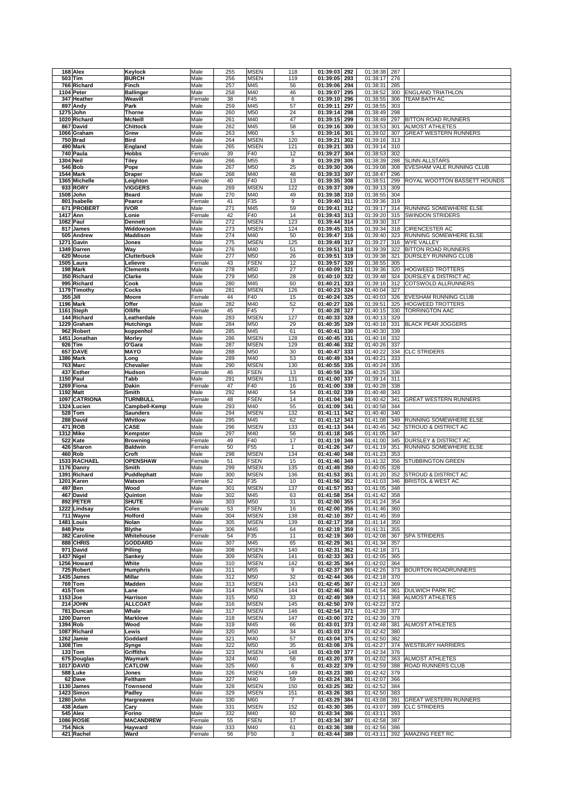|                               | Keylock                          | Male           | 255        | <b>MSEN</b>                | 118            | 01:39:03<br>292                    | 01:38:38             | 287        |                                                   |
|-------------------------------|----------------------------------|----------------|------------|----------------------------|----------------|------------------------------------|----------------------|------------|---------------------------------------------------|
| 503 Tim                       | <b>BURCH</b><br>Finch            | Male<br>Male   | 256        | <b>MSEN</b><br>M45         | 119            | 01:39:05<br>293<br>294             | 01:38:17<br>01:38:31 | 276<br>285 |                                                   |
| 766 Richard<br>1104 Peter     | <b>Ballinger</b>                 | Male           | 257<br>258 | M40                        | 56<br>46       | 01:39:06<br>01:39:07<br>295        | 01:38:52             | 300        | <b>ENGLAND TRIATHLON</b>                          |
| 347 Heather                   | Weavill                          | Female         | 38         | F45                        | 6              | 01:39:10<br>296                    | 01:38:55             | 306        | TEAM BATH AC                                      |
| 897 Andy                      | Park                             | Male           | 259        | M45                        | 57             | 01:39:11<br>297                    | 01:38:55             | 303        |                                                   |
| 1275 John                     | <b>Thorne</b>                    | Male           | 260        | M50                        | 24             | 01:39:14<br>298                    | 01:38:49             | 298        |                                                   |
| 1020 Richard                  | <b>McNeill</b>                   | Male           | 261        | M40                        | 47             | 01:39:15<br>299                    | 01:38:49             | 297        | <b>BITTON ROAD RUNNERS</b>                        |
| 867 David                     | <b>Chittock</b>                  | Male           | 262        | M45                        | 58             | 01:39:16<br>300                    | 01:38:53             | 301        | <b>ALMOST ATHLETES</b>                            |
| 1066 Graham                   | Grew                             | Male           | 263        | M60                        | 5              | 01:39:16<br>301                    | 01:39:02             | 307        | <b>GREAT WESTERN RUNNERS</b>                      |
| 750 Brad<br>490 Mark          | <b>Bird</b>                      | Male<br>Male   | 264<br>265 | <b>MSEN</b><br><b>MSEN</b> | 120<br>121     | 01:39:21<br>302<br>01:39:21<br>303 | 01:39:16<br>01:39:14 | 313<br>310 |                                                   |
| 740 Paula                     | England<br><b>Hobbs</b>          | Female         | 39         | F40                        | 12             | 01:39:27<br>304                    | 01:38:53             | 302        |                                                   |
| 1304 Neil                     | <b>Tiley</b>                     | Male           | 266        | M55                        | 8              | 01:39:29<br>305                    | 01:38:39             | 288        | <b>SLINN ALLSTARS</b>                             |
| <b>546 Bob</b>                | Pope                             | Male           | 267        | M50                        | 25             | 01:39:30<br>306                    | 01:39:08             | 308        | EVESHAM VALE RUNNING CLUB                         |
| 1544 Mark                     | <b>Draper</b>                    | Male           | 268        | M40                        | 48             | 01:39:33<br>307                    | 01:38:47             | 296        |                                                   |
| 1365 Michelle                 | Leighton                         | Female         | 40         | F40                        | 13             | 01:39:35<br>308                    | 01:38:51             | 299        | ROYAL WOOTTON BASSETT HOUNDS                      |
| 933 RORY                      | <b>VIGGERS</b>                   | Male           | 269        | <b>MSEN</b>                | 122            | 01:39:37<br>309                    | 01:39:13             | 309        |                                                   |
| 1508 John                     | <b>Beard</b>                     | Male           | 270        | M40                        | 49             | 01:39:38<br>310                    | 01:38:55             | 304        |                                                   |
| 801 Isabelle                  | Pearce                           | Female         | 41         | F35                        | 9              | 01:39:40<br>311                    | 01:39:36             | 319        |                                                   |
| 671 PROBERT<br>1417 Ann       | <b>IVOR</b><br>Lonie             | Male<br>Female | 271<br>42  | M45<br>F40                 | 59<br>14       | 01:39:41<br>312<br>01:39:43<br>313 | 01:39:17<br>01:39:20 | 314<br>315 | RUNNING SOMEWHERE ELSE<br><b>SWINDON STRIDERS</b> |
| 1082 Paul                     | <b>Dennett</b>                   | Male           | 272        | <b>MSEN</b>                | 123            | 01:39:44<br>314                    | 01:39:30             | 317        |                                                   |
| 817 James                     | Widdowson                        | Male           | 273        | <b>MSEN</b>                | 124            | 01:39:45<br>315                    | 01:39:34             | 318        | CIRENCESTER AC                                    |
| 505 Andrew                    | Maddison                         | Male           | 274        | M40                        | 50             | 01:39:47<br>316                    | 01:39:40             | 323        | RUNNING SOMEWHERE ELSE                            |
| 1271 Gavin                    | Jones                            | Male           | 275        | <b>MSEN</b>                | 125            | 01:39:49<br>317                    | 01:39:27             | 316        | <b>WYE VALLEY</b>                                 |
| 1349 Darren                   | Way                              | Male           | 276        | M40                        | 51             | 01:39:51<br>318                    | 01:39:39             | 322        | <b>BITTON ROAD RUNNERS</b>                        |
| 620 Mouse                     | <b>Clutterbuck</b>               | Male           | 277        | M50                        | 26             | 01:39:51<br>319                    | 01:39:38             | 321        | DURSLEY RUNNING CLUB                              |
| 1505 Laura                    | Lelievre                         | Female         | 43         | <b>FSEN</b>                | 12             | 01:39:57<br>320                    | 01:38:55             | 305        |                                                   |
| 198 Mark<br>350 Richard       | <b>Clements</b><br>Clarke        | Male<br>Male   | 278<br>279 | M50<br>M50                 | 27<br>28       | 01:40:09<br>321<br>01:40:10<br>322 | 01:39:36<br>01:39:48 | 320<br>324 | HOGWEED TROTTERS<br>DURSLEY & DISTRICT AC         |
| 995 Richard                   | Cook                             | Male           | 280        | M45                        | 60             | 01:40:21<br>323                    | 01:39:16             | 312        | <b>COTSWOLD ALLRUNNERS</b>                        |
| 1179 Timothy                  | Cocks                            | Male           | 281        | <b>MSEN</b>                | 126            | 01:40:23<br>324                    | 01:40:04             | 327        |                                                   |
| 355 Jill                      | Moore                            | Female         | 44         | F40                        | 15             | 01:40:24<br>325                    | 01:40:03             | 326        | EVESHAM RUNNING CLUB                              |
| 1196 Mark                     | Offer                            | Male           | 282        | M40                        | 52             | 01:40:27<br>326                    | 01:39:51             | 325        | <b>HOGWEED TROTTERS</b>                           |
| 1161 Steph                    | Olliffe                          | Female         | 45         | F45                        | $\overline{7}$ | 01:40:28<br>327                    | 01:40:15             | 330        | <b>TORRINGTON AAC</b>                             |
| 144 Richard                   | Leatherdale                      | Male           | 283        | <b>MSEN</b>                | 127            | 01:40:33<br>328                    | 01:40:13             | 329        |                                                   |
| 1229 Graham                   | <b>Hutchings</b>                 | Male           | 284        | M50                        | 29             | 01:40:35<br>329                    | 01:40:16             | 331        | <b>BLACK PEAR JOGGERS</b>                         |
| 962 Robert                    | koppenhol                        | Male           | 285        | M45                        | 61             | 01:40:41<br>330                    | 01:40:30             | 339        |                                                   |
| 1451 Jonathan<br>926 Tim      | <b>Morley</b><br>O'Gara          | Male<br>Male   | 286<br>287 | <b>MSEN</b><br><b>MSEN</b> | 128<br>129     | 01:40:45<br>331<br>01:40:46<br>332 | 01:40:18<br>01:40:26 | 332<br>337 |                                                   |
| <b>657 DAVE</b>               | <b>MAYO</b>                      | Male           | 288        | M50                        | 30             | 01:40:47<br>333                    | 01:40:22             | 334        | <b>CLC STRIDERS</b>                               |
| 1386 Mark                     | Long                             | Male           | 289        | M40                        | 53             | 01:40:49<br>334                    | 01:40:21             | 333        |                                                   |
| 763 Marc                      | Chevalier                        | Male           | 290        | <b>MSEN</b>                | 130            | 01:40:55<br>335                    | 01:40:24             | 335        |                                                   |
| 437 Esther                    | Hudson                           | Female         | 46         | <b>FSEN</b>                | 13             | 01:40:59<br>336                    | 01:40:25             | 336        |                                                   |
| 1150 Paul                     | Tabb                             | Male           | 291        | <b>MSEN</b>                | 131            | 01:41:00<br>337                    | 01:39:14             | 311        |                                                   |
| 1269 Fiona                    | Dakin                            | Female         | 47         | F40                        | 16             | 01:41:00<br>338                    | 01:40:28             | 338        |                                                   |
| 1192 Matt                     | Smith                            | Male           | 292        | M40                        | 54             | 01:41:02<br>339                    | 01:40:48             | 343        |                                                   |
| 1097 CATRIONA                 | <b>TURNBULL</b>                  | Female         | 48         | <b>FSEN</b>                | 14             | 01:41:04<br>340                    | 01:40:42             | 341        | <b>GREAT WESTERN RUNNERS</b>                      |
| 1324 Lucien<br>528 Tom        | Campbell-Kemp<br><b>Saunders</b> | Male<br>Male   | 293<br>294 | M40<br><b>MSEN</b>         | 55<br>132      | 01:41:09<br>341<br>01:41:11<br>342 | 01:40:58<br>01:40:40 | 344<br>340 |                                                   |
| 288 David                     | Whitlow                          | Male           | 295        | M45                        | 62             | 01:41:12<br>343                    | 01:41:08             | 349        | RUNNING SOMEWHERE ELSE                            |
| 471 ROB                       | <b>CASE</b>                      | Male           | 296        | <b>MSEN</b>                | 133            | 01:41:13<br>344                    | 01:40:45             | 342        | STROUD & DISTRICT AC                              |
| 1312 Mike                     | Kempster                         | Male           | 297        | M40                        | 56             | 01:41:18<br>345                    | 01:41:05             | 347        |                                                   |
|                               |                                  |                |            |                            |                |                                    |                      |            |                                                   |
| 522 Kate                      | <b>Browning</b>                  | Female         | 49         | F40                        | 17             | 01:41:19<br>346                    | 01:41:00             | 345        | DURSLEY & DISTRICT AC                             |
| 426 Sharon                    | <b>Baldwin</b>                   | Female         | 50         | F <sub>55</sub>            | $\mathbf{1}$   | 01:41:26<br>347                    | 01:41:19             | 351        | RUNNING SOMEWHERE ELSE                            |
| 460 Rob                       | Croft                            | Male           | 298        | <b>MSEN</b>                | 134            | 01:41:40<br>348                    | 01:41:23             | 353        |                                                   |
| 1533 RACHAEL                  | <b>OPENSHAW</b>                  | Female         | 51         | <b>FSEN</b>                | 15             | 01:41:46<br>349                    | 01:41:32             | 356        | <b>STUBBINGTON GREEN</b>                          |
| 1176 Danny                    | Smith                            | Male           | 299        | <b>MSEN</b>                | 135            | 01:41:49<br>350                    | 01:40:05             | 328        |                                                   |
| 1391 Richard                  | Puddlephatt                      | Male           | 300        | <b>MSEN</b>                | 136            | 01:41:53<br>351                    | 01:41:20             | 352        | STROUD & DISTRICT AC                              |
| 1201 Karen                    | Watson                           | Female         | 52         | F35                        | 10             | 01:41:56<br>352                    | 01:41:03             | 346        | BRISTOL & WEST AC                                 |
| 497 Ben<br>467 David          | Wood<br>Quinton                  | Male<br>Male   | 301<br>302 | <b>MSEN</b><br>M45         | 137<br>63      | 01:41:57<br>353<br>01:41:58<br>354 | 01:41:05<br>01:41:42 | 348<br>358 |                                                   |
| 892 PETER                     | <b>SHUTE</b>                     | Male           | 303        | M50                        | 31             | 01:42:00 355                       | 01:41:24             | 354        |                                                   |
| 1222 Lindsay                  | Coles                            | Female         | 53         | <b>FSEN</b>                | 16             | 01:42:00 356                       | 01:41:46             | 360        |                                                   |
| 711 Wayne                     | <b>Holford</b>                   | Male           | 304        | <b>MSEN</b>                | 138            | 01:42:10<br>357                    | 01:41:45             | 359        |                                                   |
| 1481 Louis                    | Nolan                            | Male           | 305        | <b>MSEN</b>                | 139            | 01:42:17<br>358                    | 01:41:14             | 350        |                                                   |
| 848 Pete                      | <b>Blythe</b>                    | Male           | 306        | M45                        | 64             | 01:42:19<br>359                    | 01:41:31             | 355        |                                                   |
| 382 Caroline                  | Whitehouse                       | Female         | 54         | F35                        | 11             | 01:42:19<br>360                    | 01:42:08             | 367        | <b>SPA STRIDERS</b>                               |
| 888 CHRIS                     | <b>GODDARD</b>                   | Male           | 307        | M45                        | 65             | 01:42:29<br>361                    | 01:41:34             | 357        |                                                   |
| 971 David<br>1437 Nigel       | Pilling<br><b>Sankey</b>         | Male<br>Male   | 308<br>309 | <b>MSEN</b><br><b>MSEN</b> | 140<br>141     | 01:42:31<br>362<br>01:42:33<br>363 | 01:42:18<br>01:42:05 | 371<br>365 |                                                   |
| 1256 Howard                   | White                            | Male           | 310        | <b>MSEN</b>                | 142            | 01:42:35<br>364                    | 01:42:02             | 364        |                                                   |
| 725 Robert                    | <b>Humphris</b>                  | Male           | 311        | M55                        | 9              | 01:42:37<br>365                    | 01:42:26             | 373        | <b>BOURTON ROADRUNNERS</b>                        |
| 1435 James                    | Millar                           | Male           | 312        | M50                        | 32             | 01:42:44<br>366                    | 01:42:18             | 370        |                                                   |
| <b>769 Tom</b>                | Madden                           | Male           | 313        | <b>MSEN</b>                | 143            | 01:42:45<br>367                    | 01:42:13             | 369        |                                                   |
| 415 Tom                       | Lane                             | Male           | 314        | <b>MSEN</b>                | 144            | 01:42:46<br>368                    | 01:41:54             | 361        | <b>DULWICH PARK RC</b>                            |
| 1153 Joe                      | Harrison                         | Male           | 315        | M50                        | 33             | 01:42:49<br>369                    | 01:42:11             | 368        | <b>ALMOST ATHLETES</b>                            |
| 214 JOHN                      | <b>ALLCOAT</b><br>Whale          | Male           | 316<br>317 | <b>MSEN</b>                | 145<br>146     | 01:42:50<br>370<br>371             | 01:42:22             | 372<br>377 |                                                   |
| 781 Duncan<br>1200 Darren     | <b>Marklove</b>                  | Male<br>Male   | 318        | <b>MSEN</b><br><b>MSEN</b> | 147            | 01:42:54<br>01:43:00<br>372        | 01:42:39<br>01:42:39 | 378        |                                                   |
| 1394 Rob                      | Wood                             | Male           | 319        | M45                        | 66             | 01:43:01<br>373                    | 01:42:48             | 381        | <b>ALMOST ATHLETES</b>                            |
| 1087 Richard                  | Lewis                            | Male           | 320        | M50                        | 34             | 01:43:03<br>374                    | 01:42:42             | 380        |                                                   |
| 1262 Jamie                    | Goddard                          | Male           | 321        | M40                        | 57             | 01:43:04<br>375                    | 01:42:50             | 382        |                                                   |
| 1308 Tim                      | Synge                            | Male           | 322        | M50                        | 35             | 01:43:08<br>376                    | 01:42:27             | 374        | <b>WESTBURY HARRIERS</b>                          |
| 133 Tom                       | <b>Griffiths</b>                 | Male           | 323        | <b>MSEN</b>                | 148            | 01:43:09<br>377                    | 01:42:34             | 376        |                                                   |
| 675 Douglas                   | Waymark                          | Male           | 324        | M40                        | 58             | 01:43:20<br>378                    | 01:42:02             | 363        | <b>ALMOST ATHLETES</b>                            |
| <b>1017 DAVID</b><br>588 Luke | <b>CATLOW</b><br>Jones           | Male<br>Male   | 325<br>326 | M60<br><b>MSEN</b>         | 6<br>149       | 01:43:22<br>379<br>01:43:23<br>380 | 01:42:59<br>01:42:42 | 388<br>379 | ROAD RUNNERS CLUB                                 |
| 62 Dave                       | Feltham                          | Male           | 327        | M40                        | 59             | 01:43:24<br>381                    | 01:42:07             | 366        |                                                   |
| 1130 James                    | Townsend                         | Male           | 328        | <b>MSEN</b>                | 150            | 01:43:25<br>382                    | 01:42:52             | 384        |                                                   |
| 1423 Simon                    | Padley                           | Male           | 329        | <b>MSEN</b>                | 151            | 01:43:26<br>383                    | 01:42:50             | 383        |                                                   |
| 1280 John                     | Hargreaves                       | Male           | 330        | M60                        | $\overline{7}$ | 01:43:29<br>384                    | 01:43:08             | 391        | <b>GREAT WESTERN RUNNERS</b>                      |
| 438 Adam                      | Cary                             | Male           | 331        | <b>MSEN</b>                | 152            | 01:43:30<br>385                    | 01:43:07             | 389        | <b>CLC STRIDERS</b>                               |
| 545 Alex                      | Forino                           | Male           | 332        | M40                        | 60             | 01:43:34<br>386                    | 01:43:11             | 393        |                                                   |
| <b>1086 ROSIE</b>             | <b>MACANDREW</b>                 | Female         | 55         | <b>FSEN</b>                | 17             | 01:43:34<br>387                    | 01:42:58             | 387        |                                                   |
| <b>754 Nick</b><br>421 Rachel | Hayward<br>Ward                  | Male<br>Female | 333<br>56  | M40<br>F50                 | 61<br>3        | 01:43:36<br>388<br>01:43:44<br>389 | 01:42:56<br>01:43:11 | 386        | 392 AMAZING FEET RC                               |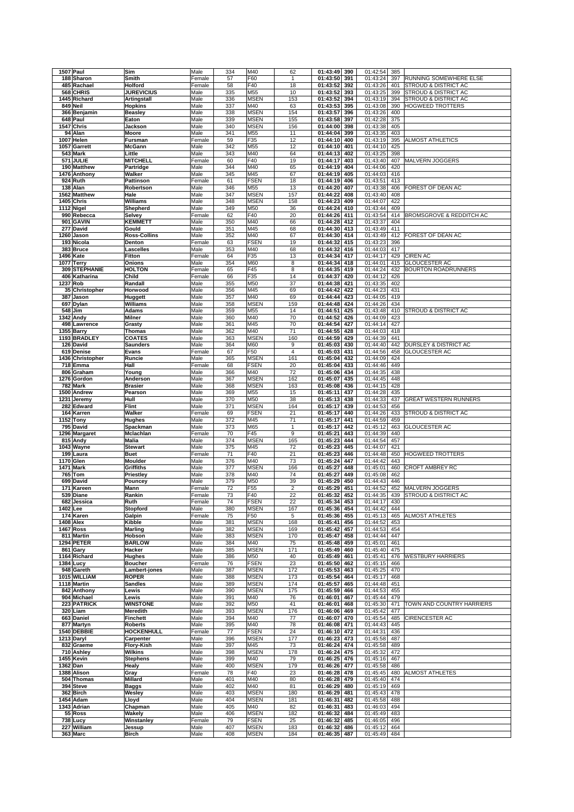| 1507 Paul        | Sim                 | Male   | 334 | M40         | 62             | 01:43:49       | 390 | 01:42:54     | 385 |                                     |
|------------------|---------------------|--------|-----|-------------|----------------|----------------|-----|--------------|-----|-------------------------------------|
|                  |                     |        |     |             |                | 01:43:50       |     |              |     | RUNNING SOMEWHERE ELSE              |
| 188 Sharon       | Smith               | Female | 57  | F60         | $\mathbf{1}$   |                | 391 | 01:43:24     | 397 |                                     |
| 485 Rachael      | Holford             | Female | 58  | F40         | 18             | 01:43:52       | 392 | 01:43:26     | 401 | STROUD & DISTRICT AC                |
| 568 CHRIS        | <b>JUREVICIUS</b>   | Male   | 335 | M55         | 10             | 01:43:52       | 393 | 01:43:25     | 399 | STROUD & DISTRICT AC                |
| 1445 Richard     | Artingstall         | Male   | 336 | <b>MSEN</b> | 153            | 01:43:52       | 394 | 01:43:19     | 394 | STROUD & DISTRICT AC                |
|                  |                     |        |     |             |                |                |     |              |     |                                     |
| 849 Neil         | <b>Hopkins</b>      | Male   | 337 | M40         | 63             | 01:43:53       | 395 | 01:43:08     | 390 | <b>HOGWEED TROTTERS</b>             |
| 366 Benjamin     | <b>Beasley</b>      | Male   | 338 | <b>MSEN</b> | 154            | 01:43:57       | 396 | 01:43:26     | 400 |                                     |
| 648 Paul         | Eaton               | Male   | 339 | <b>MSEN</b> | 155            | 01:43:58       | 397 | 01:42:28     | 375 |                                     |
|                  |                     |        |     |             |                |                |     |              |     |                                     |
| 1547 Chris       | Jackson             | Male   | 340 | <b>MSEN</b> | 156            | 01:44:00       | 398 | 01:43:38     | 405 |                                     |
| 94 Alan          | Moore               | Male   | 341 | M55         | 11             | 01:44:04       | 399 | 01:43:35     | 403 |                                     |
| 1007 Helen       | Fursman             | Female | 59  | F35         | 12             | 01:44:10       | 400 | 01:43:19     | 395 | <b>ALMOST ATHLETICS</b>             |
|                  |                     |        |     |             |                |                |     |              |     |                                     |
| 1057 Garrett     | <b>McGann</b>       | Male   | 342 | M55         | 12             | 01:44:10       | 401 | 01:44:10     | 425 |                                     |
| 543 Mark         | Little              | Male   | 343 | M40         | 64             | 01:44:13       | 402 | 01:43:25     | 398 |                                     |
| 571 JULIE        | <b>MITCHELL</b>     | Female | 60  | F40         | 19             | 01:44:17       | 403 | 01:43:40     | 407 | MALVERN JOGGERS                     |
|                  |                     |        |     |             |                | 01:44:19       |     | 01:44:06     |     |                                     |
| 190 Matthew      | Partridge           | Male   | 344 | M40         | 65             |                | 404 |              | 420 |                                     |
| 1476 Anthony     | Walker              | Male   | 345 | M45         | 67             | 01:44:19       | 405 | 01:44:03     | 416 |                                     |
| 924 Ruth         | Pattinson           | Female | 61  | <b>FSEN</b> | 18             | 01:44:19       | 406 | 01:43:51     | 413 |                                     |
|                  |                     |        |     |             |                |                | 407 |              |     |                                     |
| 138 Alan         | Robertson           | Male   | 346 | M55         | 13             | 01:44:20       |     | 01:43:38     | 406 | FOREST OF DEAN AC                   |
| 1562 Matthew     | Hale                | Male   | 347 | <b>MSEN</b> | 157            | 01:44:22       | 408 | 01:43:40     | 408 |                                     |
| 1405 Chris       | <b>Williams</b>     | Male   | 348 | <b>MSEN</b> | 158            | 01:44:23       | 409 | 01:44:07     | 422 |                                     |
|                  |                     |        |     |             |                |                |     |              |     |                                     |
| 1112 Nigel       | Shepherd            | Male   | 349 | M50         | 36             | 01:44:24       | 410 | 01:43:44     | 409 |                                     |
| 990 Rebecca      | Selvey              | Female | 62  | F40         | 20             | 01:44:26       | 411 | 01:43:54     | 414 | <b>BROMSGROVE &amp; REDDITCH AC</b> |
| 901 GAVIN        | <b>KEMMETT</b>      | Male   | 350 | M40         | 66             | 01:44:28       | 412 | 01:43:37     | 404 |                                     |
|                  |                     |        |     |             |                |                |     |              |     |                                     |
| 277 David        | Gould               | Male   | 351 | M45         | 68             | 01:44:30       | 413 | 01:43:49     | 411 |                                     |
| 1260 Jason       | <b>Ross-Collins</b> | Male   | 352 | M40         | 67             | 01:44:30       | 414 | 01:43:49     | 412 | FOREST OF DEAN AC                   |
| 193 Nicola       | Denton              | Female | 63  | <b>FSEN</b> | 19             | 01:44:32       | 415 | 01:43:23     | 396 |                                     |
|                  |                     |        |     |             |                |                |     |              |     |                                     |
| 383 Bruce        | Lascelles           | Male   | 353 | M40         | 68             | 01:44:32       | 416 | 01:44:03     | 417 |                                     |
| <b>1496 Kate</b> | <b>Fitton</b>       | Female | 64  | F35         | 13             | 01:44:34       | 417 | 01:44:17     | 429 | <b>CIREN AC</b>                     |
| 1077 Terry       | Onions              | Male   | 354 | M60         | 8              | 01:44:34       | 418 | 01:44:01     | 415 | <b>GLOUCESTER AC</b>                |
|                  |                     |        |     |             |                |                |     |              |     |                                     |
| 309 STEPHANIE    | <b>HOLTON</b>       | Female | 65  | F45         | 8              | 01:44:35       | 419 | 01:44:24     | 432 | <b>BOURTON ROADRUNNERS</b>          |
| 406 Katharina    | Child               | Female | 66  | F35         | 14             | 01:44:37       | 420 | 01:44:12     | 426 |                                     |
| 1237 Rob         | Randall             | Male   | 355 | M50         | 37             | 01:44:38       | 421 | 01:43:35     | 402 |                                     |
|                  |                     |        |     |             |                |                |     |              |     |                                     |
| 35 Christopher   | Horwood             | Male   | 356 | M45         | 69             | 01:44:42       | 422 | 01:44:23     | 431 |                                     |
| 387 Jason        | Huggett             | Male   | 357 | M40         | 69             | 01:44:44       | 423 | 01:44:05     | 419 |                                     |
| 697 Dylan        | Williams            | Male   | 358 | <b>MSEN</b> | 159            | 01:44:48       | 424 | 01:44:26     | 434 |                                     |
|                  |                     |        |     |             |                |                |     |              |     |                                     |
| 548 Jim          | <b>Adams</b>        | Male   | 359 | M55         | 14             | 01:44:51       | 425 | 01:43:48     | 410 | STROUD & DISTRICT AC                |
| 1342 Andy        | <b>Milner</b>       | Male   | 360 | M40         | 70             | 01:44:52       | 426 | 01:44:09     | 423 |                                     |
|                  |                     |        |     |             |                |                |     |              |     |                                     |
| 498 Lawrence     | Grasty              | Male   | 361 | M45         | 70             | 01:44:54       | 427 | 01:44:14     | 427 |                                     |
| 1355 Barry       | <b>Thomas</b>       | Male   | 362 | M40         | 71             | 01:44:55       | 428 | 01:44:03     | 418 |                                     |
| 1193 BRADLEY     | <b>COATES</b>       | Male   | 363 | <b>MSEN</b> | 160            | 01:44:59       | 429 | 01:44:39     | 441 |                                     |
|                  |                     |        |     |             |                |                |     |              |     |                                     |
| 126 David        | <b>Saunders</b>     | Male   | 364 | M60         | 9              | 01:45:03       | 430 | 01:44:40     | 442 | <b>DURSLEY &amp; DISTRICT AC</b>    |
| 619 Denise       | Evans               | Female | 67  | F50         | $\overline{4}$ | 01:45:03       | 431 | 01:44:56     | 458 | <b>GLOUCESTER AC</b>                |
| 1436 Christopher | Runcie              | Male   | 365 | <b>MSEN</b> | 161            | 01:45:04       | 432 | 01:44:09     | 424 |                                     |
|                  |                     |        |     |             |                |                |     |              |     |                                     |
| 718 Emma         | Hall                | Female | 68  | <b>FSEN</b> | 20             | 01:45:04       | 433 | 01:44:46     | 449 |                                     |
| 806 Graham       | Young               | Male   | 366 | M40         | 72             | 01:45:06       | 434 | 01:44:35     | 438 |                                     |
| 1276 Gordon      | Anderson            | Male   | 367 | <b>MSEN</b> | 162            | 01:45:07       | 435 | 01:44:45     | 448 |                                     |
|                  |                     |        |     |             |                |                |     |              |     |                                     |
| 782 Mark         | <b>Brasier</b>      | Male   | 368 | <b>MSEN</b> | 163            | 01:45:08       | 436 | 01:44:15     | 428 |                                     |
| 1500 Andrew      | Pearson             | Male   | 369 | M55         | 15             | 01:45:11       | 437 | 01:44:28     | 435 |                                     |
|                  | Hull                | Male   | 370 | M50         | 38             | 01:45:13       | 438 | 01:44:33     | 437 | <b>GREAT WESTERN RUNNERS</b>        |
|                  |                     |        |     |             |                |                |     |              |     |                                     |
| 1231 Jeremy      |                     |        |     |             |                |                |     |              |     |                                     |
| 282 Edward       | <b>Flint</b>        | Male   | 371 | <b>MSEN</b> | 164            | 01:45:17       | 439 | 01:44:53     | 456 |                                     |
|                  |                     |        |     | <b>FSEN</b> |                |                | 440 |              |     |                                     |
| 164 Karren       | Walker              | Female | 69  |             | 21             | 01:45:17       |     | 01:44:26     | 433 | STROUD & DISTRICT AC                |
| 1152 Tony        | <b>Hughes</b>       | Male   | 372 | M45         | 71             | 01:45:17       | 441 | 01:44:59     | 459 |                                     |
| 795 David        | Spackman            | Male   | 373 | M65         | 1              | 01:45:17       | 442 | 01:45:12     | 463 | <b>GLOUCESTER AC</b>                |
|                  |                     |        |     |             |                |                |     |              |     |                                     |
| 1296 Margaret    | Mclachlan           | Female | 70  | F45         | 9              | 01:45:21       | 443 | 01:44:39     | 440 |                                     |
| 815 Andy         | <b>Malia</b>        | Male   | 374 | <b>MSEN</b> | 165            | 01:45:23       | 444 | 01:44:54     | 457 |                                     |
| 1043 Wayne       | <b>Stewart</b>      | Male   | 375 | M45         | 72             | 01:45:23       | 445 | 01:44:07     | 421 |                                     |
|                  |                     |        |     |             |                |                |     |              |     |                                     |
| 199 Laura        | <b>Buet</b>         | Female | 71  | F40         | 21             | 01:45:23       | 446 | 01:44:48     | 450 | <b>HOGWEED TROTTERS</b>             |
| 1170 Glen        | <b>Moulder</b>      | Male   | 376 | M40         | 73             | 01:45:24       | 447 | 01:44:42     | 443 |                                     |
| <b>1471 Mark</b> | Griffiths           | Male   | 377 | <b>MSEN</b> | 166            | 01:45:27       | 448 | 01:45:01     | 460 | <b>CROFT AMBREY RC</b>              |
|                  |                     | Male   | 378 | M40         | 74             |                | 449 |              | 462 |                                     |
| 765 Tom          | Priestley           |        |     |             |                | 01:45:27       |     | 01:45:08     |     |                                     |
| 699 David        | Pouncey             | Male   | 379 | M50         | 39             | 01:45:29       | 450 | 01:44:43     | 446 |                                     |
| 171 Kareen       | Mann                | Female | 72  | F55         | $\overline{2}$ | 01:45:29       | 451 | 01:44:52     | 452 | <b>MALVERN JOGGERS</b>              |
|                  |                     | Female |     |             |                |                |     |              |     |                                     |
| 539 Diane        | Rankin              |        | 73  | F40         | 22             | 01:45:32       | 452 | 01:44:35     | 439 | <b>STROUD &amp; DISTRICT AC</b>     |
| 682 Jessica      | Ruth                | Female | 74  | FSEN        | 22             | $01:45:34$ 453 |     | 01:44:17 430 |     |                                     |
| 1402 Lee         | <b>Stopford</b>     | Male   | 380 | <b>MSEN</b> | 167            | 01:45:36 454   |     | 01:44:42     | 444 |                                     |
|                  |                     |        |     |             |                |                |     |              |     |                                     |
| 174 Karen        | Galpin              | Female | 75  | F50         | 5              | 01:45:36       | 455 | 01:45:13     | 465 | <b>ALMOST ATHLETES</b>              |
| 1408 Alex        | Kibble              | Male   | 381 | <b>MSEN</b> | 168            | 01:45:41       | 456 | 01:44:52     | 453 |                                     |
| <b>1467 Ross</b> | <b>Marling</b>      | Male   | 382 | <b>MSEN</b> | 169            | 01:45:42       | 457 | 01:44:53     | 454 |                                     |
|                  | Hobson              | Male   | 383 | <b>MSEN</b> | 170            |                |     | 01:44:44     | 447 |                                     |
| 811 Martin       |                     |        |     |             |                | 01:45:47       | 458 |              |     |                                     |
| 1294 PETER       | <b>BARLOW</b>       | Male   | 384 | M40         | 75             | 01:45:48       | 459 | 01:45:01     | 461 |                                     |
| 861 Gary         | Hacker              | Male   | 385 | <b>MSEN</b> | 171            | 01:45:49       | 460 | 01:45:40     | 475 |                                     |
| 1164 Richard     | <b>Hughes</b>       | Male   | 386 | M50         | 40             | 01:45:49       | 461 | 01:45:41     | 476 | <b>WESTBURY HARRIERS</b>            |
|                  |                     |        |     |             |                |                |     |              |     |                                     |
| 1384 Lucy        | <b>Boucher</b>      | Female | 76  | <b>FSEN</b> | 23             | 01:45:50       | 462 | 01:45:15     | 466 |                                     |
| 948 Gareth       | Lambert-jones       | Male   | 387 | <b>MSEN</b> | 172            | 01:45:53       | 463 | 01:45:25     | 470 |                                     |
| 1015 WILLIAM     | <b>ROPER</b>        | Male   | 388 | <b>MSEN</b> | 173            | 01:45:54       | 464 | 01:45:17     | 468 |                                     |
|                  | <b>Sandles</b>      |        |     |             |                |                |     |              |     |                                     |
| 1118 Martin      |                     | Male   | 389 | <b>MSEN</b> | 174            | 01:45:57       | 465 | 01:44:48     | 451 |                                     |
| 842 Anthony      | Lewis               | Male   | 390 | <b>MSEN</b> | 175            | 01:45:59       | 466 | 01:44:53     | 455 |                                     |
| 904 Michael      | Lewis               | Male   | 391 | M40         | 76             | 01:46:01       | 467 | 01:45:44     | 479 |                                     |
| 223 PATRICK      | <b>WINSTONE</b>     | Male   | 392 | M50         | 41             | 01:46:01       | 468 | 01:45:30     | 471 | TOWN AND COUNTRY HARRIERS           |
|                  |                     |        |     |             |                |                |     |              |     |                                     |
| 320 Liam         | <b>Meredith</b>     | Male   | 393 | <b>MSEN</b> | 176            | 01:46:06       | 469 | 01:45:42     | 477 |                                     |
| 663 Daniel       | Finchett            | Male   | 394 | M40         | 77             | 01:46:07       | 470 | 01:45:54     | 485 | <b>CIRENCESTER AC</b>               |
| 877 Martyn       | <b>Roberts</b>      | Male   | 395 | M40         | 78             | 01:46:08       | 471 | 01:44:43     | 445 |                                     |
|                  |                     |        |     |             |                |                |     |              |     |                                     |
| 1540 DEBBIE      | <b>HOCKENHULL</b>   | Female | 77  | <b>FSEN</b> | 24             | 01:46:10       | 472 | 01:44:31     | 436 |                                     |
| 1213 Daryl       | Carpenter           | Male   | 396 | <b>MSEN</b> | 177            | 01:46:23       | 473 | 01:45:58     | 487 |                                     |
| 832 Graeme       | <b>Flory-Kish</b>   | Male   | 397 | M45         | 73             | 01:46:24       | 474 | 01:45:58     | 489 |                                     |
|                  |                     |        |     |             |                |                |     |              |     |                                     |
| 710 Ashley       | <b>Wilkins</b>      | Male   | 398 | <b>MSEN</b> | 178            | 01:46:24       | 475 | 01:45:32     | 472 |                                     |
| 1455 Kevin       | <b>Stephens</b>     | Male   | 399 | M40         | 79             | 01:46:25       | 476 | 01:45:16     | 467 |                                     |
| 1362 Dan         | Healy               | Male   | 400 | <b>MSEN</b> | 179            | 01:46:26       | 477 | 01:45:58     | 486 |                                     |
|                  |                     |        |     |             |                |                |     |              |     |                                     |
| 1388 Alison      | Gray                | Female | 78  | F40         | 23             | 01:46:28 478   |     | 01:45:45     | 480 | ALMOST ATHLETES                     |
| 504 Thomas       | <b>Millard</b>      | Male   | 401 | M40         | 80             | 01:46:28       | 479 | 01:45:40     | 474 |                                     |
| 394 Steve        | <b>Baggs</b>        | Male   | 402 | M40         | 81             | 01:46:29       | 480 | 01:45:19     | 469 |                                     |
|                  |                     |        |     |             |                |                |     |              |     |                                     |
| 362 Birch        | Wesley              | Male   | 403 | <b>MSEN</b> | 180            | 01:46:29       | 481 | 01:45:43     | 478 |                                     |
| 1454 Adam        | Lloyd               | Male   | 404 | <b>MSEN</b> | 181            | 01:46:31       | 482 | 01:45:58     | 488 |                                     |
| 1343 Adrian      | Chapman             | Male   | 405 | M40         | 82             | 01:46:31       | 483 | 01:46:03     | 494 |                                     |
|                  |                     |        |     |             |                |                |     |              |     |                                     |
| 55 Ross          | Wakely              | Male   | 406 | <b>MSEN</b> | 182            | 01:46:32       | 484 | 01:45:49     | 483 |                                     |
| 738 Lucy         | Winstanley          | Female | 79  | <b>FSEN</b> | 25             | 01:46:32       | 485 | 01:46:05     | 496 |                                     |
| 227 William      | Jessup              | Male   | 407 | <b>MSEN</b> | 183            | 01:46:32       | 486 | 01:45:12     | 464 |                                     |
| 363 Marc         | <b>Birch</b>        | Male   | 408 | <b>MSEN</b> | 184            | 01:46:35       | 487 | 01:45:49     | 484 |                                     |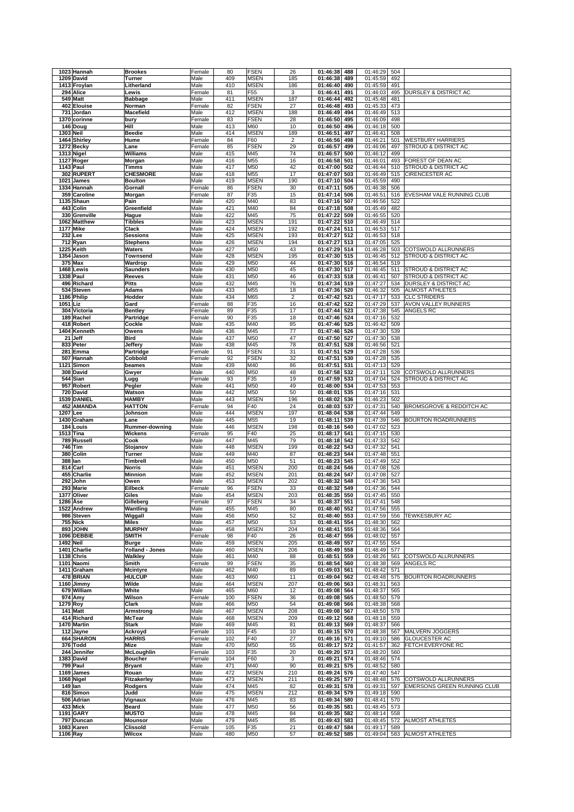| 1023 Hannah                     | <b>Brookes</b>               | Female         | 80         | FSEN                       | 26                      | 01:46:38<br>488                    | 01:46:29                 | 504        |                                                                    |
|---------------------------------|------------------------------|----------------|------------|----------------------------|-------------------------|------------------------------------|--------------------------|------------|--------------------------------------------------------------------|
| 1209 David                      | Turner                       | Male           | 409        | <b>MSEN</b>                | 185                     | 01:46:38<br>489                    | 01:45:59                 | 492        |                                                                    |
| 1413 Froylan                    | Litherland                   | Male           | 410        | <b>MSEN</b>                | 186                     | 01:46:40<br>490                    | 01:45:59                 | 491        |                                                                    |
| 294 Alice                       | Lewis                        | Female         | 81         | F55                        | 3                       | 01:46:41<br>491                    | 01:46:03                 | 495        | <b>DURSLEY &amp; DISTRICT AC</b>                                   |
| 549 Matt<br>402 Elouise         | <b>Babbage</b>               | Male           | 411<br>82  | <b>MSEN</b>                | 187<br>27               | 01:46:44<br>492<br>01:46:48<br>493 | 01:45:48                 | 481        |                                                                    |
| 731 Jordan                      | Norman<br>Macefield          | Female<br>Male | 412        | <b>FSEN</b><br><b>MSEN</b> | 188                     | 01:46:49<br>494                    | 01:45:33<br>01:46:49     | 473<br>513 |                                                                    |
| 1370 corinne                    | bury                         | Female         | 83         | <b>FSEN</b>                | 28                      | 01:46:50<br>495                    | 01:46:09                 | 498        |                                                                    |
| 146 Doug                        | Hill                         | Male           | 413        | M60                        | 10                      | 01:46:50<br>496                    | 01:46:18                 | 500        |                                                                    |
| <b>1303 Neil</b>                | <b>Beedie</b>                | Male           | 414        | <b>MSEN</b>                | 189                     | 01:46:51<br>497                    | 01:46:41                 | 508        |                                                                    |
| 1464 Shirley                    | Hume                         | Female         | 84         | F60                        | $\overline{\mathbf{c}}$ | 01:46:56<br>498                    | 01:46:21                 | 501        | <b>WESTBURY HARRIERS</b>                                           |
| 1272 Becky                      | Lane                         | Female         | 85         | <b>FSEN</b>                | 29                      | 01:46:57<br>499                    | 01:46:06                 | 497        | STROUD & DISTRICT AC                                               |
| 1313 Nigel                      | Williams                     | Male           | 415        | M45                        | 74                      | 01:46:57<br>500                    | 01:46:12                 | 499        |                                                                    |
| 1127 Roger                      | Morgan                       | Male           | 416        | M55                        | 16                      | 01:46:58<br>501                    | 01:46:01                 | 493        | FOREST OF DEAN AC                                                  |
| 1143 Paul                       | Timms                        | Male           | 417        | M50                        | 42                      | 01:47:00<br>502                    | 01:46:44                 | 510        | <b>STROUD &amp; DISTRICT AC</b>                                    |
| 302 RUPERT                      | <b>CHESMORE</b>              | Male           | 418        | M55                        | 17                      | 01:47:07<br>503                    | 01:46:49                 | 515        | CIRENCESTER AC                                                     |
| 1021 James                      | <b>Boulton</b>               | Male           | 419        | <b>MSEN</b>                | 190                     | 01:47:10<br>504                    | 01:45:59                 | 490        |                                                                    |
| 1334 Hannah                     | Gornall                      | Female         | 86         | <b>FSEN</b>                | 30                      | 01:47:11<br>505                    | 01:46:38                 | 506        |                                                                    |
| 359 Caroline<br>1135 Shaun      | Morgan                       | Female         | 87<br>420  | F35<br>M40                 | 15<br>83                | 01:47:14<br>506<br>507             | 01:46:51                 | 516<br>522 | EVESHAM VALE RUNNING CLUB                                          |
| 443 Colin                       | Pain<br>Greenfield           | Male<br>Male   | 421        | M40                        | 84                      | 01:47:16<br>01:47:18<br>508        | 01:46:56<br>01:45:49     | 482        |                                                                    |
| 330 Grenville                   | Hague                        | Male           | 422        | M45                        | 75                      | 01:47:22<br>509                    | 01:46:55                 | 520        |                                                                    |
| 1062 Matthew                    | Tibbles                      | Male           | 423        | <b>MSEN</b>                | 191                     | 01:47:22<br>510                    | 01:46:49                 | 514        |                                                                    |
| <b>1177 Mike</b>                | Clack                        | Male           | 424        | <b>MSEN</b>                | 192                     | 01:47:24<br>511                    | 01:46:53                 | 517        |                                                                    |
| 232 Lee                         | <b>Sessions</b>              | Male           | 425        | <b>MSEN</b>                | 193                     | 01:47:27<br>512                    | 01:46:53                 | 518        |                                                                    |
| 712 Ryan                        | <b>Stephens</b>              | Male           | 426        | <b>MSEN</b>                | 194                     | 01:47:27<br>513                    | 01:47:05                 | 525        |                                                                    |
| 1225 Keith                      | Waters                       | Male           | 427        | M50                        | 43                      | $01:47:29$ 514                     | 01:46:28                 | 503        | <b>COTSWOLD ALLRUNNERS</b>                                         |
| 1354 Jason                      | Townsend                     | Male           | 428        | <b>MSEN</b>                | 195                     | 01:47:30 515                       | 01:46:45                 | 512        | STROUD & DISTRICT AC                                               |
| 375 Max                         | Wardrop                      | Male           | 429        | M50                        | 44                      | 01:47:30<br>516                    | 01:46:54                 | 519        |                                                                    |
| 1468 Lewis                      | <b>Saunders</b>              | Male           | 430        | M50                        | 45                      | 01:47:30<br>517                    | 01:46:45                 | 511        | <b>STROUD &amp; DISTRICT AC</b><br><b>STROUD &amp; DISTRICT AC</b> |
| <b>1338 Paul</b><br>496 Richard | Reeves<br><b>Pitts</b>       | Male<br>Male   | 431<br>432 | M50<br>M45                 | 46<br>76                | 01:47:33<br>518<br>01:47:34<br>519 | 01:46:41<br>01:47:27     | 507<br>534 | <b>DURSLEY &amp; DISTRICT AC</b>                                   |
| 534 Steven                      | Adams                        | Male           | 433        | M55                        | 18                      | 01:47:36<br>520                    | 01:46:32                 | 505        | <b>ALMOST ATHLETES</b>                                             |
| 1186 Philip                     | Hodder                       | Male           | 434        | M65                        | $\overline{2}$          | 01:47:42<br>521                    | 01:47:17                 | 533        | <b>CLC STRIDERS</b>                                                |
| 1051 Liz                        | Gard                         | Female         | 88         | F35                        | 16                      | 01:47:42<br>522                    | 01:47:29                 | 537        | AVON VALLEY RUNNERS                                                |
| 304 Victoria                    | <b>Bentley</b>               | Female         | 89         | F35                        | 17                      | 01:47:44<br>523                    | 01:47:38                 | 545        | ANGELS RC                                                          |
| 189 Rachel                      | Partridge                    | Female         | 90         | F35                        | 18                      | 01:47:46<br>524                    | 01:47:16                 | 532        |                                                                    |
| 418 Robert                      | Cockle                       | Male           | 435        | M40                        | 85                      | 01:47:46<br>525                    | 01:46:42                 | 509        |                                                                    |
| 1404 Kenneth                    | Owens                        | Male           | 436        | M45                        | 77                      | 01:47:46<br>526                    | 01:47:30                 | 539        |                                                                    |
| 21 Jeff                         | Bird                         | Male           | 437        | M50                        | 47                      | 01:47:50<br>527                    | 01:47:30                 | 538        |                                                                    |
| 833 Peter                       | Jeffery                      | Male           | 438        | M45                        | 78                      | 01:47:51<br>528                    | 01:46:56                 | 521        |                                                                    |
| 281 Emma                        | Partridge                    | Female         | 91         | <b>FSEN</b>                | 31                      | 01:47:51<br>529                    | 01:47:28                 | 536        |                                                                    |
| 507 Hannah                      | Cobbold                      | Female         | 92         | <b>FSEN</b>                | 32                      | 01:47:51<br>530                    | 01:47:28                 | 535        |                                                                    |
| 1121 Simon                      | beames                       | Male           | 439        | M40                        | 86                      | 01:47:51<br>531                    | 01:47:13                 | 529        |                                                                    |
| 308 David                       | Gwyer                        | Male           | 440        | M50                        | 48                      | 01:47:58<br>532                    | 01:47:11                 | 528        | COTSWOLD ALLRUNNERS                                                |
| 544 Sian<br>957 Robert          | Lugg                         | Female         | 93<br>441  | F35<br>M50                 | 19<br>49                | 01:47:59<br>533<br>01:48:00<br>534 | 01:47:04<br>01:47:53     | 524<br>553 | STROUD & DISTRICT AC                                               |
| 720 David                       | Pegler<br>Watson             | Male<br>Male   | 442        | M50                        | 50                      | 01:48:01<br>535                    | 01:47:16                 | 531        |                                                                    |
| 1539 DANIEL                     | <b>HAMBY</b>                 | Male           | 443        | <b>MSEN</b>                | 196                     | 01:48:02<br>536                    | 01:46:23                 | 502        |                                                                    |
| 452 AMANDA                      | <b>HATTON</b>                | Female         | 94         | F40                        | 24                      | 01:48:03<br>537                    | 01:47:31                 | 540        | BROMSGROVE & REDDITCH AC                                           |
| 1207 Lee                        | Johnson                      | Male           | 444        | <b>MSEN</b>                |                         | 01:48:04<br>538                    | 01:47:44                 | 549        |                                                                    |
|                                 |                              |                |            |                            | 197                     |                                    |                          |            |                                                                    |
| 1430 Graham                     | Lane                         | Male           | 445        | M55                        | 19                      | 01:48:11<br>539                    | 01:47:39                 | 546        | <b>BOURTON ROADRUNNERS</b>                                         |
| 184 Louis                       | Rummer-downing               | Male           | 446        | <b>MSEN</b>                | 198                     | 01:48:16<br>540                    | 01:47:02                 | 523        |                                                                    |
| 1513 Tina                       | Wickens                      | Female         | 95         | F40                        | 25                      | 01:48:17<br>541                    | 01:47:15                 | 530        |                                                                    |
| 789 Russell                     | Cook                         | Male           | 447        | M45                        | 79                      | 01:48:18<br>542                    | 01:47:33                 | 542        |                                                                    |
| 746 Tim                         | Stojanov                     | Male           | 448        | <b>MSEN</b>                | 199                     | 01:48:22<br>543                    | 01:47:32                 | 541        |                                                                    |
| 380 Colin                       | Turner                       | Male           | 449        | M40                        | 87                      | 01:48:23<br>544                    | 01:47:48                 | 551        |                                                                    |
| 388 Ian                         | Timbrell                     | Male           | 450        | M50                        | 51                      | 01:48:23<br>545                    | 01:47:49                 | 552        |                                                                    |
| 814 Carl                        | Norris                       | Male           | 451        | <b>MSEN</b>                | 200                     | 546<br>01:48:24                    | 01:47:08                 | 526        |                                                                    |
| 455 Charlie                     | <b>Minnion</b>               | Male           | 452        | <b>MSEN</b>                | 201                     | 01:48:24<br>547                    | 01:47:08                 | 527        |                                                                    |
| 292 John                        | Owen                         | Male           | 453        | <b>MSEN</b>                | 202                     | 01:48:32<br>548                    | 01:47:36                 | 543        |                                                                    |
| 293 Marie<br>1377 Oliver        | Eilbeck<br>Giles             | Female<br>Male | 96<br>454  | <b>FSEN</b>                | 33<br>203               | 01:48:32<br>549<br>550             | 01:47:36                 | 544        |                                                                    |
| 1286 Ase                        | Gilleberg                    | Female         | 97         | <b>MSEN</b><br>FSEN        | 34                      | 01:48:35<br>01:48:37 551           | 01:47:45<br>01:47:41 548 | 550        |                                                                    |
| 1522 Andrew                     | Wantling                     | Male           | 455        | M45                        | 80                      | 01:48:40 552                       | 01:47:56 555             |            |                                                                    |
| 986 Steven                      | Wiggall                      | Male           | 456        | M50                        | 52                      | 01:48:40<br>553                    | 01:47:59                 | 556        | <b>TEWKESBURY AC</b>                                               |
| 755 Nick                        | <b>Miles</b>                 | Male           | 457        | M50                        | 53                      | 01:48:41<br>554                    | 01:48:30                 | 562        |                                                                    |
| 893 JOHN                        | <b>MURPHY</b>                | Male           | 458        | <b>MSEN</b>                | 204                     | 01:48:41<br>555                    | 01:48:36                 | 564        |                                                                    |
| 1096 DEBBIE                     | <b>SMITH</b>                 | Female         | 98         | F40                        | 26                      | 01:48:47<br>556                    | 01:48:02                 | 557        |                                                                    |
| <b>1492 Neil</b>                | <b>Burge</b>                 | Male           | 459        | <b>MSEN</b>                | 205                     | 01:48:49<br>557                    | 01:47:55                 | 554        |                                                                    |
| 1401 Charlie                    | Yolland - Jones              | Male           | 460        | <b>MSEN</b>                | 206                     | 01:48:49<br>558                    | 01:48:49                 | 577        |                                                                    |
| 1138 Chris                      | Walkley                      | Male           | 461        | M40                        | 88                      | 01:48:51<br>559                    | 01:48:26                 | 561        | COTSWOLD ALLRUNNERS                                                |
| 1101 Naomi<br>1411 Graham       | Smith                        | Female<br>Male | 99<br>462  | <b>FSEN</b><br>M40         | 35<br>89                | 01:48:54<br>560                    | 01:48:38                 | 569<br>571 | ANGELS RC                                                          |
| 478 BRIAN                       | Mcintyre<br><b>HULCUP</b>    | Male           | 463        | M60                        | 11                      | 01:49:03<br>561<br>01:49:04<br>562 | 01:48:42<br>01:48:48     | 575        | <b>BOURTON ROADRUNNERS</b>                                         |
| 1160 Jimmy                      | Wilde                        | Male           | 464        | <b>MSEN</b>                | 207                     | 01:49:06<br>563                    | 01:48:31                 | 563        |                                                                    |
| 679 William                     | White                        | Male           | 465        | M60                        | 12                      | 01:49:08<br>564                    | 01:48:37                 | 565        |                                                                    |
| 974 Amy                         | Wilson                       | Female         | 100        | <b>FSEN</b>                | 36                      | 01:49:08<br>565                    | 01:48:50                 | 579        |                                                                    |
| 1279 Roy                        | Clark                        | Male           | 466        | M50                        | 54                      | 01:49:08<br>566                    | 01:48:38                 | 568        |                                                                    |
| 141 Matt                        | Armstrong                    | Male           | 467        | MSEN                       | 208                     | 01:49:08<br>567                    | 01:48:50                 | 578        |                                                                    |
| 414 Richard                     | McTear                       | Male           | 468        | <b>MSEN</b>                | 209                     | 01:49:12<br>568                    | 01:48:18                 | 559        |                                                                    |
| 1470 Martin                     | <b>Stark</b>                 | Male           | 469        | M45                        | 81                      | 01:49:13<br>569                    | 01:48:37                 | 566        |                                                                    |
| 112 Jayne                       | Ackroyd                      | Female         | 101        | F45                        | 10                      | 01:49:15<br>570                    | 01:48:38                 | 567        | MALVERN JOGGERS                                                    |
| 664 SHARON                      | <b>HARRIS</b>                | Female         | 102        | F40                        | 27                      | 01:49:16<br>571                    | 01:49:10                 | 586        | <b>GLOUCESTER AC</b>                                               |
| 376 Todd                        | Mize                         | Male           | 470        | M50                        | 55                      | 01:49:17<br>572                    | 01:41:57                 | 362        | FETCH EVERYONE RC                                                  |
| 244 Jennifer                    | McLoughlin<br><b>Boucher</b> | Female         | 103        | F35                        | 20                      | 01:49:20<br>573                    | 01:48:20                 | 560        |                                                                    |
| 1383 David<br>799 Paul          | <b>Bryant</b>                | Female<br>Male | 104<br>471 | F60<br>M40                 | 3<br>90                 | 01:49:21<br>574<br>01:49:21<br>575 | 01:48:46<br>01:48:52     | 574<br>580 |                                                                    |
| 1169 James                      | Rouan                        | Male           | 472        | <b>MSEN</b>                | 210                     | 01:49:24<br>576                    | 01:47:40                 | 547        |                                                                    |
| 1068 Nigel                      | Fitzakerley                  | Male           | 473        | <b>MSEN</b>                | 211                     | 01:49:25<br>577                    | 01:48:48                 | 576        | COTSWOLD ALLRUNNERS                                                |
| 149 Ian                         | Rodgers                      | Male           | 474        | M45                        | 82                      | 01:49:31<br>578                    | 01:49:31                 | 597        | EMERSONS GREEN RUNNING CLUB                                        |
| 816 Simon                       | Judd                         | Male           | 475        | <b>MSEN</b>                | 212                     | 01:49:34<br>579                    | 01:49:18                 | 590        |                                                                    |
| 506 Adrian                      | Vignaux                      | Male           | 476        | M45                        | 83                      | 01:49:34<br>580                    | 01:48:41                 | 570        |                                                                    |
| 433 Mick                        | Beard                        | Male           | 477        | M50                        | 56                      | 01:49:35<br>581                    | 01:48:45                 | 573        |                                                                    |
| 1191 GARY                       | <b>MUSTO</b>                 | Male           | 478        | M45                        | 84                      | 01:49:35 582                       | 01:48:14                 | 558        |                                                                    |
| 797 Duncan                      | <b>Mounsor</b>               | Male           | 479        | M45                        | 85                      | 01:49:43<br>583                    | 01:48:45                 | 572        | <b>ALMOST ATHLETES</b>                                             |
| 1083 Karen<br>1106 Ray          | <b>Clissold</b><br>Wilcox    | Female<br>Male | 105<br>480 | F35<br>M50                 | 21<br>57                | 01:49:47<br>584<br>01:49:52 585    | 01:49:17<br>01:49:04     | 589        | 583 ALMOST ATHLETES                                                |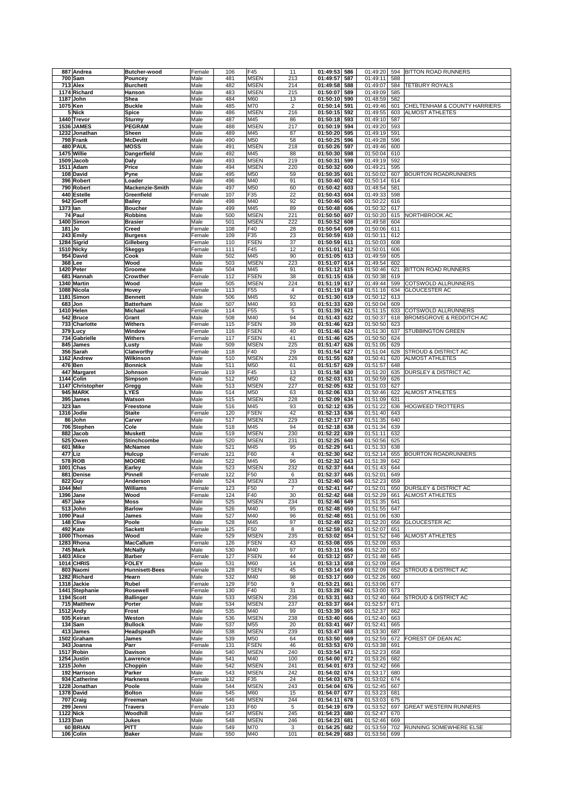|          | 887 Andrea                | Butcher-wood                   | Female           | 106        | F45                        | 11                      | 01:49:53                     | 586        | 01:49:20                 | 594        | BITTON ROAD RUNNERS                 |
|----------|---------------------------|--------------------------------|------------------|------------|----------------------------|-------------------------|------------------------------|------------|--------------------------|------------|-------------------------------------|
|          | $700$ Sam                 | Pouncey                        | Male             | 481        | <b>MSEN</b>                | 213                     | 01:49:57                     | 587        | 01:49:11                 | 588        |                                     |
|          | 713 Alex                  | <b>Burchett</b>                | Male             | 482        | <b>MSEN</b>                | 214                     | 01:49:58                     | 588        | 01:49:07                 | 584        | <b>TETBURY ROYALS</b>               |
|          | 1174 Richard<br>1187 John | Hanson<br>Shea                 | Male<br>Male     | 483<br>484 | <b>MSEN</b><br>M60         | 215<br>13               | 01:50:07<br>01:50:10         | 589<br>590 | 01:49:09<br>01:48:59     | 585<br>582 |                                     |
| 1075 Ken |                           | <b>Buckle</b>                  | Male             | 485        | M70                        | $\overline{\mathbf{c}}$ | 01:50:14                     | 591        | 01:49:46                 | 601        | CHELTENHAM & COUNTY HARRIERS        |
|          | 5 Nick                    | Spice                          | Male             | 486        | <b>MSEN</b>                | 216                     | 01:50:15                     | 592        | 01:49:55                 | 603        | <b>ALMOST ATHLETES</b>              |
|          | 1440 Trevor               | Sturmy                         | Male             | 487        | M45                        | 86                      | 01:50:18                     | 593        | 01:49:10                 | 587        |                                     |
|          | 1536 JAMES                | <b>PEGRAM</b>                  | Male             | 488        | <b>MSEN</b>                | 217                     | 01:50:19                     | 594        | 01:49:20                 | 593        |                                     |
|          | 1232 Jonathan             | Sheen                          | Male             | 489        | M45                        | 87                      | 01:50:20                     | 595        | 01:49:19                 | 591        |                                     |
|          | 798 Frank                 | <b>McDevitt</b>                | Male             | 490        | M50                        | 58                      | 01:50:25                     | 596        | 01:49:28                 | 596        |                                     |
|          | 480 PAUL                  | <b>MOSS</b>                    | Male             | 491        | <b>MSEN</b>                | 218                     | 01:50:26                     | 597        | 01:49:46                 | 600        |                                     |
|          | 1475 Willie<br>1509 Jacob | Dangerfield<br>Daly            | Male<br>Male     | 492<br>493 | M45<br><b>MSEN</b>         | 88<br>219               | 01:50:30<br>01:50:31         | 598<br>599 | 01:50:04<br>01:49:19     | 610<br>592 |                                     |
|          | 1511 Adam                 | Price                          | Male             | 494        | <b>MSEN</b>                | 220                     | 01:50:32                     | 600        | 01:49:21                 | 595        |                                     |
|          | 108 David                 | Pyne                           | Male             | 495        | M50                        | 59                      | 01:50:35                     | 601        | 01:50:02                 | 607        | <b>BOURTON ROADRUNNERS</b>          |
|          | 396 Robert                | Loader                         | Male             | 496        | M40                        | 91                      | 01:50:40                     | 602        | 01:50:14                 | 614        |                                     |
|          | 790 Robert                | Mackenzie-Smith                | Male             | 497        | M50                        | 60                      | 01:50:42                     | 603        | 01:48:54                 | 581        |                                     |
|          | 440 Estelle               | Greenfield                     | Female           | 107        | F35                        | 22                      | 01:50:43                     | 604        | 01:49:33                 | 598        |                                     |
|          | 942 Geoff                 | Bailey                         | Male             | 498        | M40                        | 92                      | 01:50:46                     | 605        | 01:50:22                 | 616        |                                     |
| 1373 lan | 74 Paul                   | <b>Boucher</b><br>Robbins      | Male<br>Male     | 499<br>500 | M45<br><b>MSEN</b>         | 89<br>221               | 01:50:48<br>01:50:50         | 606<br>607 | 01:50:32<br>01:50:20     | 617<br>615 | NORTHBROOK AC                       |
|          | 1400 Simon                | Brasier                        | Male             | 501        | <b>MSEN</b>                | 222                     | 01:50:52                     | 608        | 01:49:58                 | 604        |                                     |
| $181$ Jo |                           | Creed                          | Female           | 108        | F40                        | 28                      | 01:50:54                     | 609        | 01:50:06                 | 611        |                                     |
|          | 243 Emily                 | <b>Burgess</b>                 | Female           | 109        | F35                        | 23                      | 01:50:59                     | 610        | 01:50:11                 | 612        |                                     |
|          | 1284 Sigrid               | Gilleberg                      | Female           | 110        | <b>FSEN</b>                | 37                      | 01:50:59                     | 611        | 01:50:03                 | 608        |                                     |
|          | 1510 Nicky                | Skeggs                         | Female           | 111        | F45                        | 12                      | 01:51:01                     | 612        | 01:50:01                 | 606        |                                     |
|          | 954 David                 | Cook                           | Male             | 502        | M45                        | 90                      | 01:51:05                     | 613        | 01:49:59                 | 605        |                                     |
|          | 368 Lee                   | Wood                           | Male             | 503        | <b>MSEN</b>                | 223                     | 01:51:07                     | 614        | 01:49:54                 | 602        |                                     |
|          | 1420 Peter<br>681 Hannah  | Groome<br>Crowther             | Male<br>Female   | 504<br>112 | M45<br><b>FSEN</b>         | 91<br>38                | 01:51:12<br>01:51:15         | 615<br>616 | 01:50:46<br>01:50:38     | 621<br>619 | <b>BITTON ROAD RUNNERS</b>          |
|          | 1340 Martin               | Wood                           | Male             | 505        | <b>MSEN</b>                | 224                     | 01:51:19                     | 617        | 01:49:44                 | 599        | COTSWOLD ALLRUNNERS                 |
|          | 1088 Nicola               | Hovey                          | Female           | 113        | F <sub>55</sub>            | $\overline{4}$          | 01:51:19                     | 618        | 01:51:16                 | 634        | <b>GLOUCESTER AC</b>                |
|          | 1181 Simon                | <b>Bennett</b>                 | Male             | 506        | M45                        | 92                      | 01:51:30                     | 619        | 01:50:12                 | 613        |                                     |
|          | 683 Jon                   | <b>Batterham</b>               | Male             | 507        | M40                        | 93                      | 01:51:33                     | 620        | 01:50:04                 | 609        |                                     |
|          | 1410 Helen                | Michael                        | Female           | 114        | F55                        | 5                       | 01:51:39                     | 621        | 01:51:15                 | 633        | COTSWOLD ALLRUNNERS                 |
|          | 542 Bruce                 | Grant                          | Male             | 508        | M40                        | 94                      | 01:51:43                     | 622        | 01:50:37                 | 618        | <b>BROMSGROVE &amp; REDDITCH AC</b> |
|          | 733 Charlotte             | Withers                        | Female           | 115        | <b>FSEN</b>                | 39                      | 01:51:46                     | 623        | 01:50:50                 | 623        |                                     |
|          | 379 Lucy<br>734 Gabrielle | Window<br>Withers              | Female<br>Female | 116<br>117 | <b>FSEN</b><br><b>FSEN</b> | 40<br>41                | 01:51:46<br>01:51:46         | 624<br>625 | 01:51:30<br>01:50:50     | 637<br>624 | <b>STUBBINGTON GREEN</b>            |
|          | 845 James                 | Lusty                          | Male             | 509        | <b>MSEN</b>                | 225                     | 01:51:47                     | 626        | 01:51:05                 | 629        |                                     |
|          | 356 Sarah                 | Clatworthy                     | Female           | 118        | F40                        | 29                      | 01:51:54                     | 627        | 01:51:04                 | 628        | STROUD & DISTRICT AC                |
|          | 1162 Andrew               | Wilkinson                      | Male             | 510        | <b>MSEN</b>                | 226                     | 01:51:55                     | 628        | 01:50:41                 | 620        | <b>ALMOST ATHLETES</b>              |
|          | 476 Ben                   | Bonnick                        | Male             | 511        | M50                        | 61                      | 01:51:57                     | 629        | 01:51:57                 | 648        |                                     |
|          | 447 Margaret              | Johnson                        | Female           | 119        | F45                        | 13                      | 01:51:58                     | 630        | 01:51:20                 | 635        | DURSLEY & DISTRICT AC               |
|          | 1144 Colin                | Simpson                        | Male             | 512        | M50                        | 62                      | 01:52:03                     | 631        | 01:50:59                 | 626        |                                     |
|          | 1147 Christopher          | Gregg                          | Male             | 513        | <b>MSEN</b>                | 227                     | 01:52:05                     | 632        | 01:51:03                 | 627        |                                     |
|          | 945 MARK<br>395 James     | LYES<br>Watson                 | Male<br>Male     | 514<br>515 | M50<br><b>MSEN</b>         | 63<br>228               | 01:52:06<br>01:52:09         | 633<br>634 | 01:50:46<br>01:51:09     | 622<br>631 | <b>ALMOST ATHLETES</b>              |
| 323 Ian  |                           | Freestone                      | Male             | 516        | M45                        | 93                      | 01:52:12                     | 635        | 01:51:22                 | 636        | <b>HOGWEED TROTTERS</b>             |
|          | 1316 Jodie                | Staite                         | Female           | 120        | <b>FSEN</b>                | 42                      | 01:52:13                     | 636        | 01:51:40                 | 643        |                                     |
|          | 86 John                   | Carver                         | Male             | 517        | <b>MSEN</b>                | 229                     | 01:52:17                     | 637        | 01:51:35                 | 640        |                                     |
|          | 706 Stephen               | Cole                           | Male             | 518        | M45                        | 94                      | 01:52:18                     | 638        | 01:51:34                 | 639        |                                     |
|          | 882 Jacob                 | Muskett                        | Male             | 519        | <b>MSEN</b>                | 230                     | 01:52:22                     | 639        | 01:51:11                 | 632        |                                     |
|          | 525 Owen                  | Stinchcombe                    | Male             | 520        | <b>MSEN</b>                | 231                     | 01:52:25                     | 640        | 01:50:56                 | 625        |                                     |
| 477 Liz  | 601 Mike                  | <b>McNamee</b><br>Hulcup       | Male<br>Female   | 521<br>121 | M45<br>F60                 | 95<br>$\overline{4}$    | 01:52:29<br>01:52:30         | 641<br>642 | 01:51:33<br>01:52:14     | 638<br>655 | <b>BOURTON ROADRUNNERS</b>          |
|          | 578 ROB                   | <b>MOORE</b>                   | Male             | 522        | M45                        | 96                      | 01:52:32                     | 643        | 01:51:39                 | 642        |                                     |
|          | 1001 Chas                 | Earley                         | Male             | 523        | <b>MSEN</b>                | 232                     | 01:52:37                     | 644        | 01:51:43                 | 644        |                                     |
|          | 881 Denise                | Pinnell                        | Female           | 122        | F50                        | 6                       | 01:52:37                     | 645        | 01:52:01                 | 649        |                                     |
|          | 822 Guy                   | Anderson                       | Male             | 524        | <b>MSEN</b>                | 233                     | 01:52:40                     | 646        | 01:52:23                 | 659        |                                     |
| 1044 Mel |                           | Williams                       | Female           | 123        | F50                        | $\overline{7}$          | 01:52:41                     | 647        | 01:52:01                 | 650        | <b>DURSLEY &amp; DISTRICT AC</b>    |
|          | 1396 Jane                 | Wood                           | Female           | 124        | F40                        | 30                      | 01:52:42                     | 648        | 01:52:29                 | 661        | <b>ALMOST ATHLETES</b>              |
|          | 457 Jake<br>513 John      | Moss<br><b>Barlow</b>          | Male<br>Male     | 525<br>526 | <b>MSEN</b><br>M40         | 234<br>95               | 01:52:46 649<br>01:52:48 650 |            | 01:51:35 641             |            |                                     |
|          | 1090 Paul                 | James                          | Male             | 527        | M40                        |                         |                              |            |                          |            |                                     |
|          | 148 Clive                 | Poole                          |                  |            |                            | 96                      | 01:52:48                     | 651        | 01:51:55 647<br>01:51:06 | 630        |                                     |
| 492 Kate |                           |                                | Male             | 528        | M45                        | 97                      | 01:52:49                     | 652        | 01:52:20                 | 656        | <b>GLOUCESTER AC</b>                |
|          |                           | Sackett                        | Female           | 125        | F50                        | 8                       | 01:52:59                     | 653        | 01:52:07                 | 651        |                                     |
|          | 1000 Thomas               | Wood                           | Male             | 529        | <b>MSEN</b>                | 235                     | 01:53:02                     | 654        | 01:51:52                 | 646        | <b>ALMOST ATHLETES</b>              |
|          | 1283 Rhona                | MacCallum                      | Female           | 126        | <b>FSEN</b>                | 43                      | 01:53:08                     | 655        | 01:52:09                 | 653        |                                     |
|          | 745 Mark                  | <b>McNally</b>                 | Male             | 530        | M40                        | 97                      | 01:53:11                     | 656        | 01:52:20                 | 657        |                                     |
|          | 1403 Alice                | <b>Barber</b>                  | Female           | 127        | <b>FSEN</b>                | 44                      | 01:53:12                     | 657        | 01:51:48                 | 645        |                                     |
|          | 1014 CHRIS<br>803 Naomi   | <b>FOLEY</b><br>Hunnisett-Bees | Male<br>Female   | 531<br>128 | M60<br><b>FSEN</b>         | 14<br>45                | 01:53:13<br>01:53:14         | 658<br>659 | 01:52:09<br>01:52:09     | 654<br>652 | STROUD & DISTRICT AC                |
|          | 1282 Richard              | Hearn                          | Male             | 532        | M40                        | 98                      | 01:53:17                     | 660        | 01:52:26                 | 660        |                                     |
|          | 1318 Jackie               | Rubel                          | Female           | 129        | F50                        | 9                       | 01:53:21                     | 661        | 01:53:06                 | 677        |                                     |
|          | 1441 Stephanie            | Rosewell                       | Female           | 130        | F40                        | 31                      | 01:53:28                     | 662        | 01:53:00                 | 673        |                                     |
|          | 1194 Scott                | <b>Ballinger</b>               | Male             | 533        | <b>MSEN</b>                | 236                     | 01:53:31                     | 663        | 01:52:40                 | 664        | STROUD & DISTRICT AC                |
|          | 715 Matthew               | Porter                         | Male             | 534        | <b>MSEN</b>                | 237                     | 01:53:37                     | 664        | 01:52:57                 | 671        |                                     |
|          | <b>1512 Andy</b>          | Frost                          | Male             | 535        | M40                        | 99                      | 01:53:39                     | 665        | 01:52:37                 | 662        |                                     |
|          | 935 Keiran<br>134 Sam     | Weston<br><b>Bullock</b>       | Male<br>Male     | 536<br>537 | <b>MSEN</b><br>M55         | 238<br>20               | 01:53:40<br>01:53:41         | 666<br>667 | 01:52:40<br>01:52:41     | 663<br>665 |                                     |
|          | 413 James                 | Headspeath                     | Male             | 538        | <b>MSEN</b>                | 239                     | 01:53:47                     | 668        | 01:53:30                 | 687        |                                     |
|          | 1502 Graham               | James                          | Male             | 539        | M50                        | 64                      | 01:53:50                     | 669        | 01:52:59                 | 672        | FOREST OF DEAN AC                   |
|          | 343 Joanna                | Parr                           | Female           | 131        | <b>FSEN</b>                | 46                      | 01:53:53                     | 670        | 01:53:38                 | 691        |                                     |
|          | 1517 Robin                | Davison                        | Male             | 540        | <b>MSEN</b>                | 240                     | 01:53:54                     | 671        | 01:52:23                 | 658        |                                     |
|          | 1254 Justin               | Lawrence                       | Male             | 541        | M40                        | 100                     | 01:54:00                     | 672        | 01:53:26                 | 682        |                                     |
|          | 1215 John<br>192 Harrison | Choppin<br>Parker              | Male<br>Male     | 542<br>543 | <b>MSEN</b><br><b>MSEN</b> | 241<br>242              | 01:54:01<br>01:54:02         | 673<br>674 | 01:52:42<br>01:53:17     | 666<br>680 |                                     |
|          | 934 Catherine             | <b>Harkness</b>                | Female           | 132        | F35                        | 24                      | 01:54:03                     | 675        | 01:53:02                 | 674        |                                     |
|          | 1228 Jonathan             | Poole                          | Male             | 544        | <b>MSEN</b>                | 243                     | 01:54:04                     | 676        | 01:52:45                 | 667        |                                     |
|          | 1378 David                | Bolton                         | Male             | 545        | M60                        | 15                      | 01:54:07                     | 677        | 01:53:23                 | 681        |                                     |
|          | 707 Craig                 | Freeman                        | Male             | 546        | <b>MSEN</b>                | 244                     | 01:54:11                     | 678        | 01:53:03                 | 675        |                                     |
|          | 299 Jenni                 | Travers                        | Female           | 133        | F60                        | 5                       | 01:54:19                     | 679        | 01:53:52                 | 697        | <b>GREAT WESTERN RUNNERS</b>        |
|          | <b>1122 Nick</b>          | Woodhill                       | Male             | 547        | <b>MSEN</b>                | 245                     | 01:54:23                     | 680        | 01:52:47                 | 670        |                                     |
| 1123 Dan | 60 BRIAN                  | Jukes<br>PITT                  | Male<br>Male     | 548<br>549 | <b>MSEN</b><br>M70         | 246<br>3                | 01:54:23<br>01:54:25         | 681<br>682 | 01:52:46<br>01:53:59     | 669<br>702 | RUNNING SOMEWHERE ELSE              |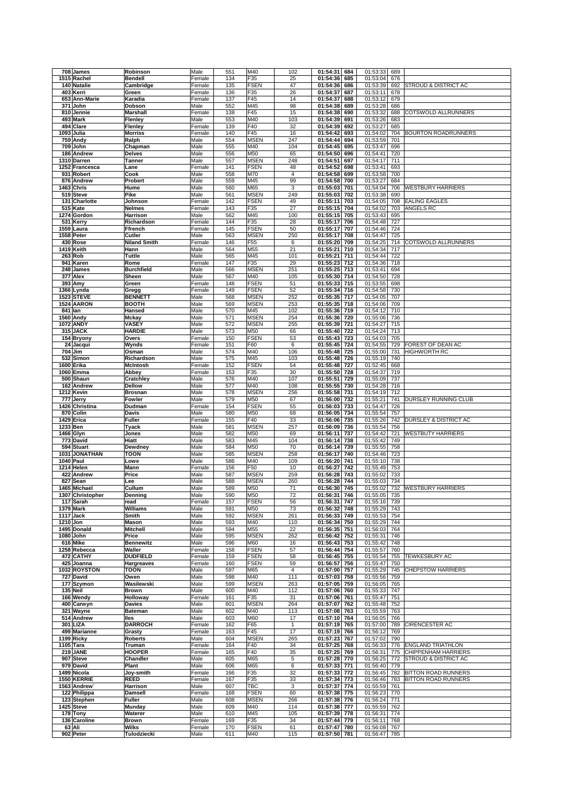|          | 708 James                   | Robinson               | Male           | 551        | M40                        | 102                     | 01:54:31             | 684        | 01:53:33             | 689        |                                  |
|----------|-----------------------------|------------------------|----------------|------------|----------------------------|-------------------------|----------------------|------------|----------------------|------------|----------------------------------|
|          | 1515 Rachel                 | <b>Bendell</b>         | Female         | 134        | F35                        | 25                      | 01:54:36             | 685        | 01:53:04             | 676        |                                  |
|          | 140 Natalie                 | Cambridge              | Female         | 135        | <b>FSEN</b>                | 47                      | 01:54:36             | 686        | 01:53:39             | 692        | STROUD & DISTRICT AC             |
|          | 403 Kerri                   | Green                  | Female         | 136        | F35                        | 26                      | 01:54:37             | 687        | 01:53:11             | 678        |                                  |
|          | 653 Ann-Marie               | Karadia                | Female         | 137        | F45                        | 14                      | 01:54:37             | 688        | 01:53:12             | 679        |                                  |
|          | 371 John                    | Dobson                 | Male           | 552        | M45                        | 98                      | 01:54:38             | 689        | 01:53:28             | 686        |                                  |
|          | 810 Jennie                  | Marshall               | Female         | 138        | F45                        | 15                      | 01:54:38             | 690        | 01:53:32             | 688        | COTSWOLD ALLRUNNERS              |
|          | 493 Mark                    | Flenley                | Male           | 553        | M40                        | 103                     | 01:54:39             | 691        | 01:53:26             | 683        |                                  |
|          | 494 Clare                   | Flenley                | Female         | 139        | F40                        | 32                      | 01:54:39             | 692        | 01:53:27             | 685        |                                  |
|          | 1093 Julia                  | Morriss                | Female         | 140        | F45                        | 16                      | 01:54:42             | 693        | 01:54:02             | 704        | <b>BOURTON ROADRUNNERS</b>       |
|          | 759 Andy                    | Ralph                  | Male           | 554        | <b>MSEN</b>                | 247                     | 01:54:44             | 694        | 01:53:59             | 701        |                                  |
|          | 709 John                    | Chapman                | Male           | 555        | M40                        | 104                     | 01:54:45             | 695        | 01:53:47             | 696        |                                  |
|          | 186 Andrew                  | Delves                 | Male           | 556        | M50                        | 65                      | 01:54:50             | 696        | 01:54:41             | 720        |                                  |
|          | 1310 Darren                 | Tanner                 | Male           | 557        | <b>MSEN</b>                | 248                     | 01:54:51             | 697        | 01:54:17             | 711        |                                  |
|          | 1252 Francesca              | Lane                   | Female         | 141        | <b>FSEN</b>                | 48                      | 01:54:52             | 698        | 01:53:41             | 693        |                                  |
|          | 931 Robert                  | Cook                   | Male           | 558        | M70                        | $\overline{\mathbf{4}}$ | 01:54:58             | 699        | 01:53:58             | 700        |                                  |
|          | 876 Andrew                  | Probert                | Male           | 559        | M45                        | 99                      | 01:54:58             | 700        | 01:53:27             | 684        |                                  |
|          | 1463 Chris                  | Hume                   | Male           | 560        | M65                        | 3                       | 01:55:03             | 701        | 01:54:04             | 706        | <b>WESTBURY HARRIERS</b>         |
|          | 519 Steve                   | Pike                   | Male           | 561        | <b>MSEN</b>                | 249                     | 01:55:03             | 702        | 01:53:38             | 690        |                                  |
|          | 131 Charlotte               | Johnson                | Female         | 142        | <b>FSEN</b>                | 49                      | 01:55:11             | 703        | 01:54:05             | 708        | <b>EALING EAGLES</b>             |
|          | 515 Kate                    | Nelmes                 | Female         | 143        | F35                        | 27                      | 01:55:15             | 704        | 01:54:02             | 703        | ANGELS RC                        |
|          | 1274 Gordon<br>531 Kerry    | Harrison<br>Richardson | Male<br>Female | 562<br>144 | M45<br>F35                 | 100<br>28               | 01:55:15<br>01:55:17 | 705<br>706 | 01:53:43<br>01:54:48 | 695<br>727 |                                  |
|          | 1559 Laura                  | Ffrench                | Female         | 145        | <b>FSEN</b>                | 50                      | 01:55:17             | 707        | 01:54:46             | 724        |                                  |
|          | 1558 Peter                  | Cutler                 | Male           | 563        | <b>MSEN</b>                | 250                     | 01:55:17             | 708        | 01:54:47             | 725        |                                  |
|          | 430 Rose                    | <b>Niland Smith</b>    | Female         | 146        | F55                        | 6                       | 01:55:20             | 709        | 01:54:25             | 714        | COTSWOLD ALLRUNNERS              |
|          | 1419 Keith                  | Hann                   | Male           | 564        | M55                        | 21                      | 01:55:21             | 710        | 01:54:34             | 717        |                                  |
|          | 263 Rob                     | Tuttle                 | Male           | 565        | M45                        | 101                     | 01:55:21             | 711        | 01:54:44             | 722        |                                  |
|          | 941 Karen                   | Rome                   | Female         | 147        | F35                        | 29                      | 01:55:23             | 712        | 01:54:36             | 718        |                                  |
|          | 248 James                   | Burchfield             | Male           | 566        | <b>MSEN</b>                | 251                     | 01:55:25             | 713        | 01:53:41             | 694        |                                  |
|          | 377 Alex                    | Sheen                  | Male           | 567        | M40                        | 105                     | 01:55:30             | 714        | 01:54:50             | 728        |                                  |
|          | 393 Amy                     | Green                  | Female         | 148        | <b>FSEN</b>                | 51                      | 01:55:33             | 715        | 01:53:55             | 698        |                                  |
|          | 1366 Lynda                  | Gregg                  | Female         | 149        | <b>FSEN</b>                | 52                      | 01:55:34             | 716        | 01:54:58             | 730        |                                  |
|          | <b>1523 STEVE</b>           | <b>BENNETT</b>         | Male           | 568        | <b>MSEN</b>                | 252                     | 01:55:35             | 717        | 01:54:05             | 707        |                                  |
|          | 1524 AARON                  | воотн                  | Male           | 569        | <b>MSEN</b>                | 253                     | 01:55:35             | 718        | 01:54:06             | 709        |                                  |
| 841 Ian  |                             | Hansed                 | Male           | 570        | M45                        | 102                     | 01:55:36             | 719        | 01:54:12             | 710        |                                  |
|          | 1560 Andy                   | Mckay                  | Male           | 571        | <b>MSEN</b>                | 254                     | 01:55:36             | 720        | 01:55:06             | 736        |                                  |
|          | 1072 ANDY                   | <b>VASEY</b>           | Male           | 572        | <b>MSEN</b>                | 255                     | 01:55:39             | 721        | 01:54:27             | 715        |                                  |
|          | 315 JACK                    | <b>HARDIE</b>          | Male           | 573        | M50                        | 66                      | 01:55:40             | 722        | 01:54:24             | 713        |                                  |
|          | 154 Bryony                  | Overs                  | Female         | 150        | <b>FSEN</b>                | 53                      | 01:55:43             | 723        | 01:54:03             | 705        |                                  |
|          | 24 Jacqui                   | Wynds                  | Female         | 151        | F60                        | 6                       | 01:55:45             | 724        | 01:54:55             | 729        | FOREST OF DEAN AC                |
|          | 704 Jim                     | Osman                  | Male           | 574        | M40                        | 106                     | 01:55:48             | 725        | 01:55:00             | 731        | <b>HIGHWORTH RC</b>              |
|          | 532 Simon                   | Richardson             | Male           | 575        | M45                        | 103                     | 01:55:48             | 726        | 01:55:19             | 740        |                                  |
|          | 1600 Erika                  | McIntosh               | Female         | 152        | <b>FSEN</b>                | 54                      | 01:55:48             | 727        | 01:52:45             | 668        |                                  |
|          | 1060 Emma                   | Abbey                  | Female         | 153        | F35                        | 30                      | 01:55:50             | 728        | 01:54:37             | 719        |                                  |
| 500      | Shaun                       | Cratchley              | Male           | 576        | M40                        | 107                     | 01:55:51             | 729        | 01:55:09             | 737        |                                  |
|          | 162 Andrew                  | Dellow                 | Male           | 577        | M40                        | 108                     | 01:55:55             | 730        | 01:54:28             | 716        |                                  |
|          | 1212 Kevin                  | <b>Brosnan</b>         | Male           | 578        | <b>MSEN</b>                | 256                     | 01:55:58             | 731        | 01:54:19             | 712        |                                  |
|          | 777 Jerry<br>1426 Christina | Fowler                 | Male           | 579<br>154 | M50<br><b>FSEN</b>         | 67<br>55                | 01:56:00<br>01:56:03 | 732        | 01:55:21<br>01:54:47 | 741<br>726 | DURSLEY RUNNING CLUB             |
|          | 870 Colin                   | Dudman<br>Davis        | Female<br>Male | 580        | M50                        | 68                      | 01:56:05             | 733<br>734 | 01:55:54             | 757        |                                  |
|          | 1429 Erica                  | Fuller                 | Female         | 155        | F40                        | 33                      | 01:56:06             | 735        | 01:55:26             | 742        | <b>DURSLEY &amp; DISTRICT AC</b> |
| 1233 Ben |                             | Tyack                  | Male           | 581        | <b>MSEN</b>                | 257                     | 01:56:09             | 736        | 01:55:54             | 756        |                                  |
|          | 1466 Glyn                   | Jones                  | Male           | 582        | M50                        | 69                      | 01:56:11             | 737        | 01:54:42             | 721        | <b>WESTBUTY HARRIERS</b>         |
|          | 773 David                   | Hiatt                  | Male           | 583        | M45                        | 104                     | 01:56:14             | 738        | 01:55:42             | 749        |                                  |
|          | 594 Stuart                  | Dewdney                | Male           | 584        | M50                        | 70                      | 01:56:14             | 739        | 01:55:55             | 758        |                                  |
|          | 1031 JONATHAN               | тоон                   | Male           | 585        | <b>MSEN</b>                | 258                     | 01:56:17             | 740        | 01:54:46             | 723        |                                  |
|          | 1040 Paul                   | Lowe                   | Male           | 586        | M40                        | 109                     | 01:56:20             | 741        | 01:55:10             | 738        |                                  |
|          | 1214 Helen                  | Mann                   | Female         | 156        | F50                        | 10                      | 01:56:27             | 742        | 01:55:49             | 753        |                                  |
|          | 422 Andrew                  | Price                  | Male           | 587        | <b>MSEN</b>                | 259                     | 01:56:28             | 743        | 01:55:02             | 733        |                                  |
| 827      | Sean                        | Lee                    | Male           | 588        | <b>MSEN</b>                | 260                     | 01:56:28             | 744        | 01:55:03             | 734        |                                  |
|          | 1465 Michael                | Cullum                 | Male           | 589        | M50                        | 71                      | 01:56:30             | 745        | 01:55:02             | 732        | <b>WESTBURY HARRIERS</b>         |
|          | 1307 Christopher            | Denning                | Male           | 590        | M50                        | 72                      | 01:56:31             | 746        | 01:55:05             | 735        |                                  |
|          | 117 Sarah                   | read                   | Female         | 157        | FSEN                       | 56                      | $01:56:31$ 747       |            | 01:55:16 739         |            |                                  |
|          | 1379 Mark                   | Williams               | Male           | 591        | M50                        | 73                      |                      |            |                      |            |                                  |
|          | 1117 Jack                   | Smith                  | Male           |            |                            |                         | 01:56:32 748         |            | 01:55:29 743         |            |                                  |
| 1210 Jon |                             |                        |                | 592        | <b>MSEN</b>                | 261                     | 01:56:33             | 749        | 01:55:53             | 754        |                                  |
|          |                             | Mason                  | Male           | 593        | M40                        | 110                     | 01:56:34             | 750        | 01:55:29             | 744        |                                  |
|          | 1495 Donald                 | <b>Mitchell</b>        | Male           | 594        | M55                        | 22                      | 01:56:35             | 751        | 01:56:03             | 764        |                                  |
|          | 1080 John                   | Price                  | Male           | 595        | <b>MSEN</b>                | 262                     | 01:56:42             | 752        | 01:55:31             | 746        |                                  |
|          | 616 Mike                    | Bennewitz              | Male           | 596        | M60                        | 16                      | 01:56:43             | 753        | 01:55:42             | 748        |                                  |
|          | 1258 Rebecca                | Waller                 | Female         | 158        | <b>FSEN</b>                | 57                      | 01:56:44             | 754        | 01:55:57             | 760        |                                  |
|          | 472 CATHY                   | <b>DUDFIELD</b>        | Female         | 159        | <b>FSEN</b>                | 58                      | 01:56:45             | 755        | 01:55:54             | 755        | TEWKESBURY AC                    |
|          | 425 Joanna                  | Hargreaves             | Female         | 160        | <b>FSEN</b>                | 59                      | 01:56:57             | 756        | 01:55:47             | 750        |                                  |
|          | 1032 ROYSTON                | <b>TOON</b>            | Male           | 597        | M65                        | $\overline{4}$          | 01:57:00             | 757        | 01:55:29             | 745        | <b>CHEPSTOW HARRIERS</b>         |
|          | 727 David                   | Owen                   | Male           | 598        | M40                        | 111                     | 01:57:03             | 758        | 01:55:56             | 759        |                                  |
|          | 177 Szymon<br>135 Neil      | Wasilewski<br>Brown    | Male<br>Male   | 599<br>600 | <b>MSEN</b><br>M40         | 263<br>112              | 01:57:05<br>01:57:06 | 759<br>760 | 01:56:05             | 765<br>747 |                                  |
|          | 166 Wendy                   | Holloway               | Female         | 161        | F35                        | 31                      | 01:57:06             | 761        | 01:55:33<br>01:55:47 | 751        |                                  |
|          | 400 Carwyn                  | Davies                 | Male           | 601        | <b>MSEN</b>                | 264                     | 01:57:07             | 762        | 01:55:48             | 752        |                                  |
|          | 321 Wayne                   | Bateman                | Male           | 602        | M40                        | 113                     | 01:57:08             | 763        | 01:55:59             | 763        |                                  |
|          | 514 Andrew                  | lles                   | Male           | 603        | M60                        | 17                      | 01:57:10             | 764        | 01:56:05             | 766        |                                  |
|          | 301 LIZA                    | <b>DARROCH</b>         | Female         | 162        | F65                        | $\mathbf{1}$            | 01:57:19             | 765        | 01:57:00             | 789        | CIRENCESTER AC                   |
|          | 499 Marianne                | Grasty                 | Female         | 163        | F45                        | 17                      | 01:57:19             | 766        | 01:56:12             | 769        |                                  |
|          | 1199 Ricky                  | <b>Roberts</b>         | Male           | 604        | <b>MSEN</b>                | 265                     | 01:57:23             | 767        | 01:57:02             | 790        |                                  |
|          | 1105 Tara                   | Truman                 | Female         | 164        | F40                        | 34                      | 01:57:25             | 768        | 01:56:33             | 776        | <b>ENGLAND TRIATHLON</b>         |
|          | 219 JANE                    | <b>HOOPER</b>          | Female         | 165        | F40                        | 35                      | 01:57:25             | 769        | 01:56:31             | 775        | <b>CHIPPENHAM HARRIERS</b>       |
|          | 907 Steve                   | Chandler               | Male           | 605        | M65                        | 5                       | 01:57:28             | 770        | 01:56:25             | 772        | STROUD & DISTRICT AC             |
|          | 979 David                   | Plant                  | Male           | 606        | M65                        | 6                       | 01:57:33             | 771        | 01:56:40             | 779        |                                  |
|          | 1499 Nicola                 | Joy-smith              | Female         | 166        | F35                        | 32                      | 01:57:33             | 772        | 01:56:45             | 782        | <b>BITTON ROAD RUNNERS</b>       |
|          | 1550 KERRIE                 | REED                   | Female         | 167        | F35                        | 33                      | 01:57:34             | 773        | 01:56:46             | 783        | <b>BITTON ROAD RUNNERS</b>       |
|          | 1563 Andrew                 | Harrison               | Male           | 607        | <b>TBC</b>                 | 3                       | 01:57:37             | 774        | 01:55:59             | 761        |                                  |
|          | 122 Philippa<br>123 Stephen | Damsell<br>Fuller      | Female<br>Male | 168<br>608 | <b>FSEN</b><br><b>MSEN</b> | 60<br>266               | 01:57:38             | 775<br>776 | 01:56:23             | 770<br>771 |                                  |
|          | 1425 Steve                  | Munday                 | Male           | 609        | M40                        | 114                     | 01:57:38<br>01:57:38 | 777        | 01:56:24<br>01:55:59 | 762        |                                  |
|          | 178 Tony                    | Waterer                | Male           | 610        | M45                        | 105                     | 01:57:39             | 778        | 01:56:31             | 774        |                                  |
|          | 136 Caroline                | <b>Brown</b>           | Female         | 169        | F35                        | 34                      | 01:57:44             | 779        | 01:56:11             | 768        |                                  |
|          | 63 Ali                      | Wilks                  | Female         | 170        | <b>FSEN</b>                | 61                      | 01:57:47             | 780        | 01:56:08             | 767        |                                  |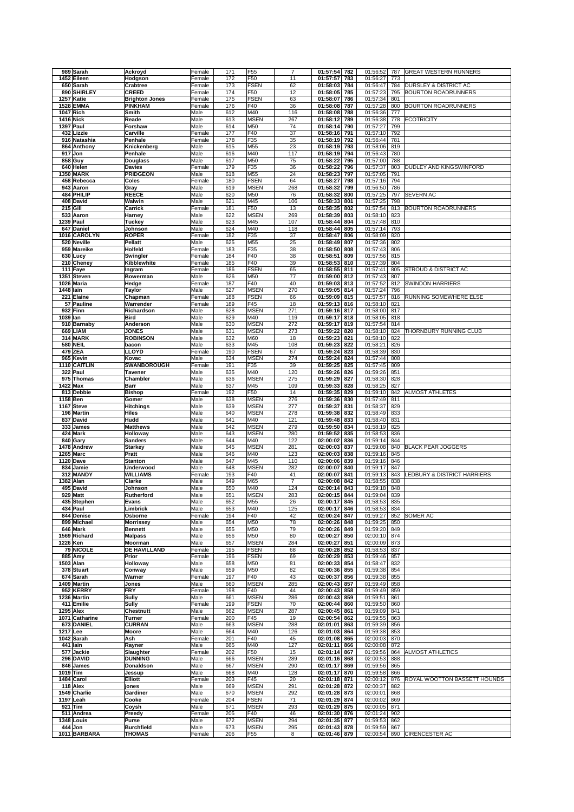|           | 989 Sarah                     | Ackroyd                            | Female           | 171        | F55                            | $\overline{7}$        | 01:57:54                 | 782        | 01:56:52             | 787        | <b>GREAT WESTERN RUNNERS</b> |
|-----------|-------------------------------|------------------------------------|------------------|------------|--------------------------------|-----------------------|--------------------------|------------|----------------------|------------|------------------------------|
|           | 1452 Eileen                   | Hodgson                            | Female           | 172        | F50                            | 11                    | 01:57:57                 | 783        | 01:56:27             | 773        |                              |
|           | 650 Sarah                     | Crabtree                           | Female           | 173        | <b>FSEN</b>                    | 62                    | 01:58:03                 | 784        | 01:56:47             | 784        | DURSLEY & DISTRICT AC        |
|           | 890 SHIRLEY                   | CREED                              | Female           | 174        | F50                            | 12                    | 01:58:05                 | 785        | 01:57:23             | 795        | <b>BOURTON ROADRUNNERS</b>   |
|           | 1257 Katie                    | <b>Brighton Jones</b>              | Female           | 175        | <b>FSEN</b>                    | 63                    | 01:58:07                 | 786        | 01:57:34             | 801        |                              |
|           | <b>1528 EMMA</b><br>1047 Rich | PINKHAM<br>Smith                   | Female<br>Male   | 176<br>612 | F40<br>M40                     | 36<br>116             | 01:58:08<br>01:58:08     | 787<br>788 | 01:57:28<br>01:56:36 | 800<br>777 | <b>BOURTON ROADRUNNERS</b>   |
|           | <b>1416 Nick</b>              | Reade                              | Male             | 613        | <b>MSEN</b>                    | 267                   | 01:58:12                 | 789        | 01:56:38             | 778        | <b>ECOTRICITY</b>            |
|           | 1397 Paul                     | Forshaw                            | Male             | 614        | M50                            | 74                    | 01:58:14                 | 790        | 01:57:27             | 799        |                              |
|           | 432 Lizzie                    | Carville                           | Female           | 177        | F40                            | 37                    | 01:58:16                 | 791        | 01:57:10             | 792        |                              |
|           | 916 Natashia                  | Penhale                            | Female           | 178        | F35                            | 35                    | 01:58:19                 | 792        | 01:56:44             | 781        |                              |
|           | 864 Anthony                   | Knickenberg                        | Male             | 615        | M55                            | 23                    | 01:58:19                 | 793        | 01:58:06             | 819        |                              |
|           | 917 Jon                       | Penhale                            | Male             | 616        | M40                            | 117                   | 01:58:19                 | 794        | 01:56:43             | 780        |                              |
|           | 858 Guy                       | Douglass                           | Male             | 617        | M50                            | 75                    | 01:58:22                 | 795        | 01:57:00             | 788        |                              |
|           | 640 Helen                     | Davies                             | Female           | 179        | F35                            | 36                    | 01:58:22                 | 796        | 01:57:37             | 803        | DUDLEY AND KINGSWINFORD      |
|           | 1350 MARK                     | <b>PRIDGEON</b>                    | Male             | 618        | M55                            | 24                    | 01:58:23                 | 797        | 01:57:05             | 791        |                              |
|           | 458 Rebecca<br>943 Aaron      | Coles                              | Female<br>Male   | 180<br>619 | <b>FSEN</b><br><b>MSEN</b>     | 64<br>268             | 01:58:27<br>01:58:32     | 798<br>799 | 01:57:16<br>01:56:50 | 794<br>786 |                              |
|           | 484 PHILIP                    | Gray<br>REECE                      | Male             | 620        | M50                            | 76                    | 01:58:32                 | 800        | 01:57:25             | 797        | <b>SEVERN AC</b>             |
|           | 408 David                     | Walwin                             | Male             | 621        | M45                            | 106                   | 01:58:33                 | 801        | 01:57:25             | 798        |                              |
|           | <b>215 Gill</b>               | Carrick                            | Female           | 181        | F50                            | 13                    | 01:58:35                 | 802        | 01:57:54             | 813        | <b>BOURTON ROADRUNNERS</b>   |
|           | 533 Aaron                     | Harney                             | Male             | 622        | <b>MSEN</b>                    | 269                   | 01:58:39                 | 803        | 01:58:10             | 823        |                              |
|           | 1239 Paul                     | Tuckey                             | Male             | 623        | M45                            | 107                   | 01:58:44                 | 804        | 01:57:48             | 810        |                              |
|           | 647 Daniel                    | Johnson                            | Male             | 624        | M40                            | 118                   | 01:58:44                 | 805        | 01:57:14             | 793        |                              |
|           | 1016 CAROLYN                  | <b>ROPER</b>                       | Female           | 182        | F35                            | 37                    | 01:58:47                 | 806        | 01:58:09             | 820        |                              |
|           | 520 Neville                   | Pellatt                            | Male             | 625        | M55                            | 25                    | 01:58:49                 | 807        | 01:57:36             | 802        |                              |
|           | 959 Mareike                   | Holfeld                            | Female           | 183        | F35                            | 38                    | 01:58:50                 | 808        | 01:57:43             | 806        |                              |
|           | 630 Lucv                      | Swingler                           | Female           | 184        | F40                            | 38                    | 01:58:51                 | 809        | 01:57:56             | 815        |                              |
|           | 210 Cheney<br>111 Faye        | Kibblewhite<br>Ingram              | Female<br>Female | 185<br>186 | F40<br><b>FSEN</b>             | 39<br>65              | 01:58:53<br>01:58:55     | 810<br>811 | 01:57:39<br>01:57:41 | 804<br>805 | STROUD & DISTRICT AC         |
|           | 1351 Steven                   | Bowerman                           | Male             | 626        | M50                            | 77                    | 01:59:00                 | 812        | 01:57:43             | 807        |                              |
|           | 1026 Maria                    | Hedge                              | Female           | 187        | F40                            | 40                    | 01:59:03                 | 813        | 01:57:52             | 812        | <b>SWINDON HARRIERS</b>      |
| 1448 Iain |                               | Taylor                             | Male             | 627        | <b>MSEN</b>                    | 270                   | 01:59:05                 | 814        | 01:57:24             | 796        |                              |
|           | 221 Elaine                    | Chapman                            | Female           | 188        | <b>FSEN</b>                    | 66                    | 01:59:09                 | 815        | 01:57:57             | 816        | RUNNING SOMEWHERE ELSE       |
|           | 57 Pauline                    | Warrender                          | Female           | 189        | F45                            | 18                    | 01:59:13                 | 816        | 01:58:10             | 821        |                              |
|           | 932 Finn                      | Richardson                         | Male             | 628        | <b>MSEN</b>                    | 271                   | 01:59:16                 | 817        | 01:58:00             | 817        |                              |
| 1039 Ian  |                               | Bird                               | Male             | 629        | M40                            | 119                   | 01:59:17                 | 818        | 01:58:05             | 818        |                              |
|           | 910 Barnaby                   | Anderson                           | Male             | 630        | <b>MSEN</b>                    | 272                   | 01:59:17                 | 819        | 01:57:54             | 814        |                              |
|           | 669 LIAM<br>314 MARK          | <b>JONES</b><br><b>ROBINSON</b>    | Male             | 631        | <b>MSEN</b><br>M60             | 273                   | 01:59:22<br>01:59:23     | 820        | 01:58:10<br>01:58:10 | 824        | THORNBURY RUNNING CLUB       |
|           | <b>580 NEIL</b>               | bacon                              | Male<br>Male     | 632<br>633 | M45                            | 18<br>108             | 01:59:23                 | 821<br>822 | 01:58:21             | 822<br>826 |                              |
|           | 479 ZEA                       | LLOYD                              | Female           | 190        | <b>FSEN</b>                    | 67                    | 01:59:24                 | 823        | 01:58:39             | 830        |                              |
|           | 965 Kevin                     | Kovac                              | Male             | 634        | <b>MSEN</b>                    | 274                   | 01:59:24                 | 824        | 01:57:44             | 808        |                              |
|           | 1110 CAITLIN                  | <b>SWANBOROUGH</b>                 | Female           | 191        | F35                            | 39                    | 01:59:25                 | 825        | 01:57:45             | 809        |                              |
|           | 322 Paul                      | Tavener                            | Male             | 635        | M40                            | 120                   | 01:59:26                 | 826        | 01:59:26             | 851        |                              |
|           | 975 Thomas                    | Chambler                           | Male             | 636        | <b>MSEN</b>                    | 275                   | 01:59:29                 | 827        | 01:58:30             | 828        |                              |
|           | 1422 Max                      | Barr                               | Male             | 637        | M45                            | 109                   | 01:59:33                 | 828        | 01:58:25             | 827        |                              |
|           | 813 Debbie                    | Bishop                             | Female           | 192        | F50                            | 14                    | 01:59:35                 | 829        | 01:59:10             | 842        | <b>ALMOST ATHLETES</b>       |
| 1158 Ben  |                               | Gomer                              | Male             | 638        | <b>MSEN</b>                    | 276                   | 01:59:36                 | 830        | 01:57:49             | 811        |                              |
|           | 1167 Steve<br>196 Martin      | <b>Hitchings</b>                   | Male             | 639<br>640 | <b>MSEN</b><br><b>MSEN</b>     | 277<br>278            | 01:59:37<br>01:59:38     | 831<br>832 | 01:58:37<br>01:58:49 | 829<br>833 |                              |
|           | 837 David                     | Hiles<br>Hudd                      | Male<br>Male     | 641        | M40                            | 121                   | 01:59:48                 | 833        | 01:58:40             | 831        |                              |
|           | 333 James                     | <b>Matthews</b>                    | Male             | 642        | <b>MSEN</b>                    | 279                   | 01:59:50                 | 834        | 01:58:19             | 825        |                              |
|           | 424 Mark                      | Holloway                           | Male             | 643        | <b>MSEN</b>                    | 280                   | 01:59:52                 | 835        | 01:58:53             | 836        |                              |
|           | 840 Gary                      | Sanders                            | Male             | 644        | M40                            | 122                   | 02:00:02                 | 836        | 01:59:14             | 844        |                              |
|           | 1478 Andrew                   | <b>Starkey</b>                     | Male             | 645        | <b>MSEN</b>                    | 281                   | 02:00:03                 | 837        | 01:59:08             | 840        | <b>BLACK PEAR JOGGERS</b>    |
|           | 1265 Marc                     | Pratt                              | Male             | 646        | M40                            | 123                   | 02:00:03                 | 838        | 01:59:16             | 845        |                              |
|           | <b>1120 Dave</b>              | <b>Stanton</b>                     | Male             | 647        | M45                            | 110                   | 02:00:06                 | 839        | 01:59:16             | 846        |                              |
|           | 834 Jamie                     | Underwood                          | Male             | 648        | <b>MSEN</b>                    | 282                   | 02:00:07                 | 840        | 01:59:17             | 847        |                              |
|           | 312 MANDY                     | WILLIAMS                           | Female           | 193        | F40                            | 41                    | 02:00:07                 | 841        | 01:59:13             | 843        | LEDBURY & DISTRICT HARRIERS  |
|           | 1382 Alan<br>495 David        | Clarke<br>Johnson                  | Male<br>Male     | 649<br>650 | M65<br>M40                     | $\overline{7}$<br>124 | 02:00:08<br>02:00:14     | 842<br>843 | 01:58:55<br>01:59:18 | 838<br>848 |                              |
|           | 929 Matt                      | Rutherford                         | Male             | 651        | <b>MSEN</b>                    | 283                   | 02:00:15                 | 844        | 01:59:04             | 839        |                              |
|           | 435 Stephen                   | Evans                              | Male             | 652        | M55                            | 26                    | 02:00:17                 | 845        | 01:58:53 835         |            |                              |
|           | 434 Paul                      | Limbrick                           | Male             | 653        | M40                            | 125                   | 02:00:17                 | 846        | 01:58:53             | 834        |                              |
|           | 844 Denise                    | Osborne                            | Female           | 194        | F40                            | 42                    | 02:00:24                 | 847        | 01:59:27             | 852        | SOMER AC                     |
|           | 899 Michael                   | <b>Morrissey</b>                   | Male             | 654        | M50                            | 78                    | 02:00:26                 | 848        | 01:59:25             | 850        |                              |
|           | 646 Mark                      | <b>Bennett</b>                     | Male             | 655        | M50                            | 79                    | 02:00:26                 | 849        | 01:59:20             | 849        |                              |
|           | 1569 Richard                  | <b>Malpass</b>                     | Male             | 656        | M50                            | 80                    | 02:00:27                 | 850        | 02:00:10             | 874        |                              |
|           | 1226 Ken<br><b>79 NICOLE</b>  | Moorman<br><b>DE HAVILLAND</b>     | Male<br>Female   | 657        | <b>MSEN</b><br><b>FSEN</b>     | 284                   | 02:00:27<br>02:00:28     | 851<br>852 | 02:00:09             | 873        |                              |
|           | 885 Amy                       | Prior                              | Female           | 195<br>196 | <b>FSEN</b>                    | 68<br>69              | 02:00:29                 | 853        | 01:58:53<br>01:59:46 | 837<br>857 |                              |
|           | 1503 Alan                     | Holloway                           | Male             | 658        | M50                            | 81                    | 02:00:33                 | 854        | 01:58:47             | 832        |                              |
|           | 378 Stuart                    | Conway                             | Male             | 659        | M50                            | 82                    | 02:00:36                 | 855        | 01:59:38             | 854        |                              |
|           | 674 Sarah                     | Warner                             | Female           | 197        | F40                            | 43                    | 02:00:37                 | 856        | 01:59:38             | 855        |                              |
|           | 1409 Martin                   | Jones                              | Male             | 660        | <b>MSEN</b>                    | 285                   | 02:00:43                 | 857        | 01:59:49             | 858        |                              |
|           | 952 KERRY                     | FRY                                | Female           | 198        | F40                            | 44                    | 02:00:43                 | 858        | 01:59:49             | 859        |                              |
|           | 1236 Martin                   | Sully                              | Male             | 661        | <b>MSEN</b>                    | 286                   | 02:00:43                 | 859        | 01:59:51             | 861        |                              |
|           | 411 Emilie                    | Sully                              | Female           | 199        | <b>FSEN</b>                    | 70                    | 02:00:44                 | 860        | 01:59:50             | 860        |                              |
|           | <b>1295 Alex</b>              | Chestnutt                          | Male             | 662        | <b>MSEN</b>                    | 287                   | 02:00:45                 | 861        | 01:59:09<br>01:59:55 | 841        |                              |
|           | 1071 Catharine<br>673 DANIEL  | Turner<br><b>CURRAN</b>            | Female<br>Male   | 200<br>663 | F45<br><b>MSEN</b>             | 19<br>288             | 02:00:54<br>02:01:01     | 862<br>863 | 01:59:39             | 863<br>856 |                              |
| 1217 Lee  |                               | Moore                              | Male             | 664        | M40                            | 126                   | 02:01:03                 | 864        | 01:59:38             | 853        |                              |
|           | 1042 Sarah                    | Ash                                | Female           | 201        | F40                            | 45                    | 02:01:08                 | 865        | 02:00:03             | 870        |                              |
|           | 441 Iain                      | Rayner                             | Male             | 665        | M40                            | 127                   | 02:01:11                 | 866        | 02:00:08             | 872        |                              |
|           | 577 Jackie                    | Slaughter                          | Female           | 202        | F50                            | 15                    | 02:01:14                 | 867        | 01:59:56             | 864        | ALMOST ATHLETICS             |
|           | 296 DAVID                     | <b>DUNNING</b>                     | Male             | 666        | <b>MSEN</b>                    | 289                   | 02:01:16                 | 868        | 02:00:53             | 888        |                              |
|           | 846 James                     | Donaldson                          | Male             | 667        | <b>MSEN</b>                    | 290                   | 02:01:17                 | 869        | 01:59:56             | 865        |                              |
| 1019 Tim  |                               | Jessup                             | Male             | 668        | M40                            | 128                   | 02:01:17                 | 870        | 01:59:58             | 866        |                              |
|           |                               |                                    |                  | 203        | F45                            | 20                    | 02:01:18                 | 871        | 02:00:12             | 876        | ROYAL WOOTTON BASSETT HOUNDS |
|           | 1484 Carol                    | Elliott                            | Female           |            |                                |                       |                          |            |                      |            |                              |
|           | 118 Alex                      | jones                              | Male             | 669        | <b>MSEN</b>                    | 291                   | 02:01:28                 | 872        | 02:00:37             | 882        |                              |
|           | 1549 Charlie                  | Gardiner                           | Male             | 670        | <b>MSEN</b>                    | 292                   | 02:01:28                 | 873        | 02:00:01             | 868        |                              |
|           | 1197 Leah                     | Cooke                              | Female           | 204        | <b>FSEN</b>                    | 71                    | 02:01:29                 | 874        | 02:00:02             | 869        |                              |
|           | 921 Tim<br>511 Andrea         | Coysh<br>Preedy                    | Male<br>Female   | 671<br>205 | <b>MSEN</b><br>F40             | 293<br>46             | 02:01:29 875<br>02:01:30 | 876        | 02:00:05<br>02:01:24 | 871<br>902 |                              |
|           | 1348 Louis                    | Purse                              | Male             | 672        | <b>MSEN</b>                    | 294                   | 02:01:35                 | 877        | 01:59:53             | 862        |                              |
|           | 444 Jon<br>1011 BARBARA       | <b>Burchfield</b><br><b>THOMAS</b> | Male<br>Female   | 673<br>206 | <b>MSEN</b><br>F <sub>55</sub> | 295<br>8              | 02:01:43<br>02:01:46 879 | 878        | 01:59:59<br>02:00:54 | 867        | 890 CIRENCESTER AC           |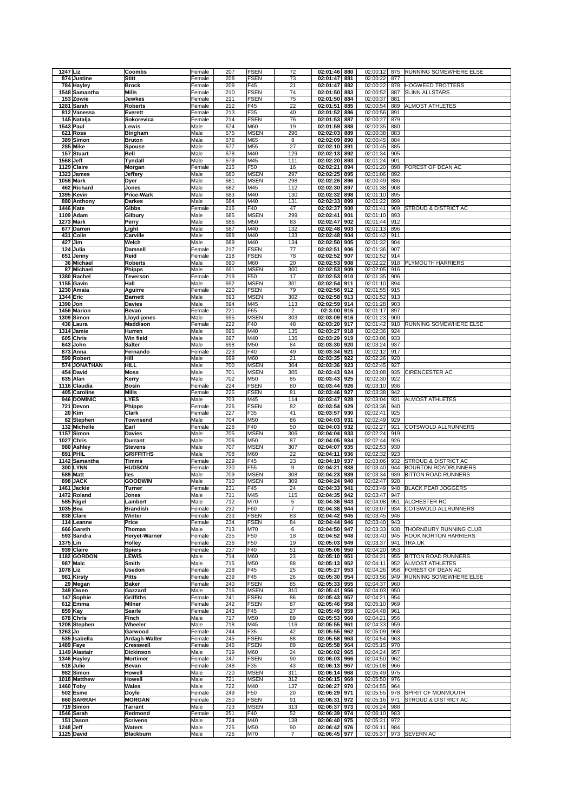| 1247 Liz                | Coombs                     | Female       | 207        | <b>FSEN</b> | 72                   | 02:01:46             | 880        | 02:00:12             | 875        | RUNNING SOMEWHERE ELSE          |
|-------------------------|----------------------------|--------------|------------|-------------|----------------------|----------------------|------------|----------------------|------------|---------------------------------|
| 874 Justine             | <b>Stitt</b>               | Female       | 208        | <b>FSEN</b> | 73                   | 02:01:47             | 881        | 02:00:22             | 877        |                                 |
| 784 Hayley              | <b>Brock</b>               | Female       | 209        | F45         | 21                   | 02:01:47             | 882        | 02:00:22             | 878        | <b>HOGWEED TROTTERS</b>         |
| 1548 Samantha           | Mills                      | Female       | 210        | <b>FSEN</b> | 74                   | 02:01:50             | 883        | 02:00:52             | 887        | <b>SLINN ALLSTARS</b>           |
| 153 Zowie               | Jewkes                     | Female       | 211        | <b>FSEN</b> | 75                   | 02:01:50             | 884        | 02:00:37             | 881        |                                 |
| 1281 Sarah              | <b>Roberts</b>             | Female       | 212        | F45         | 22                   | 02:01:51             | 885        | 02:00:54             | 889        | <b>ALMOST ATHLETES</b>          |
| 812 Vanessa             | Everett                    | Female       | 213        | F35         | 40                   | 02:01:52             | 886        | 02:00:56             | 891        |                                 |
| 145 Natalja             | Sokorevica                 | Female       | 214        | <b>FSEN</b> | 76                   | 02:01:53             | 887        | 02:00:27             | 879        |                                 |
| <b>1543 Paul</b>        | Lewis                      | Male         | 674        | M60         | 19                   | 02:01:59             | 888        | 02:00:35             | 880        |                                 |
| 621 Ross                | <b>Bingham</b>             | Male         | 675        | <b>MSEN</b> | 296                  | 02:02:03             | 889        | 02:00:38             | 883        |                                 |
| 389 Simon               | <b>Bruton</b>              | Male         | 676        | M65         | 8                    | 02:02:09             | 890        | 02:00:45             | 884        |                                 |
| 285 Mike                | Spouse                     | Male         | 677        | M55         | 27                   | 02:02:10             | 891        | 02:00:45             | 885        |                                 |
|                         |                            |              | 678        | M40         | 129                  | 02:02:13             |            | 02:01:34             |            |                                 |
| 157 Stuart              | <b>Bell</b>                | Male         |            | M45         |                      |                      | 892        |                      | 905        |                                 |
| 1568 Jeff               | <b>Tyndall</b>             | Male         | 679        |             | 111                  | 02:02:20             | 893        | 02:01:24             | 901        | FOREST OF DEAN AC               |
| 1129 Claire             | Morgan                     | Female       | 215        | F50         | 16                   | 02:02:21             | 894        | 02:01:20             | 898        |                                 |
| 1323 James              | Jeffery                    | Male         | 680        | <b>MSEN</b> | 297                  | 02:02:25             | 895        | 02:01:06             | 892        |                                 |
| 1058 Mark               | Dyer                       | Male         | 681        | <b>MSEN</b> | 298                  | 02:02:26             | 896        | 02:00:49             | 886        |                                 |
| 462 Richard             | Jones                      | Male         | 682        | M45         | 112                  | 02:02:30             | 897        | 02:01:38             | 908        |                                 |
| 1395 Kevin              | <b>Price-Wark</b>          | Male         | 683        | M40         | 130                  | 02:02:32             | 898        | 02:01:10             | 895        |                                 |
| 880 Anthony             | <b>Darkes</b>              | Male         | 684        | M40         | 131                  | 02:02:33             | 899        | 02:01:22             | 899        |                                 |
| <b>1446 Kate</b>        | Gibbs                      | Female       | 216        | F40         | 47                   | 02:02:37             | 900        | 02:01:41             | 909        | STROUD & DISTRICT AC            |
| 1109 Adam               | Gilbury                    | Male         | 685        | <b>MSEN</b> | 299                  | 02:02:41             | 901        | 02:01:10             | 893        |                                 |
| 1273 Mark               | Perry                      | Male         | 686        | M50         | 83                   | 02:02:47             | 902        | 02:01:44             | 912        |                                 |
| 677 Darren              | Light                      | Male         | 687        | M40         | 132                  | 02:02:48             | 903        | 02:01:13             | 896        |                                 |
| 431 Colin               | Carville                   | Male         | 688        | M40         | 133                  | 02:02:48             | 904        | 02:01:42             | 911        |                                 |
| 427 Jim                 | Welch                      | Male         | 689        | M40         | 134                  | 02:02:50             | 905        | 02:01:32             | 904        |                                 |
| 124 Julia               | Damsell                    | Female       | 217        | <b>FSEN</b> | $\overline{77}$      | 02:02:51             | 906        | 02:01:36             | 907        |                                 |
| 651 Jenny               | Reid                       | Female       | 218        | <b>FSEN</b> | 78                   | 02:02:52             | 907        | 02:01:52             | 914        |                                 |
| 36 Michael              | <b>Roberts</b>             | Male         | 690        | M60         | 20                   | 02:02:53             | 908        | 02:02:22             | 918        | PLYMOUTH HARRIERS               |
| 87 Michael              | <b>Phipps</b>              | Male         | 691        | <b>MSEN</b> | 300                  | 02:02:53             | 909        | 02:02:05             | 916        |                                 |
| 1380 Rachel             | <b>Teverson</b>            | Female       | 219        | F50         | 17                   | 02:02:53             | 910        | 02:01:35             | 906        |                                 |
| 1155 Gavin              | Hall                       | Male         | 692        | <b>MSEN</b> | 301                  | 02:02:54             | 911        | 02:01:10             | 894        |                                 |
| 1230 Amaia              | Aguirre                    | Female       | 220        | <b>FSEN</b> | 79                   | 02:02:56             | 912        | 02:01:55             | 915        |                                 |
| 1344 Eric               | <b>Barnett</b>             | Male         | 693        | <b>MSEN</b> | 302                  | 02:02:58             | 913        | 02:01:52             | 913        |                                 |
| 1390 Jon                | <b>Davies</b>              | Male         | 694        | M45         | 113                  | 02:02:59             | 914        | 02:01:28             | 903        |                                 |
| 1456 Marion             | Bevan                      | Female       | 221        | F65         | $\sqrt{2}$           | 02:3:00              | 915        | 02:01:17             | 897        |                                 |
| 1309 Simon              | Lloyd-jones                | Male         | 695        | <b>MSEN</b> | 303                  | 02:03:09             | 916        | 02:01:23             | 900        |                                 |
|                         |                            |              |            |             |                      |                      |            |                      |            | <b>RUNNING SOMEWHERE ELSE</b>   |
| 436 Laura               | <b>Maddison</b>            | Female       | 222        | F40         | 48                   | 02:03:20             | 917        | 02:01:42             | 910        |                                 |
| 1314 Jamie              | Hurren                     | Male         | 696        | M40         | 135                  | 02:03:27             | 918        | 02:02:36             | 924        |                                 |
| 605 Chris               | <b>Win field</b>           | Male         | 697        | M40         | 136                  | 02:03:29             | 919        | 02:03:06             | 933        |                                 |
| 643 John                | <b>Salter</b>              | Male         | 698        | M50         | 84                   | 02:03:30             | 920        | 02:03:24             | 937        |                                 |
| 873 Anna                | Fernando                   | Female       | 223        | F40         | 49                   | 02:03:34             | 921        | 02:02:12             | 917        |                                 |
| 599 Robert              | Hill                       | Male         | 699        | M60         | 21                   | 02:03:35             | 922        | 02:02:26             | 920        |                                 |
| 574 JONATHAN            | HILL                       | Male         | 700        | <b>MSEN</b> | 304                  | 02:03:36             | 923        | 02:02:45             | 927        |                                 |
| 454 David               | <b>Moss</b>                | Male         | 701        | <b>MSEN</b> | 305                  | 02:03:43             | 924        | 02:03:08             | 935        | <b>CIRENCESTER AC</b>           |
| 635 Alan                | Kerry                      | Male         | 702        | M50         | 85                   | 02:03:43             | 925        | 02:02:30             | 922        |                                 |
| 1116 Claudia            | <b>Bosin</b>               | Female       | 224        | <b>FSEN</b> | 80                   | 02:03:44             | 926        | 02:03:10             | 936        |                                 |
| 405 Caroline            | <b>Mills</b>               | Female       | 225        | <b>FSEN</b> | 81                   | 02:03:46             | 927        | 02:03:38             | 942        |                                 |
| 946 DOMINIC             | <b>LYES</b>                | Male         | 703        | M45         | 114                  | 02:03:47             | 928        | 02:03:04             | 931        | <b>ALMOST ATHLETES</b>          |
| 721 Devon               | <b>Phipps</b>              | Female       | 226        | <b>FSEN</b> | 82                   | 02:03:54             | 929        | 02:03:36             | 940        |                                 |
|                         |                            |              |            |             |                      |                      |            |                      |            |                                 |
| 20 Kim                  | <b>Clark</b>               | Female       | 227        | F35         | 41                   | 02:03:57             | 930        | 02:02:41             | 925        |                                 |
| 82 Stephen              | <b>Townsend</b>            | Male         | 704        | M50         | 86                   | 02:04:03             | 931        | 02:02:49             | 929        |                                 |
|                         | Earl                       |              | 228        | F40         | 50                   | 02:04:03             | 932        |                      | 921        | COTSWOLD ALLRUNNERS             |
| 132 Michelle            |                            | Female       |            |             |                      |                      |            | 02:02:27             |            |                                 |
| 1157 Simon              | <b>Davies</b>              | Male         | 705        | <b>MSEN</b> | 306                  | 02:04:04             | 933        | 02:02:24             | 919        |                                 |
| 1027 Chris              | Durrant                    | Male         | 706        | M50         | 87                   | 02:04:05             | 934        | 02:02:44             | 926        |                                 |
| 980 Ashley              | <b>Stevens</b>             | Male         | 707        | <b>MSEN</b> | 307                  | 02:04:07             | 935        | 02:02:53             | 930        |                                 |
| 891 PHIL                | <b>GRIFFITHS</b>           | Male         | 708        | M60         | 22                   | 02:04:11             | 936        | 02:02:32             | 923        |                                 |
| 1142 Samantha           | Timms                      | Female       | 229        | F45         | 23                   | 02:04:19             | 937        | 02:03:06             | 932        | <b>STROUD &amp; DISTRICT AC</b> |
| 300 LYNN                | <b>HUDSON</b>              | Female       | 230        | F55         | 9                    | 02:04:21             | 938        | 02:03:40             | 944        | <b>BOURTON ROADRUNNERS</b>      |
| 589 Matt                | lles                       | Male         | 709        | <b>MSEN</b> | 308                  | 02:04:23             | 939        | 02:03:34             | 939        | <b>BITTON ROAD RUNNERS</b>      |
| 898 JACK                | <b>GOODWIN</b>             | Male         | 710        | <b>MSEN</b> | 309                  | 02:04:24             | 940        | 02:02:47             | 928        |                                 |
| 1461 Jackie             | Turner                     | Female       | 231        | F45         | 24                   | 02:04:33             | 941        | 02:03:49             | 948        | <b>BLACK PEAR JOGGERS</b>       |
| 1472 Roland             | Jones                      | Male         | 711        | M45         | 115                  | 02:04:35             | 942        | 02:03:47             | 947        |                                 |
| 585 Nigel               | Lambert                    | Male         | 712        | M70         | 5                    | 02:04:36 943         |            |                      |            | 02:04:08   951   ALCHESTER RC   |
| 1035 Bea                | <b>Brandish</b>            | Female       | 232        | F60         | 7                    | 02:04:38 944         |            | 02:03:07             |            | 934 COTSWOLD ALLRUNNERS         |
| 838 Clare               | Winter                     | Female       | 233        | <b>FSEN</b> | 83                   | 02:04:42             | 945        | 02:03:45             | 946        |                                 |
| 114 Leanne              | Price                      | Female       | 234        | <b>FSEN</b> | 84                   | 02:04:44             | 946        | 02:03:40             | 943        |                                 |
| 666 Gareth              | <b>Thomas</b>              | Male         | 713        | M70         | 6                    | 02:04:50             | 947        | 02:03:33             | 938        | THORNBURY RUNNING CLUB          |
| 593 Sandra              | <b>Heryet-Warner</b>       | Female       | 235        | F50         | 18                   | 02:04:52             | 948        | 02:03:40             | 945        | <b>HOOK NORTON HARRIERS</b>     |
| 1375 Lin                | Holley                     | Female       | 236        | F50         | 19                   | 02:05:03             | 949        | 02:03:37             | 941        | TRA.UK                          |
| 939 Claire              | <b>Spiers</b>              | Female       | 237        | F40         | 51                   | 02:05:06             | 950        | 02:04:20             | 953        |                                 |
| 1182 GORDON             | <b>LEWIS</b>               | Male         | 714        | M60         | 23                   | 02:05:10             | 951        | 02:04:21             | 955        | <b>BITTON ROAD RUNNERS</b>      |
| 987 Malc                | Smith                      | Male         | 715        | M50         | 88                   | 02:05:13             | 952        | 02:04:11             | 952        | <b>ALMOST ATHLETES</b>          |
| 1078 Liz                | <b>Usedon</b>              | Female       | 238        | F45         | 25                   | 02:05:27             | 953        | 02:04:26             | 958        | FOREST OF DEAN AC               |
| 981 Kirsty              | <b>Pitts</b>               | Female       | 239        | F45         | 26                   | 02:05:30             | 954        | 02:03:56             | 949        | RUNNING SOMEWHERE ELSE          |
| 29 Megan                | <b>Baker</b>               | Female       | 240        | <b>FSEN</b> | 85                   | 02:05:33             | 955        | 02:04:37             | 960        |                                 |
| 349 Owen                | Gazzard                    | Male         | 716        | <b>MSEN</b> | 310                  | 02:05:41             | 956        | 02:04:03             | 950        |                                 |
| 147 Sophie              | <b>Griffiths</b>           | Female       | 241        | <b>FSEN</b> | 86                   | 02:05:43             | 957        | 02:04:21             | 954        |                                 |
| 612 Emma                | <b>Milner</b>              | Female       | 242        | <b>FSEN</b> | 87                   | 02:05:46             | 958        | 02:05:10             | 969        |                                 |
| 859 Kay                 | Searle                     | Female       | 243        | F45         | 27                   | 02:05:49             | 959        | 02:04:48             | 961        |                                 |
| 678 Chris               | Finch                      | Male         | 717        | M50         | 89                   | 02:05:53             | 960        | 02:04:21             | 956        |                                 |
| 1208 Stephen            | Wheeler                    | Male         | 718        | M45         | 116                  | 02:05:55             | 961        | 02:04:33             | 959        |                                 |
| $1263$ Jo               | Garwood                    | Female       | 244        | F35         | 42                   | 02:05:55             | 962        | 02:05:09             | 968        |                                 |
| 535 Isabella            | Ardagh-Walter              | Female       | 245        | <b>FSEN</b> | 88                   | 02:05:58             | 963        | 02:04:54             | 963        |                                 |
| 1489 Faye               | <b>Cresswell</b>           | Female       | 246        | <b>FSEN</b> | 89                   | 02:05:58             | 964        | 02:05:15             | 970        |                                 |
| 1149 Alastair           | Dickinson                  | Male         | 719        | M60         | 24                   | 02:06:02             | 965        | 02:04:24             | 957        |                                 |
| 1346 Hayley             | <b>Mortimer</b>            | Female       | 247        | <b>FSEN</b> | 90                   | 02:06:03             | 966        | 02:04:50             | 962        |                                 |
| 518 Julie               | Bevan                      | Female       | 248        | F35         | 43                   | 02:06:13             | 967        | 02:05:08             | 966        |                                 |
| 982 Simon               | <b>Howell</b>              | Male         | 720        | <b>MSEN</b> | 311                  | 02:06:14             | 968        | 02:05:49             | 975        |                                 |
| 1018 Matthew            | <b>Howell</b>              | Male         | 721        | <b>MSEN</b> | 312                  | 02:06:15             | 969        | 02:05:50             | 976        |                                 |
|                         |                            |              |            |             |                      |                      |            |                      |            |                                 |
| 1460 Toby               | Wales                      | Male         | 722        | M40         | 137                  | 02:06:27             | 970        | 02:04:55             | 964<br>978 |                                 |
| 502 Esme                | Doyle                      | Female       | 249        | F50         | 20                   | 02:06:29             | 971        | 02:05:55             |            | SPIRIT OF MONMOUTH              |
| 660 SARRAH              | <b>MORGAN</b>              | Female       | 250        | <b>FSEN</b> | 91                   | 02:06:31             | 972        | 02:05:16             | 971        | STROUD & DISTRICT AC            |
| 719 Simon               | <b>Tarrant</b>             | Male         | 723        | <b>MSEN</b> | 313                  | 02:06:37             | 973        | 02:06:24             | 988        |                                 |
| 1546 Sarah              | Redmond                    | Female       | 251        | F40         | 52                   | 02:06:39             | 974        | 02:06:10             | 983        |                                 |
| 151 Jason               | <b>Scrivens</b>            | Male         | 724        | M40         | 138                  | 02:06:40             | 975        | 02:05:21             | 972        |                                 |
| 1248 Jeff<br>1125 David | Waters<br><b>Blackburn</b> | Male<br>Male | 725<br>726 | M50<br>M70  | 90<br>$\overline{7}$ | 02:06:42<br>02:06:45 | 976<br>977 | 02:06:11<br>02:05:37 | 984        | 973 SEVERN AC                   |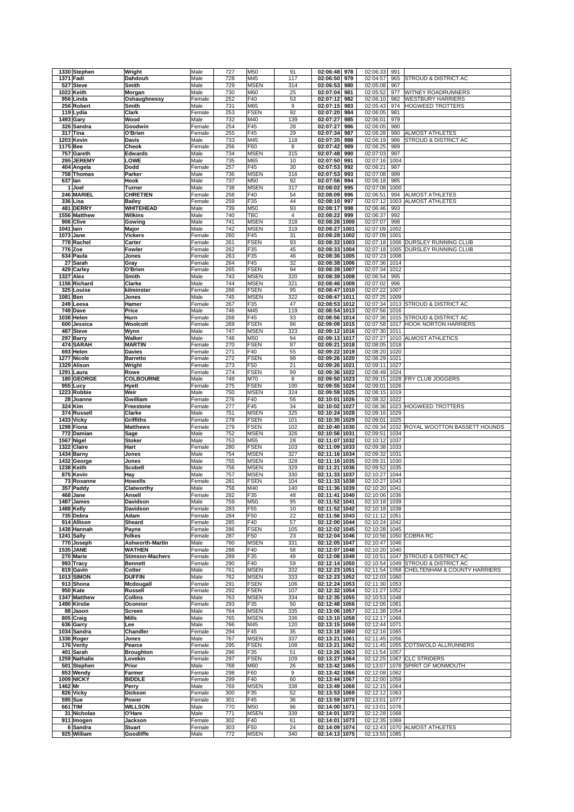| 1330 Stephen                 | Wright                                   | Male             | 727        | M50                        | 91         | 02:06:48                       | 978        | 02:06:33                       | 991          |                                              |
|------------------------------|------------------------------------------|------------------|------------|----------------------------|------------|--------------------------------|------------|--------------------------------|--------------|----------------------------------------------|
| 1371 Fadi                    | Dahdouh                                  | Male             | 728<br>729 | M45                        | 117        | 02:06:50                       | 979        | 02:04:57                       | 965<br>967   | STROUD & DISTRICT AC                         |
| 527 Steve<br>1022 Keith      | Smith<br>Morgan                          | Male<br>Male     | 730        | <b>MSEN</b><br>M60         | 314<br>25  | 02:06:53<br>02:07:04           | 980<br>981 | 02:05:08<br>02:05:52           | 977          | WITNEY ROADRUNNERS                           |
| 956 Linda                    | Oshaughnessy                             | Female           | 252        | F40                        | 53         | 02:07:12                       | 982        | 02:06:10                       | 982          | <b>WESTBURY HARRIERS</b>                     |
| 256 Robert                   | Smith                                    | Male             | 731        | M65                        | 9          | 02:07:15                       | 983        | 02:05:43                       | 974          | HOGWEED TROTTERS                             |
| 119 Lydia                    | Clark                                    | Female           | 253        | <b>FSEN</b>                | 92         | 02:07:20                       | 984        | 02:06:05                       | 981          |                                              |
| 1493 Gary                    | Wood                                     | Male             | 732        | M40                        | 139        | 02:07:27                       | 985        | 02:06:01                       | 979          |                                              |
| 326 Sandra                   | Goodwin                                  | Female           | 254        | F45                        | 28         | 02:07:27                       | 986        | 02:06:05                       | 980          |                                              |
| 317 Tina<br>1203 Kevin       | O'Brien<br><b>Davis</b>                  | Female<br>Male   | 255<br>733 | F45<br>M45                 | 29<br>118  | 02:07:34<br>02:07:35           | 987<br>988 | 02:06:28<br>02:06:19           | 990<br>986   | ALMOST ATHLETES<br>STROUD & DISTRICT AC      |
| 1175 Bee                     | Cheok                                    | Female           | 256        | F60                        | 8          | 02:07:42                       | 989        | 02:06:25                       | 989          |                                              |
| 757 Gareth                   | <b>Edwards</b>                           | Male             | 734        | <b>MSEN</b>                | 315        | 02:07:48                       | 990        | 02:07:03                       | 997          |                                              |
| 295 JEREMY                   | LOWE                                     | Male             | 735        | M65                        | 10         | 02:07:50                       | 991        | 02:07:16                       | 1004         |                                              |
| 404 Angela                   | Dodd                                     | Female           | 257        | F45                        | 30         | 02:07:53                       | 992        | 02:06:21                       | 987          |                                              |
| 758 Thomas                   | Parker                                   | Male             | 736        | <b>MSEN</b>                | 316        | 02:07:53                       | 993        | 02:07:08                       | 999          |                                              |
| 637 Ian                      | Hook                                     | Male             | 737        | M50                        | 92         | 02:07:56                       | 994        | 02:06:18                       | 985          |                                              |
| 1 Joel<br>246 MARIEL         | <b>Turner</b><br><b>CHRETIEN</b>         | Male<br>Female   | 738<br>258 | <b>MSEN</b><br>F40         | 317<br>54  | 02:08:02<br>02:08:09           | 995<br>996 | 02:07:08 1000<br>02:06:51      | 994          | <b>ALMOST ATHLETES</b>                       |
| 336 Lisa                     | <b>Bailey</b>                            | Female           | 259        | F35                        | 44         | 02:08:10                       | 997        | 02:07:12                       | 1003         | <b>ALMOST ATHLETES</b>                       |
| 481 DERRY                    | <b>WHITEHEAD</b>                         | Male             | 739        | M50                        | 93         | 02:08:17                       | 998        | 02:06:46                       | 993          |                                              |
| 1556 Matthew                 | <b>Wilkins</b>                           | Male             | 740        | TBC                        | 4          | 02:08:22                       | 999        | 02:06:37                       | 992          |                                              |
| 906 Clive                    | Gowing                                   | Male             | 741        | <b>MSEN</b>                | 318        | 02:08:26 1000                  |            | 02:07:07                       | 998          |                                              |
| 1041 lain                    | Major                                    | Male             | 742        | <b>MSEN</b><br>F45         | 319        | 02:08:27 1001                  |            | 02:07:09                       | 1002         |                                              |
| 1073 Jane<br>778 Rachel      | <b>Vickers</b><br>Carter                 | Female<br>Female | 260<br>261 | <b>FSEN</b>                | 31<br>93   | 02:08:28 1002<br>02:08:32 1003 |            | 02:07:09<br>02:07:18 1006      | 1001         | DURSLEY RUNNING CLUB                         |
| 776 Zoe                      | <b>Fowler</b>                            | Female           | 262        | F35                        | 45         | 02:08:33 1004                  |            | 02:07:18 1005                  |              | DURSLEY RUNNING CLUB                         |
| 634 Paula                    | Jones                                    | Female           | 263        | F35                        | 46         | 02:08:36 1005                  |            | 02:07:23 1008                  |              |                                              |
| 27 Sarah                     | Gray                                     | Female           | 264        | F45                        | 32         | 02:08:38 1006                  |            | 02:07:36 1014                  |              |                                              |
| 429 Carley                   | O'Brien                                  | Female           | 265        | <b>FSEN</b>                | 94         | 02:08:39 1007                  |            | 02:07:34                       | 1012         |                                              |
| <b>1327 Alex</b>             | Smith                                    | Male             | 743        | <b>MSEN</b>                | 320        | 02:08:39 1008                  |            | 02:06:54                       | 995          |                                              |
| 1156 Richard<br>325 Louise   | Clarke<br>kilminster                     | Male<br>Female   | 744<br>266 | <b>MSEN</b><br><b>FSEN</b> | 321<br>95  | 02:08:46 1009<br>02:08:47 1010 |            | 02:07:02<br>02:07:22           | 996<br>1007  |                                              |
| 1081 Ben                     | Jones                                    | Male             | 745        | <b>MSEN</b>                | 322        | 02:08:47                       | 1011       | 02:07:25                       | 1009         |                                              |
| 249 Leesa                    | Hamer                                    | Female           | 267        | F35                        | 47         | 02:08:53 1012                  |            | 02:07:34                       | 1013         | STROUD & DISTRICT AC                         |
| 749 Dave                     | Price                                    | Male             | 746        | M45                        | 119        | 02:08:54 1013                  |            | 02:07:56                       | 1016         |                                              |
| 1038 Helen                   | Hurn                                     | Female           | 268        | F45                        | 33         | 02:08:56 1014                  |            | 02:07:36 1015                  |              | STROUD & DISTRICT AC                         |
| 600 Jessica                  | Woolcott                                 | Female           | 269        | <b>FSEN</b>                | 96         | 02:09:09 1015                  |            | 02:07:58 1017                  |              | <b>HOOK NORTON HARRIERS</b>                  |
| 487 Steve                    | Wynn                                     | Male             | 747        | <b>MSEN</b>                | 323        | 02:09:12 1016                  |            | 02:07:30 1011                  |              |                                              |
| 297 Barry<br>474 SARAH       | Walker<br><b>MARTIN</b>                  | Male<br>Female   | 748<br>270 | M50<br><b>FSEN</b>         | 94<br>97   | 02:09:13 1017<br>02:09:21 1018 |            | 02:07:27 1010<br>02:08:05 1018 |              | <b>ALMOST ATHLETICS</b>                      |
| 693 Helen                    | <b>Davies</b>                            | Female           | 271        | F40                        | 55         | 02:09:22 1019                  |            | 02:08:20 1020                  |              |                                              |
| 1277 Nicole                  | <b>Barretto</b>                          | Female           | 272        | <b>FSEN</b>                | 98         | 02:09:26 1020                  |            | 02:08:29 1021                  |              |                                              |
| 1329 Alison                  | Wright                                   | Female           | 273        | F50                        | 21         | 02:09:26 1021                  |            | 02:09:11 1027                  |              |                                              |
| 1291 Laura                   | Rowe                                     | Female           | 274        | <b>FSEN</b>                | 99         | 02:09:36 1022                  |            | 02:08:49                       | 1024         |                                              |
| 180 GEORGE                   | <b>COLBOURNE</b>                         | Male             | 749        | M70                        | 8          | 02:09:50                       | 1023       | 02:09:15 1028                  |              | FRY CLUB JOGGERS                             |
| 955 Lucy                     | <b>Hyett</b>                             | Female           | 275        | <b>FSEN</b>                | 100        | 02:09:55                       | 1024       | 02:09:01                       | 1026         |                                              |
| 1223 Robbie<br>28 Joanne     | Weir<br>Gwilliam                         | Male<br>Female   | 750<br>276 | <b>MSEN</b><br>F40         | 324<br>56  | 02:09:59 1025<br>02:10:01 1026 |            | 02:08:15 1019<br>02:08:32 1022 |              |                                              |
| 324 Kim                      | Freestone                                | Female           | 277        | F45                        | 34         | 02:10:02 1027                  |            |                                |              | 02:08:36 1023 HOGWEED TROTTERS               |
| 374 Russell                  | Clarke                                   | Male             | 751        | <b>MSEN</b>                | 325        | 02:10:24 1028                  |            | 02:09:16 1029                  |              |                                              |
| 1433 Vicky                   | <b>Griffiths</b>                         | Female           | 278        | <b>FSEN</b>                | 101        | 02:10:35 1029                  |            | 02:09:01 1025                  |              |                                              |
| 1298 Fiona                   | <b>Matthews</b>                          | Female           | 279        | <b>FSEN</b>                | 102        | 02:10:40 1030                  |            |                                |              | 02:09:34 1032 ROYAL WOOTTON BASSETT HOUNDS   |
| 772 Damian                   | Sage                                     | Male             | 752        | <b>MSEN</b>                | 326        | 02:10:56 1031                  |            | 02:09:51 1034                  |              |                                              |
| 1567 Nigel                   | <b>Stoker</b>                            | Male             | 753<br>280 | M55                        | 28         | 02:11:07 1032                  |            | 02:10:12 1037                  |              |                                              |
| 1322 Claire<br>1434 Barny    | Hart<br>Jones                            | Female           |            | <b>FSEN</b>                | 103        | 02:11:09 1033                  |            | 02:09:38 1033<br>02:09:32      | 1031         |                                              |
| 1432 George                  |                                          |                  |            |                            |            |                                |            |                                |              |                                              |
|                              |                                          | Male             | 754        | <b>MSEN</b>                | 327        | 02:11:16 1034                  |            |                                |              |                                              |
| 1238 Keith                   | Jones<br><b>Scobell</b>                  | Male<br>Male     | 755<br>756 | <b>MSEN</b><br><b>MSEN</b> | 328<br>329 | 02:11:16 1035<br>02:11:21 1036 |            | 02:09:31<br>02:09:52           | 1030<br>1035 |                                              |
| 875 Kevin                    | Hay                                      | Male             | 757        | <b>MSEN</b>                | 330        | 02:11:33 1037                  |            | 02:10:27                       | 1044         |                                              |
| 73 Roxanne                   | <b>Howells</b>                           | Female           | 281        | <b>FSEN</b>                | 104        | 02:11:33 1038                  |            | 02:10:27                       | 1043         |                                              |
| 357 Paddy                    | Clatworthy                               | Male             | 758        | M40                        | 140        | 02:11:36 1039                  |            | 02:10:20 1041                  |              |                                              |
| 468 Jane                     | Ansell                                   | Female           | 282        | F35                        | 48         | 02:11:41 1040                  |            | 02:10:06 1036                  |              |                                              |
| 1487 James                   | Davidson                                 | Male             | 759        | M50                        | 95         | 02:11:52 1041                  |            | 02:10:18 1039                  |              |                                              |
| 1488 Kelly<br>735 Debra      | <b>Davidson</b><br>Adam                  | Female<br>Female | 283<br>284 | F <sub>55</sub><br>F50     | 10<br>22   | 02:11:52 1042<br>02:11:56 1043 |            | 02:10:18 1038<br>02:11:12 1051 |              |                                              |
| 914 Allison                  | Sheard                                   | Female           | 285        | F40                        | 57         | 02:12:00 1044                  |            | 02:10:24 1042                  |              |                                              |
| 1438 Hannah                  | Payne                                    | Female           | 286        | <b>FSEN</b>                | 105        | 02:12:02 1045                  |            | 02:10:28 1045                  |              |                                              |
| 1241 Sally                   | folkes                                   | Female           | 287        | F50                        | 23         | 02:12:04 1046                  |            | 02:10:56 1050                  |              | <b>COBRA RC</b>                              |
| 770 Joseph                   | <b>Ashworth-Martin</b>                   | Male             | 760        | <b>MSEN</b>                | 331        | 02:12:05 1047                  |            | 02:10:47 1046                  |              |                                              |
| <b>1535 JANE</b>             | <b>WATHEN</b>                            | Female           | 288        | F40                        | 58         | 02:12:07 1048                  |            | 02:10:20 1040                  |              |                                              |
| 270 Marie<br>993 Tracy       | <b>Stimson-Machers</b><br><b>Bennett</b> | Female<br>Female | 289<br>290 | F35<br>F40                 | 49<br>59   | 02:12:08 1049<br>02:12:14 1050 |            | 02:10:51 1047<br>02:10:54 1049 |              | STROUD & DISTRICT AC<br>STROUD & DISTRICT AC |
| 819 Gavin                    | Cotter                                   | Male             | 761        | <b>MSEN</b>                | 332        | 02:12:23 1051                  |            | 02:11:54 1058                  |              | CHELTENHAM & COUNTY HARRIERS                 |
| <b>1013 SIMON</b>            | <b>DUFFIN</b>                            | Male             | 762        | <b>MSEN</b>                | 333        | 02:12:23 1052                  |            | 02:12:03 1060                  |              |                                              |
| 913 Shona                    | Mcdougall                                | Female           | 291        | <b>FSEN</b>                | 106        | 02:12:24 1053                  |            | 02:11:30 1053                  |              |                                              |
| 950 Kate                     | <b>Russell</b>                           | Female           | 292        | <b>FSEN</b>                | 107        | 02:12:32 1054                  |            | 02:11:27 1052                  |              |                                              |
| 1347 Matthew                 | <b>Collins</b>                           | Male             | 763        | <b>MSEN</b>                | 334        | 02:12:35 1055                  |            | 02:10:53 1048                  |              |                                              |
| 1490 Kirstie<br>88 Jason     | Oconnor<br>Screen                        | Female<br>Male   | 293<br>764 | F35<br><b>MSEN</b>         | 50<br>335  | 02:12:48 1056<br>02:13:06 1057 |            | 02:12:06 1061<br>02:11:38 1054 |              |                                              |
| 805 Craig                    | <b>Mills</b>                             | Male             | 765        | <b>MSEN</b>                | 336        | 02:13:10 1058                  |            | 02:12:17 1066                  |              |                                              |
| 636 Garry                    | Lee                                      | Male             | 766        | M45                        | 120        | 02:13:15 1059                  |            | 02:12:44 1071                  |              |                                              |
| 1034 Sandra                  | Chandler                                 | Female           | 294        | F45                        | 35         | 02:13:18 1060                  |            | 02:12:16 1065                  |              |                                              |
| 1336 Roger                   | Jones                                    | Male             | 767        | <b>MSEN</b>                | 337        | 02:13:21 1061                  |            | 02:11:45 1056                  |              |                                              |
| 176 Verity                   | Pearce                                   | Female           | 295        | <b>FSEN</b>                | 108        | 02:13:21 1062                  |            | 02:11:45 1055                  |              | COTSWOLD ALLRUNNERS                          |
| 401 Sarah                    | <b>Broughton</b><br>Lovekin              | Female           | 296        | F35                        | 51         | 02:13:26 1063                  |            | 02:11:54 1057                  |              | <b>CLC STRIDERS</b>                          |
| 1259 Nathalie<br>501 Stephen | Prior                                    | Female<br>Male   | 297<br>768 | <b>FSEN</b><br>M60         | 109<br>26  | 02:13:27 1064<br>02:13:42 1065 |            | 02:12:25 1067<br>02:13:07 1078 |              | SPIRIT OF MONMOUTH                           |
| 853 Wendy                    | Farmer                                   | Female           | 298        | F60                        | 9          | 02:13:42 1066                  |            | 02:12:08 1062                  |              |                                              |
| <b>1009 NICKY</b>            | <b>BIDDLE</b>                            | Female           | 299        | F40                        | 60         | 02:13:44 1067                  |            | 02:12:00 1059                  |              |                                              |
| 1462 Mr                      | Perry                                    | Male             | 769        | <b>MSEN</b>                | 338        | 02:13:49 1068                  |            | 02:12:15 1064                  |              |                                              |
| 826 Vicky                    | <b>Dickson</b>                           | Female           | 300        | F35                        | 52         | 02:13:53 1069                  |            | 02:12:12 1063                  |              |                                              |
| 595 Sue                      | Power                                    | Female           | 301        | F45                        | 36         | 02:13:59 1070                  |            | 02:13:01 1077                  |              |                                              |
| 661 TIM                      | <b>WILLSON</b><br>O'Hare                 | Male             | 770<br>771 | M50                        | 96         | 02:14:00 1071                  |            | 02:13:01 1076                  |              |                                              |
| 31 Nicholas<br>911 Imogen    | Jackson                                  | Male<br>Female   | 302        | <b>MSEN</b><br>F40         | 339<br>61  | 02:14:01 1072<br>02:14:01 1073 |            | 02:12:28 1068<br>02:12:35 1069 |              |                                              |
| 6 Sandra<br>925 William      | <b>Stuart</b><br>Goodliffe               | Female           | 303<br>772 | F50<br><b>MSEN</b>         | 24<br>340  | 02:14:09 1074<br>02:14:13 1075 |            | 02:13:55 1085                  |              | 02:12:43 1070 ALMOST ATHLETES                |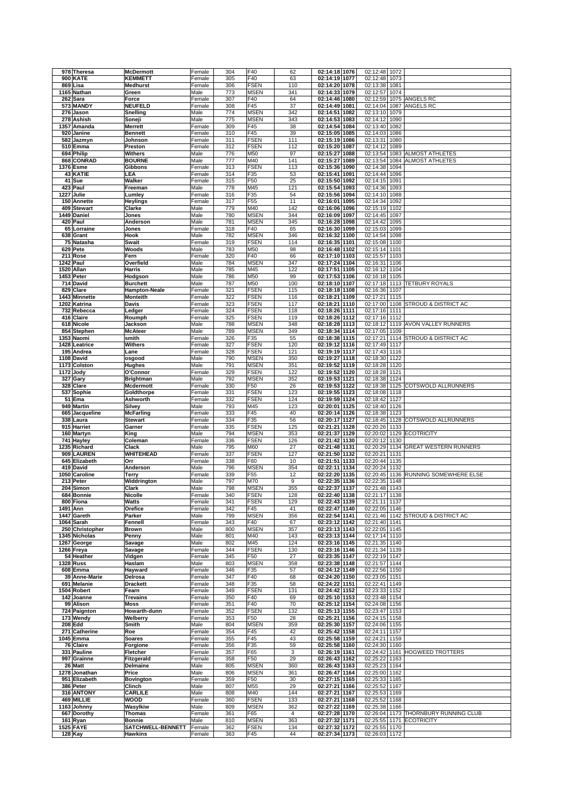| 978 Theresa                 |                                     |                  |            |                    |           |                                |                                |                                      |
|-----------------------------|-------------------------------------|------------------|------------|--------------------|-----------|--------------------------------|--------------------------------|--------------------------------------|
|                             | <b>McDermott</b>                    | Female           | 304        | F40                | 62        | 02:14:18 1076                  | 02:12:48<br>1072               |                                      |
| <b>900 KATE</b>             | <b>KEMMETT</b>                      | Female           | 305        | F40                | 63        | 02:14:19 1077                  | 02:12:48<br>1073               |                                      |
| 869 Lisa                    | <b>Medhurst</b>                     | Female           | 306        | <b>FSEN</b>        | 110       | 02:14:20 1078                  | 02:13:38<br>1081               |                                      |
| 1165 Nathan                 | Green                               | Male             | 773        | <b>MSEN</b>        | 341       | 02:14:33 1079                  | 02:12:57<br>1074               |                                      |
| 262 Sara                    | Force                               | Female           | 307        | F40                | 64        | 02:14:46 1080                  | 02:12:59                       | 1075 ANGELS RC                       |
|                             |                                     |                  |            |                    |           |                                |                                |                                      |
| 573 MANDY                   | <b>NEUFELD</b>                      | Female           | 308        | F45                | 37        | 02:14:49 1081                  | 02:14:04<br>1087               | <b>ANGELS RC</b>                     |
| 276 Jason                   | Snelling                            | Male             | 774        | <b>MSEN</b>        | 342       | 02:14:51 1082                  | 02:13:10<br>1079               |                                      |
| 278 Ashish                  | Soneji                              | Male             | 775        | <b>MSEN</b>        | 343       | 02:14:53<br>1083               | 02:14:12<br>1090               |                                      |
| 1357 Amanda                 | <b>Merrett</b>                      | Female           | 309        | F45                | 38        | 02:14:54 1084                  | 02:13:40<br>1082               |                                      |
| 920 Janine                  | <b>Bennett</b>                      | Female           | 310        | F45                | 39        | 02:15:05 1085                  | 02:14:03<br>1086               |                                      |
|                             |                                     |                  |            |                    |           |                                |                                |                                      |
| 582 Jazmyn                  | Johnson                             | Female           | 311        | <b>FSEN</b>        | 111       | 02:15:19 1086                  | 02:13:31<br>1080               |                                      |
| 510 Emma                    | Preston                             | Female           | 312        | <b>FSEN</b>        | 112       | 02:15:20 1087                  | 02:14:12<br>1089               |                                      |
| 694 Philip                  | <b>Withers</b>                      | Male             | 776        | M50                | 97        | 02:15:27<br>1088               | 02:13:54<br>1083               | <b>ALMOST ATHLETES</b>               |
| 868 CONRAD                  | <b>BOURNE</b>                       | Male             | 777        | M40                | 141       | 02:15:27<br>1089               | 02:13:54<br>1084               | <b>ALMOST ATHLETES</b>               |
|                             | Gibbons                             |                  | 313        | <b>FSEN</b>        | 113       | 02:15:36<br>1090               | 02:14:38<br>1094               |                                      |
| <b>1376 Esme</b>            |                                     | Female           |            |                    |           |                                |                                |                                      |
| <b>43 KATIE</b>             | LEA                                 | Female           | 314        | F35                | 53        | 02:15:41 1091                  | 02:14:44<br>1096               |                                      |
| 41 Sue                      | Walker                              | Female           | 315        | F50                | 25        | 02:15:50 1092                  | 02:14:15<br>1091               |                                      |
| 423 Paul                    | Freeman                             | Male             | 778        | M45                | 121       | 02:15:54 1093                  | 02:14:36<br>1093               |                                      |
| 1227 Julie                  | Lumley                              | Female           | 316        | F35                | 54        | 02:15:56<br>1094               | 02:14:10<br>1088               |                                      |
| 150 Annette                 |                                     |                  | 317        |                    | 11        |                                | 1092                           |                                      |
|                             | <b>Heylings</b>                     | Female           |            | F55                |           | 02:16:01 1095                  | 02:14:34                       |                                      |
| 409 Stewart                 | Clarke                              | Male             | 779        | M40                | 142       | 02:16:06 1096                  | 02:15:19<br>1102               |                                      |
| 1449 Daniel                 | Jones                               | Male             | 780        | <b>MSEN</b>        | 344       | 02:16:09 1097                  | 02:14:45<br>1097               |                                      |
| 420 Paul                    | Anderson                            | Male             | 781        | <b>MSEN</b>        | 345       | 02:16:28 1098                  | 02:14:42<br>1095               |                                      |
| 65 Lorraine                 | Jones                               | Female           | 318        | F40                | 65        | 02:16:30 1099                  | 02:15:03<br>1099               |                                      |
| 638 Grant                   | Hook                                | Male             | 782        | <b>MSEN</b>        | 346       | 02:16:32 1100                  | 02:14:54<br>1098               |                                      |
|                             |                                     |                  |            |                    |           |                                |                                |                                      |
| 75 Natasha                  | <b>Swait</b>                        | Female           | 319        | <b>FSEN</b>        | 114       | 02:16:35 1101                  | 02:15:08<br>1100               |                                      |
| 629 Pete                    | Woods                               | Male             | 783        | M50                | 98        | 02:16:48 1102                  | 02:15:14<br>1101               |                                      |
| 211 Rose                    | Fern                                | Female           | 320        | F40                | 66        | 02:17:10 1103                  | 02:15:57<br>1103               |                                      |
| 1242 Paul                   | Overfield                           | Male             | 784        | <b>MSEN</b>        | 347       | 02:17:24 1104                  | 02:16:31<br>1106               |                                      |
| 1520 Allan                  | <b>Harris</b>                       | Male             | 785        | M45                | 122       | 02:17:51 1105                  | 02:16:12<br>1104               |                                      |
|                             |                                     |                  |            |                    |           |                                |                                |                                      |
| 1453 Peter                  | Hodgson                             | Male             | 786        | M50                | 99        | 02:17:53 1106                  | 02:16:18<br>1105               |                                      |
| 714 David                   | <b>Burchett</b>                     | Male             | 787        | M50                | 100       | 02:18:10 1107                  | 02:17:18                       | 1113 TETBURY ROYALS                  |
| 829 Clare                   | Hampton-Neale                       | Female           | 321        | <b>FSEN</b>        | 115       | 02:18:18 1108                  | 02:16:36<br>1107               |                                      |
| 1443 Minnette               | <b>Monteith</b>                     | Female           | 322        | <b>FSEN</b>        | 116       | 02:18:21 1109                  | 02:17:21<br>1115               |                                      |
|                             |                                     |                  |            |                    |           |                                | 02:17:00                       |                                      |
| 1202 Katrina                | <b>Davis</b>                        | Female           | 323        | <b>FSEN</b>        | 117       | 02:18:21 1110                  | 1108                           | <b>STROUD &amp; DISTRICT AC</b>      |
| 732 Rebecca                 | Ledger                              | Female           | 324        | <b>FSEN</b>        | 118       | 02:18:26 1111                  | 02:17:16<br>1111               |                                      |
| 416 Claire                  | Roumph                              | Female           | 325        | <b>FSEN</b>        | 119       | 02:18:26 1112                  | 02:17:16<br>1112               |                                      |
| 618 Nicole                  | Jackson                             | Male             | 788        | <b>MSEN</b>        | 348       | 02:18:28 1113                  | 02:18:12                       | 1119 AVON VALLEY RUNNERS             |
| 854 Stephen                 | <b>McAteer</b>                      | Male             | 789        | <b>MSEN</b>        | 349       | 02:18:34 1114                  | 02:17:05<br>1109               |                                      |
|                             |                                     |                  |            |                    |           |                                |                                |                                      |
| 1353 Naomi                  | smith                               | Female           | 326        | F35                | 55        | 02:18:38 1115                  | 02:17:21                       | 1114 STROUD & DISTRICT AC            |
| 1428 Leatrice               | <b>Withers</b>                      | Female           | 327        | <b>FSEN</b>        | 120       | 02:19:12 1116                  | 02:17:49<br>1117               |                                      |
| 195 Andrea                  | Lane                                | Female           | 328        | <b>FSEN</b>        | 121       | 02:19:19 1117                  | 02:17:43<br>1116               |                                      |
| 1108 David                  | osgood                              | Male             | 790        | <b>MSEN</b>        | 350       | 02:19:27 1118                  | 02:18:30 1122                  |                                      |
| 1173 Colston                | <b>Hughes</b>                       | Male             | 791        | <b>MSEN</b>        | 351       | 02:19:52 1119                  | 02:18:28<br>1120               |                                      |
|                             |                                     |                  |            |                    |           |                                |                                |                                      |
| 1172 Jody                   | O'Connor                            | Female           | 329        | <b>FSEN</b>        | 122       | 02:19:52 1120                  | 02:18:28<br>1121               |                                      |
| 327 Gary                    | <b>Brightman</b>                    | Male             | 792        | <b>MSEN</b>        | 352       | 02:19:53 1121                  | 02:18:38<br>1124               |                                      |
| 328 Clare                   | <b>Mcdermott</b>                    | Female           | 330        | F50                | 26        | 02:19:53 1122                  | 02:18:38                       | 1125 COTSWOLD ALLRUNNERS             |
| 537 Sophie                  | Goldthorpe                          | Female           | 331        | <b>FSEN</b>        | 123       | 02:19:55 1123                  | 02:18:08<br>1118               |                                      |
| 51 Ema                      | Ashworth                            | Female           | 332        | <b>FSEN</b>        | 124       | 02:19:59 1124                  | 02:18:42<br>1127               |                                      |
|                             |                                     |                  |            |                    |           |                                |                                |                                      |
| 949 Martin                  | Silvey                              | Male             | 793        | M45                | 123       | 02:20:01 1125                  | 02:18:40 1126                  |                                      |
| 665 Jacqueline              | <b>McFarling</b>                    | Female           | 333        | F45                | 40        | 02:20:14 1126                  | 02:18:38<br>1123               |                                      |
| 338 Laura                   | <b>Stewart</b>                      | Female           | 334        | F35                | 56        | 02:20:17 1127                  | 02:18:45                       | 1128 COTSWOLD ALLRUNNERS             |
| 915 Harriet                 | Garner                              | Female           | 335        | <b>FSEN</b>        | 125       | 02:21:21 1128                  | 02:20:26<br>1133               |                                      |
|                             |                                     |                  |            |                    |           |                                |                                |                                      |
| 160 Martyn                  | King                                | Male             | 794        | <b>MSEN</b>        | 353       | 02:21:37 1129                  | 02:20:02                       | 1129 ECOTRICITY                      |
| 741 Hayley                  | Coleman                             | Female           | 336        | <b>FSEN</b>        | 126       | 02:21:42 1130                  | 02:20:12<br>1130               |                                      |
| 1235 Richard                | Clack                               | Male             | 795        | M60                | 27        | 02:21:48 1131                  | 02:20:29                       | 1134 GREAT WESTERN RUNNERS           |
| 909 LAUREN                  | <b>WHITEHEAD</b>                    | Female           | 337        | <b>FSEN</b>        | 127       | 02:21:50 1132                  | 02:20:21<br>1131               |                                      |
| 645 Elizabeth               | Orr                                 | Female           | 338        | F60                | 10        | 02:21:51 1133                  | 02:20:44<br>1135               |                                      |
|                             |                                     |                  |            | <b>MSEN</b>        |           | 02:22:11 1134                  | 02:20:24<br>1132               |                                      |
|                             |                                     |                  |            |                    |           |                                |                                |                                      |
| 419 David                   | Anderson                            | Male             | 796        |                    | 354       |                                |                                |                                      |
| 1050 Caroline               | Terry                               | Female           | 339        | F55                | 12        | 02:22:20 1135                  | 02:20:45                       | 1136 RUNNING SOMEWHERE ELSE          |
| 213 Peter                   | Widdrington                         | Male             | 797        | M70                | 9         | 02:22:35 1136                  | 02:22:35 1148                  |                                      |
|                             |                                     |                  |            |                    |           |                                |                                |                                      |
| 204 Simon                   | Clark                               | Male             | 798        | <b>MSEN</b>        | 355       | 02:22:37 1137                  | 02:21:48 1143                  |                                      |
| 684 Bonnie                  | <b>Nicolle</b>                      | Female           | 340        | <b>FSEN</b>        | 128       | 02:22:40 1138                  | 02:21:17<br>1138               |                                      |
| 800 Fiona                   | Watts                               | Female           | 341        | FSEN               | 129       | 02:22:43 1139                  | 02:21:11 1137                  |                                      |
| 1491 Ann                    | Orefice                             | Female           | 342        | F45                | 41        | 02:22:47 1140                  | 02:22:05 1146                  |                                      |
| 1447 Gareth                 | Parker                              | Male             | 799        | <b>MSEN</b>        | 356       | 02:22:54 1141                  |                                | 02:21:46 1142 STROUD & DISTRICT AC   |
| 1064 Sarah                  | Fennell                             | Female           | 343        | F40                | 67        | 02:23:12 1142                  | 02:21:40 1141                  |                                      |
|                             |                                     |                  |            |                    |           |                                |                                |                                      |
| 250 Christopher             | <b>Brown</b>                        | Male             | 800        | <b>MSEN</b>        | 357       | 02:23:13 1143                  | 02:22:05 1145                  |                                      |
| 1345 Nicholas               | Penny                               | Male             | 801        | M40                | 143       | 02:23:13 1144                  | 02:17:14<br>1110               |                                      |
| 1267 George                 | Savage                              | Male             | 802        | M45                | 124       | 02:23:16 1145                  | 02:21:35<br>1140               |                                      |
| 1266 Freya                  | Savage                              | Female           | 344        | <b>FSEN</b>        | 130       | 02:23:16 1146                  | 02:21:34 1139                  |                                      |
| 54 Heather                  | Vidgen                              | Female           | 345        | F50                | 27        | 02:23:35 1147                  | 02:22:19 1147                  |                                      |
| <b>1328 Russ</b>            | Haslam                              | Male             | 803        | <b>MSEN</b>        | 358       |                                | 02:21:57 1144                  |                                      |
|                             |                                     |                  |            |                    |           | 02:23:38 1148                  |                                |                                      |
| 608 Emma                    | Hayward                             | Female           | 346        | F35                | 57        | 02:24:12 1149                  | 02:22:56 1150                  |                                      |
| 39 Anne-Marie               | Delrosa                             | Female           | 347        | F40                | 68        | 02:24:20 1150                  | 02:23:05 1151                  |                                      |
| 691 Melanie                 | <b>Drackett</b>                     | Female           | 348        | F35                | 58        | 02:24:22 1151                  | 02:22:41 1149                  |                                      |
| 1504 Robert                 | Fearn                               | Female           | 349        | <b>FSEN</b>        | 131       | 02:24:42 1152                  | 02:23:33 1152                  |                                      |
| 142 Joanne                  | <b>Trevains</b>                     | Female           | 350        | F40                | 69        | 02:25:10 1153                  | 02:23:48 1154                  |                                      |
| 99 Alison                   | Moss                                | Female           | 351        | F40                | 70        |                                | 02:24:08 1156                  |                                      |
|                             |                                     |                  |            |                    |           | 02:25:12 1154                  |                                |                                      |
| 724 Paignton                | Howarth-dunn                        | Female           | 352        | <b>FSEN</b>        | 132       | 02:25:13 1155                  | 02:23:47 1153                  |                                      |
| 173 Wendy                   | Welberry                            | Female           | 353        | F50                | 28        | 02:25:21 1156                  | 02:24:15 1158                  |                                      |
| <b>208 Edd</b>              | Smith                               | Male             | 804        | <b>MSEN</b>        | 359       | 02:25:30 1157                  | 02:24:06 1155                  |                                      |
| 271 Catherine               | Roe                                 | Female           | 354        | F45                | 42        | 02:25:42 1158                  | 02:24:11 1157                  |                                      |
| 1045 Emma                   | Soares                              | Female           | 355        | F45                |           |                                |                                |                                      |
|                             |                                     |                  |            |                    | 43        | 02:25:58 1159                  | 02:24:21 1159                  |                                      |
| 76 Claire                   | Forgione                            | Female           | 356        | F35                | 59        | 02:25:58 1160                  | 02:24:30 1160                  |                                      |
| 331 Pauline                 | Fletcher                            | Female           | 357        | F65                | 3         | 02:26:19 1161                  | 02:24:42                       | 1161 HOGWEED TROTTERS                |
| 997 Grainne                 | Fitzgerald                          | Female           | 358        | F50                | 29        | 02:26:43 1162                  | 02:25:22<br>1163               |                                      |
| 26 Matt                     | Delmaine                            | Male             | 805        | <b>MSEN</b>        | 360       | 02:26:43 1163                  | 02:25:23 1164                  |                                      |
|                             | Price                               | Male             | 806        | <b>MSEN</b>        | 361       | 02:26:47 1164                  | 02:25:00 1162                  |                                      |
| 1278 Jonathan               |                                     |                  |            |                    |           |                                |                                |                                      |
| 951 Elizabeth               | <b>Bovington</b>                    | Female           | 359        | F50                | 30        | 02:27:15 1165                  | 02:25:33 1165                  |                                      |
| 386 Peter                   | Clinch                              | Male             | 807        | M55                | 29        | 02:27:21 1166                  | 02:25:52<br>1167               |                                      |
| 316 ANTONY                  | <b>CARLILE</b>                      | Male             | 808        | M40                | 144       | 02:27:21 1167                  | 02:25:53 1169                  |                                      |
| 469 MILLIE                  | <b>WOOD</b>                         | Female           | 360        | <b>FSEN</b>        | 133       | 02:27:21 1168                  | 02:25:52 1168                  |                                      |
|                             |                                     | Male             |            |                    |           |                                | 1166                           |                                      |
| 1163 Johnny                 | Wasylkiw                            |                  | 809        | <b>MSEN</b>        | 362       | 02:27:22 1169                  | 02:25:38                       |                                      |
| 667 Dorothy                 | <b>Thomas</b>                       | Female           | 361        | F65                | 4         | 02:27:28 1170                  |                                | 02:26:04 1173 THORNBURY RUNNING CLUB |
| 161 Ryan                    | <b>Bonnie</b>                       | Male             | 810        | <b>MSEN</b>        | 363       | 02:27:32 1171                  | 02:25:55 1171 ECOTRICITY       |                                      |
| <b>1525 FAYE</b><br>128 Kay | SATCHWELL-BENNETT<br><b>Hawkins</b> | Female<br>Female | 362<br>363 | <b>FSEN</b><br>F45 | 134<br>44 | 02:27:32 1172<br>02:27:34 1173 | 02:25:55 1170<br>02:26:03 1172 |                                      |